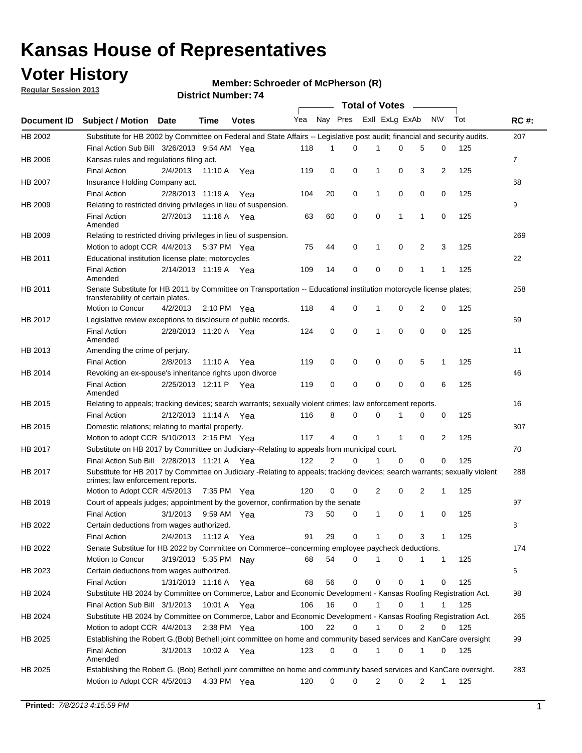## **Voter History**

**Member: Schroeder of McPherson (R)** 

**Regular Session 2013**

|             |                                                                                                                                                                |                       |         |                       |     |                | <b>Total of Votes</b> |                |          | $\sim$       |              |     |             |
|-------------|----------------------------------------------------------------------------------------------------------------------------------------------------------------|-----------------------|---------|-----------------------|-----|----------------|-----------------------|----------------|----------|--------------|--------------|-----|-------------|
| Document ID | Subject / Motion Date                                                                                                                                          |                       | Time    | <b>Votes</b>          | Yea | Nay Pres       |                       | Exll ExLg ExAb |          |              | <b>NV</b>    | Tot | <b>RC#:</b> |
| HB 2002     | Substitute for HB 2002 by Committee on Federal and State Affairs -- Legislative post audit; financial and security audits.                                     |                       |         |                       |     |                |                       |                |          |              |              |     | 207         |
|             | Final Action Sub Bill 3/26/2013 9:54 AM Yea                                                                                                                    |                       |         |                       | 118 | 1              | 0                     | 1              | 0        | 5            | 0            | 125 |             |
| HB 2006     | Kansas rules and regulations filing act.                                                                                                                       |                       |         |                       |     |                |                       |                |          |              |              |     | 7           |
|             | <b>Final Action</b>                                                                                                                                            | 2/4/2013              | 11:10 A | Yea                   | 119 | 0              | 0                     | 1              | 0        | 3            | 2            | 125 |             |
| HB 2007     | Insurance Holding Company act.                                                                                                                                 |                       |         |                       |     |                |                       |                |          |              |              |     | 68          |
|             | <b>Final Action</b>                                                                                                                                            | 2/28/2013 11:19 A     |         | Yea                   | 104 | 20             | 0                     | 1              | 0        | 0            | 0            | 125 |             |
| HB 2009     | Relating to restricted driving privileges in lieu of suspension.                                                                                               |                       |         |                       |     |                |                       |                |          |              |              |     | 9           |
|             | <b>Final Action</b><br>Amended                                                                                                                                 | 2/7/2013              |         | 11:16 A Yea           | 63  | 60             | 0                     | 0              | 1        | $\mathbf{1}$ | 0            | 125 |             |
| HB 2009     | Relating to restricted driving privileges in lieu of suspension.                                                                                               |                       |         |                       |     |                |                       |                |          |              |              |     | 269         |
|             | Motion to adopt CCR 4/4/2013                                                                                                                                   |                       |         | 5:37 PM Yea           | 75  | 44             | 0                     | 1              | 0        | 2            | 3            | 125 |             |
| HB 2011     | Educational institution license plate; motorcycles                                                                                                             |                       |         |                       |     |                |                       |                |          |              |              |     | 22          |
|             | <b>Final Action</b><br>Amended                                                                                                                                 | 2/14/2013 11:19 A Yea |         |                       | 109 | 14             | 0                     | 0              | 0        | 1            | $\mathbf{1}$ | 125 |             |
| HB 2011     | Senate Substitute for HB 2011 by Committee on Transportation -- Educational institution motorcycle license plates;                                             |                       |         |                       |     |                |                       |                |          |              |              |     | 258         |
|             | transferability of certain plates.                                                                                                                             |                       |         |                       |     |                | 0                     |                |          |              |              |     |             |
|             | Motion to Concur                                                                                                                                               | 4/2/2013              |         | $2:10 \text{ PM}$ Yea | 118 | 4              |                       |                | 0        | 2            | 0            | 125 |             |
| HB 2012     | Legislative review exceptions to disclosure of public records.<br><b>Final Action</b>                                                                          | 2/28/2013 11:20 A     |         | Yea                   | 124 | 0              | $\mathbf 0$           | 1              | 0        | 0            | 0            | 125 | 69          |
|             | Amended                                                                                                                                                        |                       |         |                       |     |                |                       |                |          |              |              |     |             |
| HB 2013     | Amending the crime of perjury.                                                                                                                                 |                       |         |                       |     |                |                       |                |          |              |              |     | 11          |
|             | <b>Final Action</b>                                                                                                                                            | 2/8/2013              | 11:10 A | Yea                   | 119 | 0              | 0                     | 0              | 0        | 5            | 1            | 125 |             |
| HB 2014     | Revoking an ex-spouse's inheritance rights upon divorce                                                                                                        |                       |         |                       |     |                |                       |                |          |              |              |     | 46          |
|             | <b>Final Action</b><br>Amended                                                                                                                                 | 2/25/2013 12:11 P     |         | Yea                   | 119 | 0              | 0                     | 0              | 0        | 0            | 6            | 125 |             |
| HB 2015     | Relating to appeals; tracking devices; search warrants; sexually violent crimes; law enforcement reports.                                                      |                       |         |                       |     |                |                       |                |          |              |              |     | 16          |
|             | <b>Final Action</b>                                                                                                                                            | 2/12/2013 11:14 A Yea |         |                       | 116 | 8              | 0                     | 0              | 1        | 0            | 0            | 125 |             |
| HB 2015     | Domestic relations; relating to marital property.                                                                                                              |                       |         |                       |     |                |                       |                |          |              |              |     | 307         |
|             | Motion to adopt CCR 5/10/2013 2:15 PM Yea                                                                                                                      |                       |         |                       | 117 | 4              | 0                     |                | 1        | 0            | 2            | 125 |             |
| HB 2017     | Substitute on HB 2017 by Committee on Judiciary--Relating to appeals from municipal court.                                                                     |                       |         |                       |     |                |                       |                |          |              |              |     | 70          |
|             | Final Action Sub Bill 2/28/2013 11:21 A Yea                                                                                                                    |                       |         |                       | 122 | $\overline{2}$ | $\Omega$              |                | $\Omega$ | 0            | 0            | 125 |             |
| HB 2017     | Substitute for HB 2017 by Committee on Judiciary -Relating to appeals; tracking devices; search warrants; sexually violent<br>crimes; law enforcement reports. |                       |         |                       |     |                |                       |                |          |              |              |     | 288         |
|             | Motion to Adopt CCR 4/5/2013                                                                                                                                   |                       |         | 7:35 PM Yea           | 120 | 0              | 0                     | 2              | 0        | 2            | 1            | 125 |             |
| HB 2019     | Court of appeals judges; appointment by the governor, confirmation by the senate                                                                               |                       |         |                       |     |                |                       |                |          |              |              |     | 97          |
|             | <b>Final Action</b>                                                                                                                                            | 3/1/2013              |         | 9:59 AM Yea           | 73  | 50             | 0                     | 1              | 0        | 1            | 0            | 125 |             |
| HB 2022     | Certain deductions from wages authorized.                                                                                                                      |                       |         |                       |     |                |                       |                |          |              |              |     | В           |
|             | <b>Final Action</b>                                                                                                                                            | 2/4/2013              |         | 11:12 A Yea           | 91  | 29             | 0                     |                | 0        | 3            | 1            | 125 |             |
| HB 2022     | Senate Substitue for HB 2022 by Committee on Commerce--concerming employee paycheck deductions.                                                                |                       |         |                       |     |                |                       |                |          |              |              |     | 174         |
|             | Motion to Concur                                                                                                                                               | 3/19/2013 5:35 PM Nay |         |                       | 68  | 54             | 0                     |                | 0        | 1            | $\mathbf{1}$ | 125 |             |
| HB 2023     | Certain deductions from wages authorized.                                                                                                                      |                       |         |                       |     |                |                       |                |          |              |              |     | 6           |
|             | <b>Final Action</b>                                                                                                                                            | 1/31/2013 11:16 A Yea |         |                       | 68  | 56             | 0                     | 0              | 0        | 1            | 0            | 125 |             |
| HB 2024     | Substitute HB 2024 by Committee on Commerce, Labor and Economic Development - Kansas Roofing Registration Act.                                                 |                       |         |                       |     |                |                       |                |          |              |              |     | 98          |
|             | Final Action Sub Bill 3/1/2013                                                                                                                                 |                       |         | 10:01 A Yea           | 106 | 16             | 0                     |                | 0        | 1            |              | 125 |             |
| HB 2024     | Substitute HB 2024 by Committee on Commerce, Labor and Economic Development - Kansas Roofing Registration Act.                                                 |                       |         |                       |     |                |                       |                |          |              |              |     | 265         |
|             | Motion to adopt CCR 4/4/2013                                                                                                                                   |                       |         | 2:38 PM Yea           | 100 | 22             | 0                     |                | 0        | 2            | 0            | 125 |             |
| HB 2025     | Establishing the Robert G.(Bob) Bethell joint committee on home and community based services and KanCare oversight                                             |                       |         |                       |     |                |                       |                |          |              |              |     | 99          |
|             | <b>Final Action</b><br>Amended                                                                                                                                 | 3/1/2013              |         | 10:02 A Yea           | 123 | 0              | 0                     |                | 0        | 1            | 0            | 125 |             |
| HB 2025     | Establishing the Robert G. (Bob) Bethell joint committee on home and community based services and KanCare oversight.                                           |                       |         |                       |     |                |                       |                |          |              |              |     | 283         |
|             | Motion to Adopt CCR 4/5/2013                                                                                                                                   |                       |         | 4:33 PM Yea           | 120 | 0              | 0                     | 2              | 0        | 2            | 1            | 125 |             |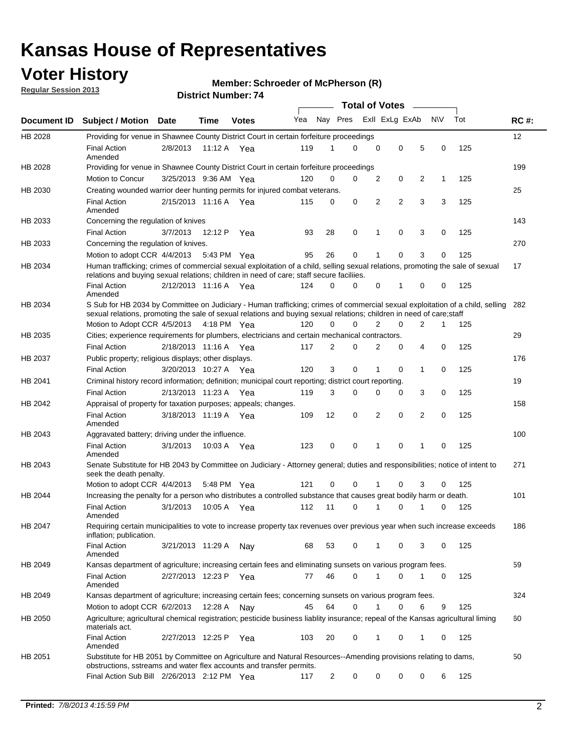## **Voter History**

**Regular Session 2013**

### **Member: Schroeder of McPherson (R)**

|             |                                                                                                                                                                                                                                                        |                       |             |              |     |                         | <b>Total of Votes</b> |                |                |                |           |     |             |
|-------------|--------------------------------------------------------------------------------------------------------------------------------------------------------------------------------------------------------------------------------------------------------|-----------------------|-------------|--------------|-----|-------------------------|-----------------------|----------------|----------------|----------------|-----------|-----|-------------|
| Document ID | <b>Subject / Motion</b>                                                                                                                                                                                                                                | Date                  | <b>Time</b> | <b>Votes</b> | Yea | Nay Pres Exll ExLg ExAb |                       |                |                |                | <b>NV</b> | Tot | <b>RC#:</b> |
| HB 2028     | Providing for venue in Shawnee County District Court in certain forfeiture proceedings                                                                                                                                                                 |                       |             |              |     |                         |                       |                |                |                |           |     | 12          |
|             | <b>Final Action</b><br>Amended                                                                                                                                                                                                                         | 2/8/2013              | 11:12 A Yea |              | 119 | 1                       | $\Omega$              | $\mathbf 0$    | 0              | 5              | 0         | 125 |             |
| HB 2028     | Providing for venue in Shawnee County District Court in certain forfeiture proceedings                                                                                                                                                                 |                       |             |              |     |                         |                       |                |                |                |           |     | 199         |
|             | Motion to Concur                                                                                                                                                                                                                                       | 3/25/2013 9:36 AM Yea |             |              | 120 | 0                       | 0                     | 2              | 0              | 2              | 1         | 125 |             |
| HB 2030     | Creating wounded warrior deer hunting permits for injured combat veterans.                                                                                                                                                                             |                       |             |              |     |                         |                       |                |                |                |           |     | 25          |
|             | <b>Final Action</b><br>Amended                                                                                                                                                                                                                         | 2/15/2013 11:16 A     |             | Yea          | 115 | 0                       | 0                     | 2              | $\overline{2}$ | 3              | 3         | 125 |             |
| HB 2033     | Concerning the regulation of knives                                                                                                                                                                                                                    |                       |             |              |     |                         |                       |                |                |                |           |     | 143         |
|             | <b>Final Action</b>                                                                                                                                                                                                                                    | 3/7/2013              | 12:12 P     | Yea          | 93  | 28                      | 0                     | 1              | 0              | 3              | 0         | 125 |             |
| HB 2033     | Concerning the regulation of knives.                                                                                                                                                                                                                   |                       |             |              |     |                         |                       |                |                |                |           |     | 270         |
|             | Motion to adopt CCR 4/4/2013                                                                                                                                                                                                                           |                       | 5:43 PM Yea |              | 95  | 26                      | 0                     | 1              | 0              | 3              | 0         | 125 |             |
| HB 2034     | Human trafficking; crimes of commercial sexual exploitation of a child, selling sexual relations, promoting the sale of sexual<br>relations and buying sexual relations; children in need of care; staff secure faciliies.                             |                       |             |              |     |                         |                       |                |                |                |           |     | 17          |
|             | <b>Final Action</b><br>Amended                                                                                                                                                                                                                         | 2/12/2013 11:16 A Yea |             |              | 124 | 0                       | $\Omega$              | 0              | 1              | 0              | 0         | 125 |             |
| HB 2034     | S Sub for HB 2034 by Committee on Judiciary - Human trafficking; crimes of commercial sexual exploitation of a child, selling<br>sexual relations, promoting the sale of sexual relations and buying sexual relations; children in need of care; staff |                       |             |              |     |                         |                       |                |                |                |           |     | 282         |
|             | Motion to Adopt CCR 4/5/2013 4:18 PM Yea                                                                                                                                                                                                               |                       |             |              | 120 | 0                       | $\Omega$              | $\overline{2}$ | 0              | $\overline{2}$ | 1         | 125 |             |
| HB 2035     | Cities; experience requirements for plumbers, electricians and certain mechanical contractors.                                                                                                                                                         |                       |             |              |     |                         |                       |                |                |                |           |     | 29          |
|             | <b>Final Action</b>                                                                                                                                                                                                                                    | 2/18/2013 11:16 A     |             | Yea          | 117 | 2                       | 0                     | 2              | 0              | 4              | 0         | 125 |             |
| HB 2037     | Public property; religious displays; other displays.                                                                                                                                                                                                   |                       |             |              |     |                         |                       |                |                |                |           |     | 176         |
|             | <b>Final Action</b>                                                                                                                                                                                                                                    | 3/20/2013 10:27 A     |             | Yea          | 120 | 3                       | 0                     | 1              | 0              | 1              | 0         | 125 |             |
| HB 2041     | Criminal history record information; definition; municipal court reporting; district court reporting.                                                                                                                                                  |                       |             |              |     |                         |                       |                |                |                |           |     | 19          |
|             | <b>Final Action</b>                                                                                                                                                                                                                                    | 2/13/2013 11:23 A     |             | Yea          | 119 | 3                       | 0                     | 0              | 0              | 3              | 0         | 125 |             |
| HB 2042     | Appraisal of property for taxation purposes; appeals; changes.                                                                                                                                                                                         |                       |             |              |     |                         |                       |                |                |                |           |     | 158         |
|             | <b>Final Action</b><br>Amended                                                                                                                                                                                                                         | 3/18/2013 11:19 A Yea |             |              | 109 | 12                      | 0                     | 2              | 0              | 2              | 0         | 125 |             |
| HB 2043     | Aggravated battery; driving under the influence.                                                                                                                                                                                                       |                       |             |              |     |                         |                       |                |                |                |           |     | 100         |
|             | <b>Final Action</b><br>Amended                                                                                                                                                                                                                         | 3/1/2013              | 10:03 A Yea |              | 123 | 0                       | 0                     | 1              | 0              | 1              | 0         | 125 |             |
| HB 2043     | Senate Substitute for HB 2043 by Committee on Judiciary - Attorney general; duties and responsibilities; notice of intent to<br>seek the death penalty.                                                                                                |                       |             |              |     |                         |                       |                |                |                |           |     | 271         |
|             | Motion to adopt CCR 4/4/2013                                                                                                                                                                                                                           |                       | 5:48 PM     | Yea          | 121 | 0                       | $\Omega$              |                | 0              | 3              | 0         | 125 |             |
| HB 2044     | Increasing the penalty for a person who distributes a controlled substance that causes great bodily harm or death.                                                                                                                                     |                       |             |              |     |                         |                       |                |                |                |           |     | 101         |
|             | <b>Final Action</b><br>Amended                                                                                                                                                                                                                         | 3/1/2013              | 10:05 A     | Yea          | 112 | 11                      | $\Omega$              | 1              | 0              | 1              | 0         | 125 |             |
| HB 2047     | Requiring certain municipalities to vote to increase property tax revenues over previous year when such increase exceeds<br>inflation; publication.                                                                                                    |                       |             |              |     |                         |                       |                |                |                |           |     | 186         |
|             | <b>Final Action</b><br>Amended                                                                                                                                                                                                                         | 3/21/2013 11:29 A     |             | Nay          | 68  | 53                      | 0                     | 1              | 0              | 3              | 0         | 125 |             |
| HB 2049     | Kansas department of agriculture; increasing certain fees and eliminating sunsets on various program fees.                                                                                                                                             |                       |             |              |     |                         |                       |                |                |                |           |     | 59          |
|             | <b>Final Action</b><br>Amended                                                                                                                                                                                                                         | 2/27/2013 12:23 P     |             | Yea          | 77  | 46                      | 0                     | 1              | 0              | 1              | 0         | 125 |             |
| HB 2049     | Kansas department of agriculture; increasing certain fees; concerning sunsets on various program fees.                                                                                                                                                 |                       |             |              |     |                         |                       |                |                |                |           |     | 324         |
|             | Motion to adopt CCR 6/2/2013                                                                                                                                                                                                                           |                       | 12:28 A     | Nav          | 45  | 64                      | 0                     | 1              | 0              | 6              | 9         | 125 |             |
| HB 2050     | Agriculture; agricultural chemical registration; pesticide business liablity insurance; repeal of the Kansas agricultural liming<br>materials act.                                                                                                     |                       |             |              |     |                         |                       |                |                |                |           |     | 60          |
|             | <b>Final Action</b><br>Amended                                                                                                                                                                                                                         | 2/27/2013 12:25 P     |             | Yea          | 103 | 20                      | 0                     | 1              | 0              | 1              | 0         | 125 |             |
| HB 2051     | Substitute for HB 2051 by Committee on Agriculture and Natural Resources--Amending provisions relating to dams,<br>obstructions, sstreams and water flex accounts and transfer permits.                                                                |                       |             |              |     |                         |                       |                |                |                |           |     | 50          |
|             | Final Action Sub Bill 2/26/2013 2:12 PM Yea                                                                                                                                                                                                            |                       |             |              | 117 | 2                       | 0                     | 0              | 0              | 0              | 6         | 125 |             |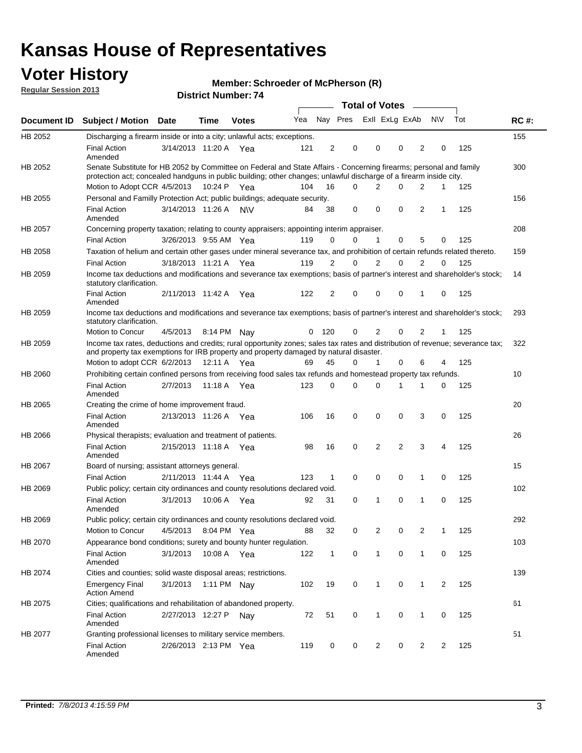## **Voter History**

**Member: Schroeder of McPherson (R)** 

**Regular Session 2013**

|                    |                                                                                                                                                                                                                                          |                       |             | ו . וסעווואדו אטווסוע |     |                |              |   | Total of Votes – |   |                |                |     |             |
|--------------------|------------------------------------------------------------------------------------------------------------------------------------------------------------------------------------------------------------------------------------------|-----------------------|-------------|-----------------------|-----|----------------|--------------|---|------------------|---|----------------|----------------|-----|-------------|
| <b>Document ID</b> | <b>Subject / Motion</b>                                                                                                                                                                                                                  | <b>Date</b>           | <b>Time</b> | <b>Votes</b>          |     |                | Yea Nay Pres |   | Exll ExLg ExAb   |   |                | <b>NV</b>      | Tot | <b>RC#:</b> |
| HB 2052            | Discharging a firearm inside or into a city; unlawful acts; exceptions.                                                                                                                                                                  |                       |             |                       |     |                |              |   |                  |   |                |                |     | 155         |
|                    | <b>Final Action</b><br>Amended                                                                                                                                                                                                           | 3/14/2013 11:20 A Yea |             |                       | 121 | 2              |              | 0 | 0                | 0 | 2              | 0              | 125 |             |
| HB 2052            | Senate Substitute for HB 2052 by Committee on Federal and State Affairs - Concerning firearms; personal and family<br>protection act; concealed handguns in public building; other changes; unlawful discharge of a firearm inside city. |                       |             |                       |     |                |              |   |                  |   |                |                |     | 300         |
|                    | Motion to Adopt CCR 4/5/2013                                                                                                                                                                                                             |                       |             | 10:24 P Yea           | 104 | 16             | $\Omega$     |   | 2                | 0 | 2              | 1              | 125 |             |
| HB 2055            | Personal and Familly Protection Act; public buildings; adequate security.                                                                                                                                                                |                       |             |                       |     |                |              |   |                  |   |                |                |     | 156         |
|                    | <b>Final Action</b><br>Amended                                                                                                                                                                                                           | 3/14/2013 11:26 A     |             | <b>NV</b>             | 84  | 38             | 0            |   | $\mathbf 0$      | 0 | 2              | 1              | 125 |             |
| HB 2057            | Concerning property taxation; relating to county appraisers; appointing interim appraiser.                                                                                                                                               |                       |             |                       |     |                |              |   |                  |   |                |                |     | 208         |
|                    | <b>Final Action</b>                                                                                                                                                                                                                      | 3/26/2013 9:55 AM Yea |             |                       | 119 | 0              |              | 0 | 1                | 0 | 5              | 0              | 125 |             |
| HB 2058            | Taxation of helium and certain other gases under mineral severance tax, and prohibition of certain refunds related thereto.                                                                                                              |                       |             |                       |     |                |              |   |                  |   |                |                |     | 159         |
|                    | <b>Final Action</b>                                                                                                                                                                                                                      | 3/18/2013 11:21 A Yea |             |                       | 119 | 2              |              | 0 | 2                | 0 | 2              | $\Omega$       | 125 |             |
| HB 2059            | Income tax deductions and modifications and severance tax exemptions; basis of partner's interest and shareholder's stock;<br>statutory clarification.                                                                                   |                       |             |                       |     |                |              |   |                  |   |                |                |     | 14          |
|                    | <b>Final Action</b><br>Amended                                                                                                                                                                                                           | 2/11/2013 11:42 A     |             | Yea                   | 122 | $\overline{2}$ |              | 0 | 0                | 0 | 1              | 0              | 125 |             |
| HB 2059            | Income tax deductions and modifications and severance tax exemptions; basis of partner's interest and shareholder's stock;<br>statutory clarification.                                                                                   |                       |             |                       |     |                |              |   |                  |   |                |                |     | 293         |
|                    | Motion to Concur                                                                                                                                                                                                                         | 4/5/2013              |             | 8:14 PM Nay           | 0   | 120            |              | 0 | $\overline{2}$   | 0 | $\overline{2}$ | 1              | 125 |             |
| HB 2059            | Income tax rates, deductions and credits; rural opportunity zones; sales tax rates and distribution of revenue; severance tax;<br>and property tax exemptions for IRB property and property damaged by natural disaster.                 |                       |             |                       |     |                |              |   |                  |   |                |                |     | 322         |
|                    | Motion to adopt CCR 6/2/2013                                                                                                                                                                                                             |                       |             | 12:11 A Yea           | 69  | 45             |              | 0 | $\mathbf{1}$     | 0 | 6              | 4              | 125 |             |
| <b>HB 2060</b>     | Prohibiting certain confined persons from receiving food sales tax refunds and homestead property tax refunds.                                                                                                                           |                       |             |                       |     |                |              |   |                  |   |                |                |     | 10          |
|                    | <b>Final Action</b><br>Amended                                                                                                                                                                                                           | 2/7/2013              | 11:18 A     | Yea                   | 123 | 0              | 0            |   | $\Omega$         | 1 | 1              | 0              | 125 |             |
| HB 2065            | Creating the crime of home improvement fraud.                                                                                                                                                                                            |                       |             |                       |     |                |              |   |                  |   |                |                |     | 20          |
|                    | <b>Final Action</b><br>Amended                                                                                                                                                                                                           | 2/13/2013 11:26 A Yea |             |                       | 106 | 16             | 0            |   | $\mathbf 0$      | 0 | 3              | 0              | 125 |             |
| HB 2066            | Physical therapists; evaluation and treatment of patients.                                                                                                                                                                               |                       |             |                       |     |                |              |   |                  |   |                |                |     | 26          |
|                    | <b>Final Action</b><br>Amended                                                                                                                                                                                                           | 2/15/2013 11:18 A Yea |             |                       | 98  | 16             | 0            |   | 2                | 2 | 3              | 4              | 125 |             |
| HB 2067            | Board of nursing; assistant attorneys general.                                                                                                                                                                                           |                       |             |                       |     |                |              |   |                  |   |                |                |     | 15          |
|                    | <b>Final Action</b>                                                                                                                                                                                                                      | 2/11/2013 11:44 A Yea |             |                       | 123 | $\mathbf{1}$   | 0            |   | 0                | 0 | 1              | 0              | 125 |             |
| HB 2069            | Public policy; certain city ordinances and county resolutions declared void.                                                                                                                                                             |                       |             |                       |     |                |              |   |                  |   |                |                |     | 102         |
|                    | <b>Final Action</b><br>Amended                                                                                                                                                                                                           | 3/1/2013              |             | 10:06 A Yea           | 92  | 31             | $\Omega$     |   | 1                | 0 | 1              | 0              | 125 |             |
| HB 2069            | Public policy; certain city ordinances and county resolutions declared void.                                                                                                                                                             |                       |             |                       |     |                |              |   |                  |   |                |                |     | 292         |
|                    | Motion to Concur                                                                                                                                                                                                                         | 4/5/2013              |             | 8:04 PM Yea           | 88  | 32             | 0            |   | 2                | 0 | $\overline{2}$ | 1              | 125 |             |
| HB 2070            | Appearance bond conditions; surety and bounty hunter regulation.                                                                                                                                                                         |                       |             |                       |     |                |              |   |                  |   |                |                |     | 103         |
|                    | <b>Final Action</b><br>Amended                                                                                                                                                                                                           | 3/1/2013              |             | 10:08 A Yea           | 122 | $\mathbf{1}$   | 0            |   | $\mathbf{1}$     | 0 | $\mathbf 1$    | 0              | 125 |             |
| HB 2074            | Cities and counties; solid waste disposal areas; restrictions.                                                                                                                                                                           |                       |             |                       |     |                |              |   |                  |   |                |                |     | 139         |
|                    | <b>Emergency Final</b><br><b>Action Amend</b>                                                                                                                                                                                            | 3/1/2013              |             | 1:11 PM Nay           | 102 | 19             | 0            |   | 1                | 0 | 1              | $\overline{2}$ | 125 |             |
| HB 2075            | Cities; qualifications and rehabilitation of abandoned property.                                                                                                                                                                         |                       |             |                       |     |                |              |   |                  |   |                |                |     | 61          |
|                    | <b>Final Action</b><br>Amended                                                                                                                                                                                                           | 2/27/2013 12:27 P     |             | Nav                   | 72  | 51             | 0            |   | 1                | 0 | 1              | 0              | 125 |             |
| HB 2077            | Granting professional licenses to military service members.<br><b>Final Action</b><br>Amended                                                                                                                                            | 2/26/2013 2:13 PM Yea |             |                       | 119 | 0              | 0            |   | $\overline{2}$   | 0 | $\overline{2}$ | 2              | 125 | 51          |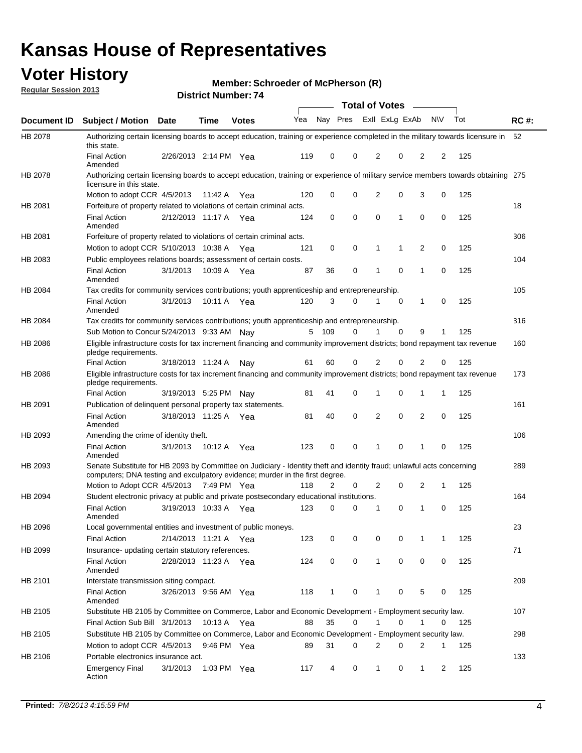## **Voter History**

**Member: Schroeder of McPherson (R)** 

**Regular Session 2013**

| Exll ExLg ExAb<br>Nay Pres<br><b>NV</b><br>Tot<br>Yea<br>Document ID<br><b>Subject / Motion Date</b><br><b>Time</b><br><b>Votes</b><br>HB 2078<br>Authorizing certain licensing boards to accept education, training or experience completed in the military towards licensure in<br>this state.<br><b>Final Action</b><br>2/26/2013 2:14 PM Yea<br>119<br>0<br>0<br>2<br>0<br>2<br>2<br>125<br>Amended<br>HB 2078<br>Authorizing certain licensing boards to accept education, training or experience of military service members towards obtaining 275<br>licensure in this state.<br>0<br>$\mathbf 0$<br>$\overline{2}$<br>0<br>3<br>0<br>125<br>120<br>Motion to adopt CCR 4/5/2013<br>11:42 A<br>Yea<br>HB 2081<br>Forfeiture of property related to violations of certain criminal acts.<br><b>Final Action</b><br>0<br>0<br>$\Omega$<br>1<br>0<br>0<br>125<br>2/12/2013 11:17 A Yea<br>124<br>Amended<br>HB 2081<br>Forfeiture of property related to violations of certain criminal acts.<br>0<br>0<br>2<br>0<br>125<br>Motion to adopt CCR 5/10/2013 10:38 A<br>121<br>1<br>1<br>Yea<br>Public employees relations boards; assessment of certain costs.<br>HB 2083<br>0<br>0<br><b>Final Action</b><br>0<br>1<br>125<br>3/1/2013<br>10:09 A<br>87<br>36<br>1<br>Yea<br>Amended<br>HB 2084<br>Tax credits for community services contributions; youth apprenticeship and entrepreneurship.<br><b>Final Action</b><br>3/1/2013<br>3<br>0<br>$\mathbf{1}$<br>125<br>10:11 A<br>120<br>$\Omega$<br>0<br>Yea<br>Amended<br>HB 2084<br>Tax credits for community services contributions; youth apprenticeship and entrepreneurship.<br>Sub Motion to Concur 5/24/2013 9:33 AM Nav<br>5<br>- 109<br>$\Omega$<br>$\Omega$<br>9<br>125<br>1<br>1<br>Eligible infrastructure costs for tax increment financing and community improvement districts; bond repayment tax revenue<br>HB 2086<br>pledge requirements.<br>2<br>125<br>60<br>0<br>2<br>0<br>0<br><b>Final Action</b><br>3/18/2013 11:24 A<br>61<br>Nay<br>HB 2086<br>Eligible infrastructure costs for tax increment financing and community improvement districts; bond repayment tax revenue<br>pledge requirements.<br>0<br><b>Final Action</b><br>3/19/2013 5:25 PM<br>81<br>41<br>1<br>0<br>1<br>1<br>125<br>Nav<br>HB 2091<br>Publication of delinguent personal property tax statements.<br>0<br>$\overline{2}$<br><b>Final Action</b><br>3/18/2013 11:25 A<br>40<br>0<br>2<br>0<br>125<br>Yea<br>81<br>Amended<br>HB 2093<br>Amending the crime of identity theft.<br><b>Final Action</b><br>3/1/2013<br>123<br>0<br>$\Omega$<br>0<br>125<br>10:12 A<br>Yea<br>1<br>1<br>0<br>Amended<br>Senate Substitute for HB 2093 by Committee on Judiciary - Identity theft and identity fraud; unlawful acts concerning<br>HB 2093<br>computers; DNA testing and exculpatory evidence; murder in the first degree.<br>Motion to Adopt CCR 4/5/2013 7:49 PM Yea<br>2<br>2<br>2<br>125<br>118<br>0<br>0<br>1<br>HB 2094<br>Student electronic privacy at public and private postsecondary educational institutions.<br>0<br><b>Final Action</b><br>3/19/2013 10:33 A<br>123<br>0<br>0<br>125<br>1<br>0<br>Yea<br>1<br>Amended<br>HB 2096<br>Local governmental entities and investment of public moneys.<br>2/14/2013 11:21 A<br><b>Final Action</b><br>123<br>0<br>0<br>0<br>0<br>125<br>Yea<br>1<br>1<br>HB 2099<br>Insurance- updating certain statutory references.<br>0<br>0<br>0<br>0<br>0<br>125<br>124<br><b>Final Action</b><br>2/28/2013 11:23 A<br>1<br>Yea<br>Amended<br>HB 2101<br>Interstate transmission siting compact.<br>5<br>125<br><b>Final Action</b><br>3/26/2013 9:56 AM Yea<br>118<br>$\mathbf{1}$<br>0<br>1<br>0<br>0<br>Amended<br>HB 2105<br>Substitute HB 2105 by Committee on Commerce, Labor and Economic Development - Employment security law.<br>Final Action Sub Bill 3/1/2013<br>10:13 A Yea<br>35<br>0<br>0<br>88<br>1<br>0<br>125<br>Substitute HB 2105 by Committee on Commerce, Labor and Economic Development - Employment security law.<br>HB 2105<br>Motion to adopt CCR 4/5/2013<br>31<br>9:46 PM Yea<br>89<br>0<br>2<br>0<br>2<br>125<br>1<br>Portable electronics insurance act.<br>HB 2106<br>1:03 PM Yea |                        |          | ו . וסעווואדו אטווסוע |     |   |   | <b>Total of Votes</b> |   | $\sim$       |   |     |             |
|---------------------------------------------------------------------------------------------------------------------------------------------------------------------------------------------------------------------------------------------------------------------------------------------------------------------------------------------------------------------------------------------------------------------------------------------------------------------------------------------------------------------------------------------------------------------------------------------------------------------------------------------------------------------------------------------------------------------------------------------------------------------------------------------------------------------------------------------------------------------------------------------------------------------------------------------------------------------------------------------------------------------------------------------------------------------------------------------------------------------------------------------------------------------------------------------------------------------------------------------------------------------------------------------------------------------------------------------------------------------------------------------------------------------------------------------------------------------------------------------------------------------------------------------------------------------------------------------------------------------------------------------------------------------------------------------------------------------------------------------------------------------------------------------------------------------------------------------------------------------------------------------------------------------------------------------------------------------------------------------------------------------------------------------------------------------------------------------------------------------------------------------------------------------------------------------------------------------------------------------------------------------------------------------------------------------------------------------------------------------------------------------------------------------------------------------------------------------------------------------------------------------------------------------------------------------------------------------------------------------------------------------------------------------------------------------------------------------------------------------------------------------------------------------------------------------------------------------------------------------------------------------------------------------------------------------------------------------------------------------------------------------------------------------------------------------------------------------------------------------------------------------------------------------------------------------------------------------------------------------------------------------------------------------------------------------------------------------------------------------------------------------------------------------------------------------------------------------------------------------------------------------------------------------------------------------------------------------------------------------------------------------------------------------------------------------------------------------------------------------------------------------------------------------------------------------------------------------------------------------------------------------------------------------------------------------------------------------------------------------------------------------------------------------------------------------------------------------------------------------------------------------------------------------------------------------------------------|------------------------|----------|-----------------------|-----|---|---|-----------------------|---|--------------|---|-----|-------------|
|                                                                                                                                                                                                                                                                                                                                                                                                                                                                                                                                                                                                                                                                                                                                                                                                                                                                                                                                                                                                                                                                                                                                                                                                                                                                                                                                                                                                                                                                                                                                                                                                                                                                                                                                                                                                                                                                                                                                                                                                                                                                                                                                                                                                                                                                                                                                                                                                                                                                                                                                                                                                                                                                                                                                                                                                                                                                                                                                                                                                                                                                                                                                                                                                                                                                                                                                                                                                                                                                                                                                                                                                                                                                                                                                                                                                                                                                                                                                                                                                                                                                                                                                                                                                               |                        |          |                       |     |   |   |                       |   |              |   |     | <b>RC#:</b> |
|                                                                                                                                                                                                                                                                                                                                                                                                                                                                                                                                                                                                                                                                                                                                                                                                                                                                                                                                                                                                                                                                                                                                                                                                                                                                                                                                                                                                                                                                                                                                                                                                                                                                                                                                                                                                                                                                                                                                                                                                                                                                                                                                                                                                                                                                                                                                                                                                                                                                                                                                                                                                                                                                                                                                                                                                                                                                                                                                                                                                                                                                                                                                                                                                                                                                                                                                                                                                                                                                                                                                                                                                                                                                                                                                                                                                                                                                                                                                                                                                                                                                                                                                                                                                               |                        |          |                       |     |   |   |                       |   |              |   |     | 52          |
|                                                                                                                                                                                                                                                                                                                                                                                                                                                                                                                                                                                                                                                                                                                                                                                                                                                                                                                                                                                                                                                                                                                                                                                                                                                                                                                                                                                                                                                                                                                                                                                                                                                                                                                                                                                                                                                                                                                                                                                                                                                                                                                                                                                                                                                                                                                                                                                                                                                                                                                                                                                                                                                                                                                                                                                                                                                                                                                                                                                                                                                                                                                                                                                                                                                                                                                                                                                                                                                                                                                                                                                                                                                                                                                                                                                                                                                                                                                                                                                                                                                                                                                                                                                                               |                        |          |                       |     |   |   |                       |   |              |   |     |             |
|                                                                                                                                                                                                                                                                                                                                                                                                                                                                                                                                                                                                                                                                                                                                                                                                                                                                                                                                                                                                                                                                                                                                                                                                                                                                                                                                                                                                                                                                                                                                                                                                                                                                                                                                                                                                                                                                                                                                                                                                                                                                                                                                                                                                                                                                                                                                                                                                                                                                                                                                                                                                                                                                                                                                                                                                                                                                                                                                                                                                                                                                                                                                                                                                                                                                                                                                                                                                                                                                                                                                                                                                                                                                                                                                                                                                                                                                                                                                                                                                                                                                                                                                                                                                               |                        |          |                       |     |   |   |                       |   |              |   |     |             |
|                                                                                                                                                                                                                                                                                                                                                                                                                                                                                                                                                                                                                                                                                                                                                                                                                                                                                                                                                                                                                                                                                                                                                                                                                                                                                                                                                                                                                                                                                                                                                                                                                                                                                                                                                                                                                                                                                                                                                                                                                                                                                                                                                                                                                                                                                                                                                                                                                                                                                                                                                                                                                                                                                                                                                                                                                                                                                                                                                                                                                                                                                                                                                                                                                                                                                                                                                                                                                                                                                                                                                                                                                                                                                                                                                                                                                                                                                                                                                                                                                                                                                                                                                                                                               |                        |          |                       |     |   |   |                       |   |              |   |     |             |
|                                                                                                                                                                                                                                                                                                                                                                                                                                                                                                                                                                                                                                                                                                                                                                                                                                                                                                                                                                                                                                                                                                                                                                                                                                                                                                                                                                                                                                                                                                                                                                                                                                                                                                                                                                                                                                                                                                                                                                                                                                                                                                                                                                                                                                                                                                                                                                                                                                                                                                                                                                                                                                                                                                                                                                                                                                                                                                                                                                                                                                                                                                                                                                                                                                                                                                                                                                                                                                                                                                                                                                                                                                                                                                                                                                                                                                                                                                                                                                                                                                                                                                                                                                                                               |                        |          |                       |     |   |   |                       |   |              |   |     | 18          |
|                                                                                                                                                                                                                                                                                                                                                                                                                                                                                                                                                                                                                                                                                                                                                                                                                                                                                                                                                                                                                                                                                                                                                                                                                                                                                                                                                                                                                                                                                                                                                                                                                                                                                                                                                                                                                                                                                                                                                                                                                                                                                                                                                                                                                                                                                                                                                                                                                                                                                                                                                                                                                                                                                                                                                                                                                                                                                                                                                                                                                                                                                                                                                                                                                                                                                                                                                                                                                                                                                                                                                                                                                                                                                                                                                                                                                                                                                                                                                                                                                                                                                                                                                                                                               |                        |          |                       |     |   |   |                       |   |              |   |     |             |
|                                                                                                                                                                                                                                                                                                                                                                                                                                                                                                                                                                                                                                                                                                                                                                                                                                                                                                                                                                                                                                                                                                                                                                                                                                                                                                                                                                                                                                                                                                                                                                                                                                                                                                                                                                                                                                                                                                                                                                                                                                                                                                                                                                                                                                                                                                                                                                                                                                                                                                                                                                                                                                                                                                                                                                                                                                                                                                                                                                                                                                                                                                                                                                                                                                                                                                                                                                                                                                                                                                                                                                                                                                                                                                                                                                                                                                                                                                                                                                                                                                                                                                                                                                                                               |                        |          |                       |     |   |   |                       |   |              |   |     | 306         |
|                                                                                                                                                                                                                                                                                                                                                                                                                                                                                                                                                                                                                                                                                                                                                                                                                                                                                                                                                                                                                                                                                                                                                                                                                                                                                                                                                                                                                                                                                                                                                                                                                                                                                                                                                                                                                                                                                                                                                                                                                                                                                                                                                                                                                                                                                                                                                                                                                                                                                                                                                                                                                                                                                                                                                                                                                                                                                                                                                                                                                                                                                                                                                                                                                                                                                                                                                                                                                                                                                                                                                                                                                                                                                                                                                                                                                                                                                                                                                                                                                                                                                                                                                                                                               |                        |          |                       |     |   |   |                       |   |              |   |     |             |
|                                                                                                                                                                                                                                                                                                                                                                                                                                                                                                                                                                                                                                                                                                                                                                                                                                                                                                                                                                                                                                                                                                                                                                                                                                                                                                                                                                                                                                                                                                                                                                                                                                                                                                                                                                                                                                                                                                                                                                                                                                                                                                                                                                                                                                                                                                                                                                                                                                                                                                                                                                                                                                                                                                                                                                                                                                                                                                                                                                                                                                                                                                                                                                                                                                                                                                                                                                                                                                                                                                                                                                                                                                                                                                                                                                                                                                                                                                                                                                                                                                                                                                                                                                                                               |                        |          |                       |     |   |   |                       |   |              |   |     | 104         |
|                                                                                                                                                                                                                                                                                                                                                                                                                                                                                                                                                                                                                                                                                                                                                                                                                                                                                                                                                                                                                                                                                                                                                                                                                                                                                                                                                                                                                                                                                                                                                                                                                                                                                                                                                                                                                                                                                                                                                                                                                                                                                                                                                                                                                                                                                                                                                                                                                                                                                                                                                                                                                                                                                                                                                                                                                                                                                                                                                                                                                                                                                                                                                                                                                                                                                                                                                                                                                                                                                                                                                                                                                                                                                                                                                                                                                                                                                                                                                                                                                                                                                                                                                                                                               |                        |          |                       |     |   |   |                       |   |              |   |     |             |
|                                                                                                                                                                                                                                                                                                                                                                                                                                                                                                                                                                                                                                                                                                                                                                                                                                                                                                                                                                                                                                                                                                                                                                                                                                                                                                                                                                                                                                                                                                                                                                                                                                                                                                                                                                                                                                                                                                                                                                                                                                                                                                                                                                                                                                                                                                                                                                                                                                                                                                                                                                                                                                                                                                                                                                                                                                                                                                                                                                                                                                                                                                                                                                                                                                                                                                                                                                                                                                                                                                                                                                                                                                                                                                                                                                                                                                                                                                                                                                                                                                                                                                                                                                                                               |                        |          |                       |     |   |   |                       |   |              |   |     | 105         |
|                                                                                                                                                                                                                                                                                                                                                                                                                                                                                                                                                                                                                                                                                                                                                                                                                                                                                                                                                                                                                                                                                                                                                                                                                                                                                                                                                                                                                                                                                                                                                                                                                                                                                                                                                                                                                                                                                                                                                                                                                                                                                                                                                                                                                                                                                                                                                                                                                                                                                                                                                                                                                                                                                                                                                                                                                                                                                                                                                                                                                                                                                                                                                                                                                                                                                                                                                                                                                                                                                                                                                                                                                                                                                                                                                                                                                                                                                                                                                                                                                                                                                                                                                                                                               |                        |          |                       |     |   |   |                       |   |              |   |     |             |
|                                                                                                                                                                                                                                                                                                                                                                                                                                                                                                                                                                                                                                                                                                                                                                                                                                                                                                                                                                                                                                                                                                                                                                                                                                                                                                                                                                                                                                                                                                                                                                                                                                                                                                                                                                                                                                                                                                                                                                                                                                                                                                                                                                                                                                                                                                                                                                                                                                                                                                                                                                                                                                                                                                                                                                                                                                                                                                                                                                                                                                                                                                                                                                                                                                                                                                                                                                                                                                                                                                                                                                                                                                                                                                                                                                                                                                                                                                                                                                                                                                                                                                                                                                                                               |                        |          |                       |     |   |   |                       |   |              |   |     | 316         |
|                                                                                                                                                                                                                                                                                                                                                                                                                                                                                                                                                                                                                                                                                                                                                                                                                                                                                                                                                                                                                                                                                                                                                                                                                                                                                                                                                                                                                                                                                                                                                                                                                                                                                                                                                                                                                                                                                                                                                                                                                                                                                                                                                                                                                                                                                                                                                                                                                                                                                                                                                                                                                                                                                                                                                                                                                                                                                                                                                                                                                                                                                                                                                                                                                                                                                                                                                                                                                                                                                                                                                                                                                                                                                                                                                                                                                                                                                                                                                                                                                                                                                                                                                                                                               |                        |          |                       |     |   |   |                       |   |              |   |     |             |
|                                                                                                                                                                                                                                                                                                                                                                                                                                                                                                                                                                                                                                                                                                                                                                                                                                                                                                                                                                                                                                                                                                                                                                                                                                                                                                                                                                                                                                                                                                                                                                                                                                                                                                                                                                                                                                                                                                                                                                                                                                                                                                                                                                                                                                                                                                                                                                                                                                                                                                                                                                                                                                                                                                                                                                                                                                                                                                                                                                                                                                                                                                                                                                                                                                                                                                                                                                                                                                                                                                                                                                                                                                                                                                                                                                                                                                                                                                                                                                                                                                                                                                                                                                                                               |                        |          |                       |     |   |   |                       |   |              |   |     | 160         |
|                                                                                                                                                                                                                                                                                                                                                                                                                                                                                                                                                                                                                                                                                                                                                                                                                                                                                                                                                                                                                                                                                                                                                                                                                                                                                                                                                                                                                                                                                                                                                                                                                                                                                                                                                                                                                                                                                                                                                                                                                                                                                                                                                                                                                                                                                                                                                                                                                                                                                                                                                                                                                                                                                                                                                                                                                                                                                                                                                                                                                                                                                                                                                                                                                                                                                                                                                                                                                                                                                                                                                                                                                                                                                                                                                                                                                                                                                                                                                                                                                                                                                                                                                                                                               |                        |          |                       |     |   |   |                       |   |              |   |     |             |
|                                                                                                                                                                                                                                                                                                                                                                                                                                                                                                                                                                                                                                                                                                                                                                                                                                                                                                                                                                                                                                                                                                                                                                                                                                                                                                                                                                                                                                                                                                                                                                                                                                                                                                                                                                                                                                                                                                                                                                                                                                                                                                                                                                                                                                                                                                                                                                                                                                                                                                                                                                                                                                                                                                                                                                                                                                                                                                                                                                                                                                                                                                                                                                                                                                                                                                                                                                                                                                                                                                                                                                                                                                                                                                                                                                                                                                                                                                                                                                                                                                                                                                                                                                                                               |                        |          |                       |     |   |   |                       |   |              |   |     | 173         |
|                                                                                                                                                                                                                                                                                                                                                                                                                                                                                                                                                                                                                                                                                                                                                                                                                                                                                                                                                                                                                                                                                                                                                                                                                                                                                                                                                                                                                                                                                                                                                                                                                                                                                                                                                                                                                                                                                                                                                                                                                                                                                                                                                                                                                                                                                                                                                                                                                                                                                                                                                                                                                                                                                                                                                                                                                                                                                                                                                                                                                                                                                                                                                                                                                                                                                                                                                                                                                                                                                                                                                                                                                                                                                                                                                                                                                                                                                                                                                                                                                                                                                                                                                                                                               |                        |          |                       |     |   |   |                       |   |              |   |     |             |
|                                                                                                                                                                                                                                                                                                                                                                                                                                                                                                                                                                                                                                                                                                                                                                                                                                                                                                                                                                                                                                                                                                                                                                                                                                                                                                                                                                                                                                                                                                                                                                                                                                                                                                                                                                                                                                                                                                                                                                                                                                                                                                                                                                                                                                                                                                                                                                                                                                                                                                                                                                                                                                                                                                                                                                                                                                                                                                                                                                                                                                                                                                                                                                                                                                                                                                                                                                                                                                                                                                                                                                                                                                                                                                                                                                                                                                                                                                                                                                                                                                                                                                                                                                                                               |                        |          |                       |     |   |   |                       |   |              |   |     | 161         |
|                                                                                                                                                                                                                                                                                                                                                                                                                                                                                                                                                                                                                                                                                                                                                                                                                                                                                                                                                                                                                                                                                                                                                                                                                                                                                                                                                                                                                                                                                                                                                                                                                                                                                                                                                                                                                                                                                                                                                                                                                                                                                                                                                                                                                                                                                                                                                                                                                                                                                                                                                                                                                                                                                                                                                                                                                                                                                                                                                                                                                                                                                                                                                                                                                                                                                                                                                                                                                                                                                                                                                                                                                                                                                                                                                                                                                                                                                                                                                                                                                                                                                                                                                                                                               |                        |          |                       |     |   |   |                       |   |              |   |     |             |
|                                                                                                                                                                                                                                                                                                                                                                                                                                                                                                                                                                                                                                                                                                                                                                                                                                                                                                                                                                                                                                                                                                                                                                                                                                                                                                                                                                                                                                                                                                                                                                                                                                                                                                                                                                                                                                                                                                                                                                                                                                                                                                                                                                                                                                                                                                                                                                                                                                                                                                                                                                                                                                                                                                                                                                                                                                                                                                                                                                                                                                                                                                                                                                                                                                                                                                                                                                                                                                                                                                                                                                                                                                                                                                                                                                                                                                                                                                                                                                                                                                                                                                                                                                                                               |                        |          |                       |     |   |   |                       |   |              |   |     | 106         |
|                                                                                                                                                                                                                                                                                                                                                                                                                                                                                                                                                                                                                                                                                                                                                                                                                                                                                                                                                                                                                                                                                                                                                                                                                                                                                                                                                                                                                                                                                                                                                                                                                                                                                                                                                                                                                                                                                                                                                                                                                                                                                                                                                                                                                                                                                                                                                                                                                                                                                                                                                                                                                                                                                                                                                                                                                                                                                                                                                                                                                                                                                                                                                                                                                                                                                                                                                                                                                                                                                                                                                                                                                                                                                                                                                                                                                                                                                                                                                                                                                                                                                                                                                                                                               |                        |          |                       |     |   |   |                       |   |              |   |     |             |
|                                                                                                                                                                                                                                                                                                                                                                                                                                                                                                                                                                                                                                                                                                                                                                                                                                                                                                                                                                                                                                                                                                                                                                                                                                                                                                                                                                                                                                                                                                                                                                                                                                                                                                                                                                                                                                                                                                                                                                                                                                                                                                                                                                                                                                                                                                                                                                                                                                                                                                                                                                                                                                                                                                                                                                                                                                                                                                                                                                                                                                                                                                                                                                                                                                                                                                                                                                                                                                                                                                                                                                                                                                                                                                                                                                                                                                                                                                                                                                                                                                                                                                                                                                                                               |                        |          |                       |     |   |   |                       |   |              |   |     | 289         |
|                                                                                                                                                                                                                                                                                                                                                                                                                                                                                                                                                                                                                                                                                                                                                                                                                                                                                                                                                                                                                                                                                                                                                                                                                                                                                                                                                                                                                                                                                                                                                                                                                                                                                                                                                                                                                                                                                                                                                                                                                                                                                                                                                                                                                                                                                                                                                                                                                                                                                                                                                                                                                                                                                                                                                                                                                                                                                                                                                                                                                                                                                                                                                                                                                                                                                                                                                                                                                                                                                                                                                                                                                                                                                                                                                                                                                                                                                                                                                                                                                                                                                                                                                                                                               |                        |          |                       |     |   |   |                       |   |              |   |     |             |
|                                                                                                                                                                                                                                                                                                                                                                                                                                                                                                                                                                                                                                                                                                                                                                                                                                                                                                                                                                                                                                                                                                                                                                                                                                                                                                                                                                                                                                                                                                                                                                                                                                                                                                                                                                                                                                                                                                                                                                                                                                                                                                                                                                                                                                                                                                                                                                                                                                                                                                                                                                                                                                                                                                                                                                                                                                                                                                                                                                                                                                                                                                                                                                                                                                                                                                                                                                                                                                                                                                                                                                                                                                                                                                                                                                                                                                                                                                                                                                                                                                                                                                                                                                                                               |                        |          |                       |     |   |   |                       |   |              |   |     | 164         |
|                                                                                                                                                                                                                                                                                                                                                                                                                                                                                                                                                                                                                                                                                                                                                                                                                                                                                                                                                                                                                                                                                                                                                                                                                                                                                                                                                                                                                                                                                                                                                                                                                                                                                                                                                                                                                                                                                                                                                                                                                                                                                                                                                                                                                                                                                                                                                                                                                                                                                                                                                                                                                                                                                                                                                                                                                                                                                                                                                                                                                                                                                                                                                                                                                                                                                                                                                                                                                                                                                                                                                                                                                                                                                                                                                                                                                                                                                                                                                                                                                                                                                                                                                                                                               |                        |          |                       |     |   |   |                       |   |              |   |     |             |
|                                                                                                                                                                                                                                                                                                                                                                                                                                                                                                                                                                                                                                                                                                                                                                                                                                                                                                                                                                                                                                                                                                                                                                                                                                                                                                                                                                                                                                                                                                                                                                                                                                                                                                                                                                                                                                                                                                                                                                                                                                                                                                                                                                                                                                                                                                                                                                                                                                                                                                                                                                                                                                                                                                                                                                                                                                                                                                                                                                                                                                                                                                                                                                                                                                                                                                                                                                                                                                                                                                                                                                                                                                                                                                                                                                                                                                                                                                                                                                                                                                                                                                                                                                                                               |                        |          |                       |     |   |   |                       |   |              |   |     | 23          |
|                                                                                                                                                                                                                                                                                                                                                                                                                                                                                                                                                                                                                                                                                                                                                                                                                                                                                                                                                                                                                                                                                                                                                                                                                                                                                                                                                                                                                                                                                                                                                                                                                                                                                                                                                                                                                                                                                                                                                                                                                                                                                                                                                                                                                                                                                                                                                                                                                                                                                                                                                                                                                                                                                                                                                                                                                                                                                                                                                                                                                                                                                                                                                                                                                                                                                                                                                                                                                                                                                                                                                                                                                                                                                                                                                                                                                                                                                                                                                                                                                                                                                                                                                                                                               |                        |          |                       |     |   |   |                       |   |              |   |     |             |
|                                                                                                                                                                                                                                                                                                                                                                                                                                                                                                                                                                                                                                                                                                                                                                                                                                                                                                                                                                                                                                                                                                                                                                                                                                                                                                                                                                                                                                                                                                                                                                                                                                                                                                                                                                                                                                                                                                                                                                                                                                                                                                                                                                                                                                                                                                                                                                                                                                                                                                                                                                                                                                                                                                                                                                                                                                                                                                                                                                                                                                                                                                                                                                                                                                                                                                                                                                                                                                                                                                                                                                                                                                                                                                                                                                                                                                                                                                                                                                                                                                                                                                                                                                                                               |                        |          |                       |     |   |   |                       |   |              |   |     | 71          |
|                                                                                                                                                                                                                                                                                                                                                                                                                                                                                                                                                                                                                                                                                                                                                                                                                                                                                                                                                                                                                                                                                                                                                                                                                                                                                                                                                                                                                                                                                                                                                                                                                                                                                                                                                                                                                                                                                                                                                                                                                                                                                                                                                                                                                                                                                                                                                                                                                                                                                                                                                                                                                                                                                                                                                                                                                                                                                                                                                                                                                                                                                                                                                                                                                                                                                                                                                                                                                                                                                                                                                                                                                                                                                                                                                                                                                                                                                                                                                                                                                                                                                                                                                                                                               |                        |          |                       |     |   |   |                       |   |              |   |     |             |
|                                                                                                                                                                                                                                                                                                                                                                                                                                                                                                                                                                                                                                                                                                                                                                                                                                                                                                                                                                                                                                                                                                                                                                                                                                                                                                                                                                                                                                                                                                                                                                                                                                                                                                                                                                                                                                                                                                                                                                                                                                                                                                                                                                                                                                                                                                                                                                                                                                                                                                                                                                                                                                                                                                                                                                                                                                                                                                                                                                                                                                                                                                                                                                                                                                                                                                                                                                                                                                                                                                                                                                                                                                                                                                                                                                                                                                                                                                                                                                                                                                                                                                                                                                                                               |                        |          |                       |     |   |   |                       |   |              |   |     | 209         |
|                                                                                                                                                                                                                                                                                                                                                                                                                                                                                                                                                                                                                                                                                                                                                                                                                                                                                                                                                                                                                                                                                                                                                                                                                                                                                                                                                                                                                                                                                                                                                                                                                                                                                                                                                                                                                                                                                                                                                                                                                                                                                                                                                                                                                                                                                                                                                                                                                                                                                                                                                                                                                                                                                                                                                                                                                                                                                                                                                                                                                                                                                                                                                                                                                                                                                                                                                                                                                                                                                                                                                                                                                                                                                                                                                                                                                                                                                                                                                                                                                                                                                                                                                                                                               |                        |          |                       |     |   |   |                       |   |              |   |     |             |
|                                                                                                                                                                                                                                                                                                                                                                                                                                                                                                                                                                                                                                                                                                                                                                                                                                                                                                                                                                                                                                                                                                                                                                                                                                                                                                                                                                                                                                                                                                                                                                                                                                                                                                                                                                                                                                                                                                                                                                                                                                                                                                                                                                                                                                                                                                                                                                                                                                                                                                                                                                                                                                                                                                                                                                                                                                                                                                                                                                                                                                                                                                                                                                                                                                                                                                                                                                                                                                                                                                                                                                                                                                                                                                                                                                                                                                                                                                                                                                                                                                                                                                                                                                                                               |                        |          |                       |     |   |   |                       |   |              |   |     | 107         |
|                                                                                                                                                                                                                                                                                                                                                                                                                                                                                                                                                                                                                                                                                                                                                                                                                                                                                                                                                                                                                                                                                                                                                                                                                                                                                                                                                                                                                                                                                                                                                                                                                                                                                                                                                                                                                                                                                                                                                                                                                                                                                                                                                                                                                                                                                                                                                                                                                                                                                                                                                                                                                                                                                                                                                                                                                                                                                                                                                                                                                                                                                                                                                                                                                                                                                                                                                                                                                                                                                                                                                                                                                                                                                                                                                                                                                                                                                                                                                                                                                                                                                                                                                                                                               |                        |          |                       |     |   |   |                       |   |              |   |     |             |
|                                                                                                                                                                                                                                                                                                                                                                                                                                                                                                                                                                                                                                                                                                                                                                                                                                                                                                                                                                                                                                                                                                                                                                                                                                                                                                                                                                                                                                                                                                                                                                                                                                                                                                                                                                                                                                                                                                                                                                                                                                                                                                                                                                                                                                                                                                                                                                                                                                                                                                                                                                                                                                                                                                                                                                                                                                                                                                                                                                                                                                                                                                                                                                                                                                                                                                                                                                                                                                                                                                                                                                                                                                                                                                                                                                                                                                                                                                                                                                                                                                                                                                                                                                                                               |                        |          |                       |     |   |   |                       |   |              |   |     | 298         |
|                                                                                                                                                                                                                                                                                                                                                                                                                                                                                                                                                                                                                                                                                                                                                                                                                                                                                                                                                                                                                                                                                                                                                                                                                                                                                                                                                                                                                                                                                                                                                                                                                                                                                                                                                                                                                                                                                                                                                                                                                                                                                                                                                                                                                                                                                                                                                                                                                                                                                                                                                                                                                                                                                                                                                                                                                                                                                                                                                                                                                                                                                                                                                                                                                                                                                                                                                                                                                                                                                                                                                                                                                                                                                                                                                                                                                                                                                                                                                                                                                                                                                                                                                                                                               |                        |          |                       |     |   |   |                       |   |              |   |     |             |
|                                                                                                                                                                                                                                                                                                                                                                                                                                                                                                                                                                                                                                                                                                                                                                                                                                                                                                                                                                                                                                                                                                                                                                                                                                                                                                                                                                                                                                                                                                                                                                                                                                                                                                                                                                                                                                                                                                                                                                                                                                                                                                                                                                                                                                                                                                                                                                                                                                                                                                                                                                                                                                                                                                                                                                                                                                                                                                                                                                                                                                                                                                                                                                                                                                                                                                                                                                                                                                                                                                                                                                                                                                                                                                                                                                                                                                                                                                                                                                                                                                                                                                                                                                                                               |                        |          |                       |     |   |   |                       |   |              |   |     | 133         |
| Action                                                                                                                                                                                                                                                                                                                                                                                                                                                                                                                                                                                                                                                                                                                                                                                                                                                                                                                                                                                                                                                                                                                                                                                                                                                                                                                                                                                                                                                                                                                                                                                                                                                                                                                                                                                                                                                                                                                                                                                                                                                                                                                                                                                                                                                                                                                                                                                                                                                                                                                                                                                                                                                                                                                                                                                                                                                                                                                                                                                                                                                                                                                                                                                                                                                                                                                                                                                                                                                                                                                                                                                                                                                                                                                                                                                                                                                                                                                                                                                                                                                                                                                                                                                                        | <b>Emergency Final</b> | 3/1/2013 |                       | 117 | 4 | 0 | $\mathbf{1}$          | 0 | $\mathbf{1}$ | 2 | 125 |             |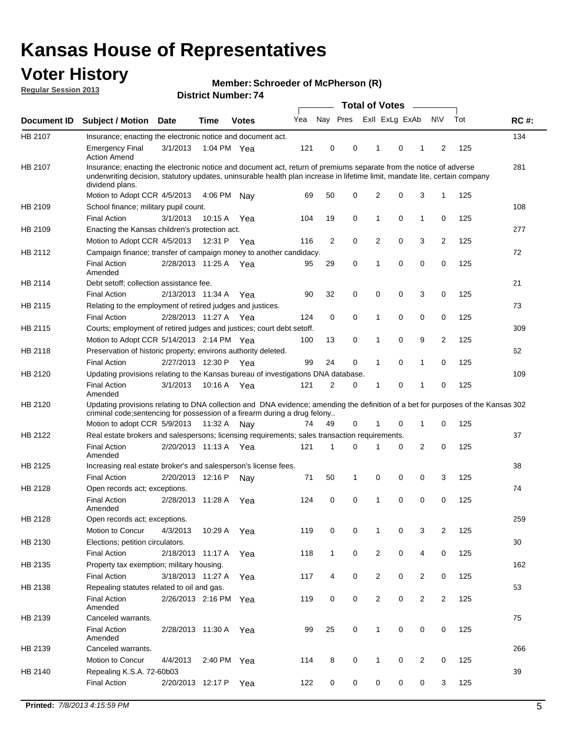## **Voter History**

**Member: Schroeder of McPherson (R)** 

**Regular Session 2013**

|             |                                                                                                                                                                                                                                                                      |                       | ו וסעוווטנ וישוווט <i>י</i> ם |              |     |                |             | <b>Total of Votes</b> |   | $\sim$         |                |     |             |
|-------------|----------------------------------------------------------------------------------------------------------------------------------------------------------------------------------------------------------------------------------------------------------------------|-----------------------|-------------------------------|--------------|-----|----------------|-------------|-----------------------|---|----------------|----------------|-----|-------------|
| Document ID | <b>Subject / Motion Date</b>                                                                                                                                                                                                                                         |                       | <b>Time</b>                   | <b>Votes</b> | Yea | Nay Pres       |             | Exll ExLg ExAb        |   |                | <b>NV</b>      | Tot | <b>RC#:</b> |
| HB 2107     | Insurance; enacting the electronic notice and document act.                                                                                                                                                                                                          |                       |                               |              |     |                |             |                       |   |                |                |     | 134         |
|             | <b>Emergency Final</b><br><b>Action Amend</b>                                                                                                                                                                                                                        | 3/1/2013              | 1:04 PM Yea                   |              | 121 | 0              | 0           | 1                     | 0 | 1              | 2              | 125 |             |
| HB 2107     | Insurance; enacting the electronic notice and document act, return of premiums separate from the notice of adverse<br>underwriting decision, statutory updates, uninsurable health plan increase in lifetime limit, mandate lite, certain company<br>dividend plans. |                       |                               |              |     |                |             |                       |   |                |                |     | 281         |
|             | Motion to Adopt CCR 4/5/2013                                                                                                                                                                                                                                         |                       | 4:06 PM                       | Nav          | 69  | 50             | 0           | 2                     | 0 | 3              | $\mathbf{1}$   | 125 |             |
| HB 2109     | School finance; military pupil count.                                                                                                                                                                                                                                |                       |                               |              |     |                |             |                       |   |                |                |     | 108         |
|             | <b>Final Action</b>                                                                                                                                                                                                                                                  | 3/1/2013              | 10:15A                        | Yea          | 104 | 19             | 0           | 1                     | 0 | $\mathbf{1}$   | 0              | 125 |             |
| HB 2109     | Enacting the Kansas children's protection act.                                                                                                                                                                                                                       |                       |                               |              |     |                |             |                       |   |                |                |     | 277         |
|             | Motion to Adopt CCR 4/5/2013                                                                                                                                                                                                                                         |                       | 12:31 P                       | Yea          | 116 | $\overline{2}$ | 0           | 2                     | 0 | 3              | $\overline{2}$ | 125 |             |
| HB 2112     | Campaign finance; transfer of campaign money to another candidacy.                                                                                                                                                                                                   |                       |                               |              |     |                |             |                       |   |                |                |     | 72          |
|             | <b>Final Action</b><br>Amended                                                                                                                                                                                                                                       | 2/28/2013 11:25 A Yea |                               |              | 95  | 29             | 0           | 1                     | 0 | 0              | 0              | 125 |             |
| HB 2114     | Debt setoff; collection assistance fee.                                                                                                                                                                                                                              |                       |                               |              |     |                |             |                       |   |                |                |     | 21          |
|             | <b>Final Action</b>                                                                                                                                                                                                                                                  | 2/13/2013 11:34 A     |                               | Yea          | 90  | 32             | 0           | 0                     | 0 | 3              | 0              | 125 |             |
| HB 2115     | Relating to the employment of retired judges and justices.                                                                                                                                                                                                           |                       |                               |              |     |                |             |                       |   |                |                |     | 73          |
|             | <b>Final Action</b>                                                                                                                                                                                                                                                  | 2/28/2013 11:27 A     |                               | Yea          | 124 | 0              | $\mathbf 0$ | 1                     | 0 | 0              | 0              | 125 |             |
| HB 2115     | Courts; employment of retired judges and justices; court debt setoff.                                                                                                                                                                                                |                       |                               |              |     |                |             |                       |   |                |                |     | 309         |
|             | Motion to Adopt CCR 5/14/2013 2:14 PM Yea                                                                                                                                                                                                                            |                       |                               |              | 100 | 13             | 0           | 1                     | 0 | 9              | $\overline{2}$ | 125 |             |
| HB 2118     | Preservation of historic property; environs authority deleted.                                                                                                                                                                                                       |                       |                               |              |     |                |             |                       |   |                |                |     | 62          |
|             | <b>Final Action</b>                                                                                                                                                                                                                                                  | 2/27/2013 12:30 P     |                               | Yea          | 99  | 24             | 0           | 1                     | 0 | $\mathbf{1}$   | 0              | 125 |             |
| HB 2120     | Updating provisions relating to the Kansas bureau of investigations DNA database.                                                                                                                                                                                    |                       |                               |              |     |                |             |                       |   |                |                |     | 109         |
|             | <b>Final Action</b><br>Amended                                                                                                                                                                                                                                       | 3/1/2013              | 10:16 A                       | Yea          | 121 | 2              | 0           | 1                     | 0 | 1              | 0              | 125 |             |
| HB 2120     | Updating provisions relating to DNA collection and DNA evidence; amending the definition of a bet for purposes of the Kansas 302<br>criminal code; sentencing for possession of a firearm during a drug felony                                                       |                       |                               |              |     |                |             |                       |   |                |                |     |             |
|             | Motion to adopt CCR 5/9/2013 11:32 A Nay                                                                                                                                                                                                                             |                       |                               |              | 74  | 49             | 0           |                       | 0 | 1              | 0              | 125 |             |
| HB 2122     | Real estate brokers and salespersons; licensing requirements; sales transaction requirements.                                                                                                                                                                        |                       |                               |              |     |                |             |                       |   |                |                |     | 37          |
|             | <b>Final Action</b><br>Amended                                                                                                                                                                                                                                       | 2/20/2013 11:13 A Yea |                               |              | 121 | 1              | $\Omega$    |                       | 0 | 2              | 0              | 125 |             |
| HB 2125     | Increasing real estate broker's and salesperson's license fees.                                                                                                                                                                                                      |                       |                               |              |     |                |             |                       |   |                |                |     | 38          |
|             | <b>Final Action</b>                                                                                                                                                                                                                                                  | 2/20/2013 12:16 P     |                               | Nav          | 71  | 50             | 1           | 0                     | 0 | 0              | 3              | 125 |             |
| HB 2128     | Open records act; exceptions.                                                                                                                                                                                                                                        |                       |                               |              |     |                |             |                       |   |                |                |     | 74          |
|             | <b>Final Action</b><br>Amended                                                                                                                                                                                                                                       | 2/28/2013 11:28 A     |                               | Yea          | 124 | 0              | 0           | 1                     | 0 | 0              | 0              | 125 |             |
| HB 2128     | Open records act; exceptions.                                                                                                                                                                                                                                        |                       |                               |              |     |                |             |                       |   |                |                |     | 259         |
|             | Motion to Concur                                                                                                                                                                                                                                                     | 4/3/2013              | 10:29 A                       | Yea          | 119 | 0              | 0           | 1                     | 0 | 3              | $\overline{2}$ | 125 |             |
| HB 2130     | Elections; petition circulators.                                                                                                                                                                                                                                     |                       |                               |              |     |                |             |                       |   |                |                |     | 30          |
|             | <b>Final Action</b>                                                                                                                                                                                                                                                  | 2/18/2013 11:17 A     |                               | Yea          | 118 | $\mathbf{1}$   | 0           | $\overline{c}$        | 0 | 4              | 0              | 125 |             |
| HB 2135     | Property tax exemption; military housing.                                                                                                                                                                                                                            |                       |                               |              |     |                |             |                       |   |                |                |     | 162         |
|             | <b>Final Action</b>                                                                                                                                                                                                                                                  | 3/18/2013 11:27 A     |                               | Yea          | 117 | 4              | 0           | $\overline{c}$        | 0 | $\overline{2}$ | 0              | 125 |             |
| HB 2138     | Repealing statutes related to oil and gas.                                                                                                                                                                                                                           |                       |                               |              |     |                |             |                       |   |                |                |     | 53          |
|             | <b>Final Action</b><br>Amended                                                                                                                                                                                                                                       | 2/26/2013 2:16 PM Yea |                               |              | 119 | 0              | 0           | 2                     | 0 | $\overline{2}$ | 2              | 125 |             |
| HB 2139     | Canceled warrants.                                                                                                                                                                                                                                                   |                       |                               |              |     |                |             |                       |   |                |                |     | 75          |
|             | <b>Final Action</b><br>Amended                                                                                                                                                                                                                                       | 2/28/2013 11:30 A     |                               | Yea          | 99  | 25             | 0           | 1                     | 0 | 0              | 0              | 125 |             |
| HB 2139     | Canceled warrants.                                                                                                                                                                                                                                                   |                       |                               |              |     |                |             |                       |   |                |                |     | 266         |
|             | Motion to Concur                                                                                                                                                                                                                                                     | 4/4/2013              | 2:40 PM                       | Yea          | 114 | 8              | 0           | 1                     | 0 | 2              | 0              | 125 |             |
| HB 2140     | Repealing K.S.A. 72-60b03                                                                                                                                                                                                                                            |                       |                               |              |     |                |             |                       |   |                |                |     | 39          |
|             | <b>Final Action</b>                                                                                                                                                                                                                                                  | 2/20/2013 12:17 P     |                               | Yea          | 122 | 0              | 0           | 0                     | 0 | 0              | 3              | 125 |             |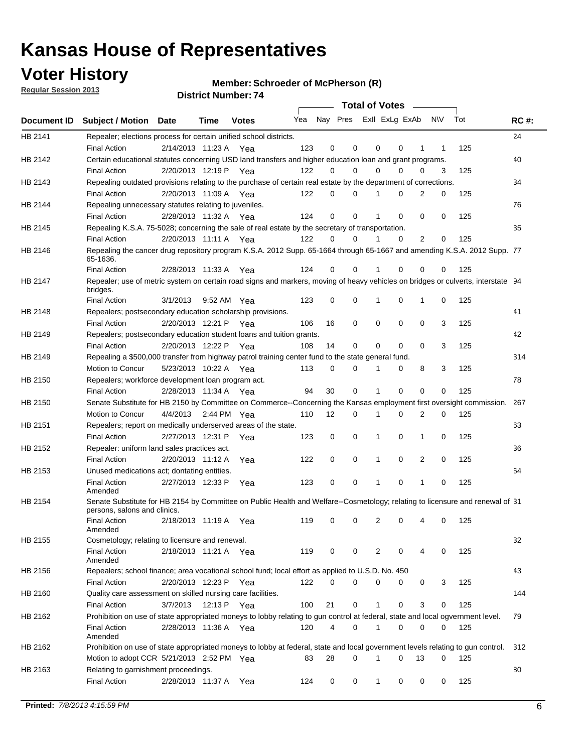**Voter History** 

**Member: Schroeder of McPherson (R)** 

**Regular Session 2013**

| Nay Pres Exll ExLg ExAb<br>N\V<br>Tot<br><b>RC#:</b><br>Yea<br>Document ID<br><b>Subject / Motion Date</b><br>Time<br><b>Votes</b><br>HB 2141<br>24<br>Repealer; elections process for certain unified school districts.<br>2/14/2013 11:23 A<br>123<br>0<br>0<br>0<br>125<br><b>Final Action</b><br>0<br>1<br>1<br>Yea<br>HB 2142<br>Certain educational statutes concerning USD land transfers and higher education loan and grant programs.<br>40<br>2/20/2013 12:19 P<br>122<br>0<br>0<br>0<br>0<br>0<br>3<br>125<br><b>Final Action</b><br>Yea<br>Repealing outdated provisions relating to the purchase of certain real estate by the department of corrections.<br>34<br>HB 2143<br>2/20/2013 11:09 A<br>122<br>0<br>0<br>2<br>0<br>125<br><b>Final Action</b><br>Yea<br>0<br>76<br>HB 2144<br>Repealing unnecessary statutes relating to juveniles.<br>0<br>125<br>2/28/2013 11:32 A Yea<br>124<br>0<br>0<br>0<br>0<br><b>Final Action</b><br>Repealing K.S.A. 75-5028; concerning the sale of real estate by the secretary of transportation.<br>35<br>HB 2145<br>2<br><b>Final Action</b><br>2/20/2013 11:11 A Yea<br>122<br>0<br>0<br>0<br>0<br>125<br>Repealing the cancer drug repository program K.S.A. 2012 Supp. 65-1664 through 65-1667 and amending K.S.A. 2012 Supp. 77<br>HB 2146<br>65-1636.<br>124<br>125<br><b>Final Action</b><br>2/28/2013 11:33 A<br>0<br>0<br>0<br>0<br>Yea<br>0<br>Repealer; use of metric system on certain road signs and markers, moving of heavy vehicles on bridges or culverts, interstate 94<br>HB 2147<br>bridges.<br>0<br>0<br>0<br>0<br>125<br><b>Final Action</b><br>3/1/2013<br>9:52 AM Yea<br>123<br>1<br>1<br>41<br>HB 2148<br>Repealers; postsecondary education scholarship provisions.<br>2/20/2013 12:21 P Yea<br>16<br>0<br>0<br>0<br>0<br>3<br>125<br><b>Final Action</b><br>106<br>42<br>HB 2149<br>Repealers; postsecondary education student loans and tuition grants.<br>2/20/2013 12:22 P<br>14<br>0<br>0<br>$\Omega$<br>3<br>125<br><b>Final Action</b><br>Yea<br>108<br>0<br>314<br>HB 2149<br>Repealing a \$500,000 transfer from highway patrol training center fund to the state general fund.<br>3<br>Motion to Concur<br>5/23/2013 10:22 A Yea<br>113<br>0<br>0<br>0<br>8<br>125<br>78<br>HB 2150<br>Repealers; workforce development loan program act.<br>30<br>0<br>0<br>0<br>0<br>125<br><b>Final Action</b><br>2/28/2013 11:34 A Yea<br>94<br>1<br>Senate Substitute for HB 2150 by Committee on Commerce--Concerning the Kansas employment first oversight commission.<br>HB 2150<br>267<br>12<br>2<br>0<br>125<br>Motion to Concur<br>4/4/2013<br>2:44 PM Yea<br>110<br>0<br>0<br>1<br>HB 2151<br>Repealers; report on medically underserved areas of the state.<br>63<br>2/27/2013 12:31 P<br>0<br>0<br>0<br><b>Final Action</b><br>123<br>0<br>1<br>1<br>125<br>Yea<br>HB 2152<br>Repealer: uniform land sales practices act.<br>36<br>2/20/2013 11:12 A<br>0<br>0<br>0<br>2<br>0<br>125<br><b>Final Action</b><br>122<br>1<br>Yea<br>64<br>HB 2153<br>Unused medications act; dontating entities.<br>2/27/2013 12:33 P<br>123<br>0<br>0<br>0<br>125<br><b>Final Action</b><br>1<br>0<br>Yea<br>1<br>Amended<br>HB 2154<br>Senate Substitute for HB 2154 by Committee on Public Health and Welfare--Cosmetology; relating to licensure and renewal of 31<br>persons, salons and clinics.<br>119<br>2<br>125<br><b>Final Action</b><br>2/18/2013 11:19 A<br>0<br>0<br>0<br>0<br>4<br>Yea<br>Amended<br>32<br>HB 2155<br>Cosmetology; relating to licensure and renewal.<br><b>Final Action</b><br>119<br>125<br>2/18/2013 11:21 A Yea<br>0<br>0<br>2<br>0<br>0<br>4<br>Amended<br>Repealers; school finance; area vocational school fund; local effort as applied to U.S.D. No. 450<br>43<br>HB 2156<br>2/20/2013 12:23 P Yea<br>122<br>0<br>$\Omega$<br>0<br>0<br>125<br><b>Final Action</b><br>0<br>3<br>Quality care assessment on skilled nursing care facilities.<br>144<br>HB 2160<br>3/7/2013<br>12:13 P Yea<br>21<br>0<br>0<br>3<br>125<br><b>Final Action</b><br>100<br>$\mathbf 1$<br>0<br>Prohibition on use of state appropriated moneys to lobby relating to gun control at federal, state and local ogvernment level.<br>HB 2162<br>79<br>120<br>4<br>0<br>0<br>0<br><b>Final Action</b><br>2/28/2013 11:36 A Yea<br>1<br>0<br>125<br>Amended<br>HB 2162<br>Prohibition on use of state appropriated moneys to lobby at federal, state and local government levels relating to gun control.<br>312<br>Motion to adopt CCR 5/21/2013 2:52 PM Yea<br>28<br>0<br>0<br>13<br>83<br>0<br>125<br>1<br>Relating to garnishment proceedings.<br>80<br>HB 2163<br><b>Final Action</b><br>2/28/2013 11:37 A Yea<br>0<br>0<br>0<br>0<br>125<br>124<br>$\mathbf{1}$<br>0 |  |  |  | <b>Total of Votes</b> |  | $\overline{\phantom{0}}$ |  |  |
|---------------------------------------------------------------------------------------------------------------------------------------------------------------------------------------------------------------------------------------------------------------------------------------------------------------------------------------------------------------------------------------------------------------------------------------------------------------------------------------------------------------------------------------------------------------------------------------------------------------------------------------------------------------------------------------------------------------------------------------------------------------------------------------------------------------------------------------------------------------------------------------------------------------------------------------------------------------------------------------------------------------------------------------------------------------------------------------------------------------------------------------------------------------------------------------------------------------------------------------------------------------------------------------------------------------------------------------------------------------------------------------------------------------------------------------------------------------------------------------------------------------------------------------------------------------------------------------------------------------------------------------------------------------------------------------------------------------------------------------------------------------------------------------------------------------------------------------------------------------------------------------------------------------------------------------------------------------------------------------------------------------------------------------------------------------------------------------------------------------------------------------------------------------------------------------------------------------------------------------------------------------------------------------------------------------------------------------------------------------------------------------------------------------------------------------------------------------------------------------------------------------------------------------------------------------------------------------------------------------------------------------------------------------------------------------------------------------------------------------------------------------------------------------------------------------------------------------------------------------------------------------------------------------------------------------------------------------------------------------------------------------------------------------------------------------------------------------------------------------------------------------------------------------------------------------------------------------------------------------------------------------------------------------------------------------------------------------------------------------------------------------------------------------------------------------------------------------------------------------------------------------------------------------------------------------------------------------------------------------------------------------------------------------------------------------------------------------------------------------------------------------------------------------------------------------------------------------------------------------------------------------------------------------------------------------------------------------------------------------------------------------------------------------------------------------------------------------------------------------------------------------------------------------------------------------------------------------------------------------------------------------------------------------------------------------------------------------------------------------------------------------------------------------------------------------------------------------------------------------------------------------------------------------------------------------------------------------------------------------------------------------------------------------------------------------------------------------------------------------------------------------|--|--|--|-----------------------|--|--------------------------|--|--|
|                                                                                                                                                                                                                                                                                                                                                                                                                                                                                                                                                                                                                                                                                                                                                                                                                                                                                                                                                                                                                                                                                                                                                                                                                                                                                                                                                                                                                                                                                                                                                                                                                                                                                                                                                                                                                                                                                                                                                                                                                                                                                                                                                                                                                                                                                                                                                                                                                                                                                                                                                                                                                                                                                                                                                                                                                                                                                                                                                                                                                                                                                                                                                                                                                                                                                                                                                                                                                                                                                                                                                                                                                                                                                                                                                                                                                                                                                                                                                                                                                                                                                                                                                                                                                                                                                                                                                                                                                                                                                                                                                                                                                                                                                                                                                               |  |  |  |                       |  |                          |  |  |
|                                                                                                                                                                                                                                                                                                                                                                                                                                                                                                                                                                                                                                                                                                                                                                                                                                                                                                                                                                                                                                                                                                                                                                                                                                                                                                                                                                                                                                                                                                                                                                                                                                                                                                                                                                                                                                                                                                                                                                                                                                                                                                                                                                                                                                                                                                                                                                                                                                                                                                                                                                                                                                                                                                                                                                                                                                                                                                                                                                                                                                                                                                                                                                                                                                                                                                                                                                                                                                                                                                                                                                                                                                                                                                                                                                                                                                                                                                                                                                                                                                                                                                                                                                                                                                                                                                                                                                                                                                                                                                                                                                                                                                                                                                                                                               |  |  |  |                       |  |                          |  |  |
|                                                                                                                                                                                                                                                                                                                                                                                                                                                                                                                                                                                                                                                                                                                                                                                                                                                                                                                                                                                                                                                                                                                                                                                                                                                                                                                                                                                                                                                                                                                                                                                                                                                                                                                                                                                                                                                                                                                                                                                                                                                                                                                                                                                                                                                                                                                                                                                                                                                                                                                                                                                                                                                                                                                                                                                                                                                                                                                                                                                                                                                                                                                                                                                                                                                                                                                                                                                                                                                                                                                                                                                                                                                                                                                                                                                                                                                                                                                                                                                                                                                                                                                                                                                                                                                                                                                                                                                                                                                                                                                                                                                                                                                                                                                                                               |  |  |  |                       |  |                          |  |  |
|                                                                                                                                                                                                                                                                                                                                                                                                                                                                                                                                                                                                                                                                                                                                                                                                                                                                                                                                                                                                                                                                                                                                                                                                                                                                                                                                                                                                                                                                                                                                                                                                                                                                                                                                                                                                                                                                                                                                                                                                                                                                                                                                                                                                                                                                                                                                                                                                                                                                                                                                                                                                                                                                                                                                                                                                                                                                                                                                                                                                                                                                                                                                                                                                                                                                                                                                                                                                                                                                                                                                                                                                                                                                                                                                                                                                                                                                                                                                                                                                                                                                                                                                                                                                                                                                                                                                                                                                                                                                                                                                                                                                                                                                                                                                                               |  |  |  |                       |  |                          |  |  |
|                                                                                                                                                                                                                                                                                                                                                                                                                                                                                                                                                                                                                                                                                                                                                                                                                                                                                                                                                                                                                                                                                                                                                                                                                                                                                                                                                                                                                                                                                                                                                                                                                                                                                                                                                                                                                                                                                                                                                                                                                                                                                                                                                                                                                                                                                                                                                                                                                                                                                                                                                                                                                                                                                                                                                                                                                                                                                                                                                                                                                                                                                                                                                                                                                                                                                                                                                                                                                                                                                                                                                                                                                                                                                                                                                                                                                                                                                                                                                                                                                                                                                                                                                                                                                                                                                                                                                                                                                                                                                                                                                                                                                                                                                                                                                               |  |  |  |                       |  |                          |  |  |
|                                                                                                                                                                                                                                                                                                                                                                                                                                                                                                                                                                                                                                                                                                                                                                                                                                                                                                                                                                                                                                                                                                                                                                                                                                                                                                                                                                                                                                                                                                                                                                                                                                                                                                                                                                                                                                                                                                                                                                                                                                                                                                                                                                                                                                                                                                                                                                                                                                                                                                                                                                                                                                                                                                                                                                                                                                                                                                                                                                                                                                                                                                                                                                                                                                                                                                                                                                                                                                                                                                                                                                                                                                                                                                                                                                                                                                                                                                                                                                                                                                                                                                                                                                                                                                                                                                                                                                                                                                                                                                                                                                                                                                                                                                                                                               |  |  |  |                       |  |                          |  |  |
|                                                                                                                                                                                                                                                                                                                                                                                                                                                                                                                                                                                                                                                                                                                                                                                                                                                                                                                                                                                                                                                                                                                                                                                                                                                                                                                                                                                                                                                                                                                                                                                                                                                                                                                                                                                                                                                                                                                                                                                                                                                                                                                                                                                                                                                                                                                                                                                                                                                                                                                                                                                                                                                                                                                                                                                                                                                                                                                                                                                                                                                                                                                                                                                                                                                                                                                                                                                                                                                                                                                                                                                                                                                                                                                                                                                                                                                                                                                                                                                                                                                                                                                                                                                                                                                                                                                                                                                                                                                                                                                                                                                                                                                                                                                                                               |  |  |  |                       |  |                          |  |  |
|                                                                                                                                                                                                                                                                                                                                                                                                                                                                                                                                                                                                                                                                                                                                                                                                                                                                                                                                                                                                                                                                                                                                                                                                                                                                                                                                                                                                                                                                                                                                                                                                                                                                                                                                                                                                                                                                                                                                                                                                                                                                                                                                                                                                                                                                                                                                                                                                                                                                                                                                                                                                                                                                                                                                                                                                                                                                                                                                                                                                                                                                                                                                                                                                                                                                                                                                                                                                                                                                                                                                                                                                                                                                                                                                                                                                                                                                                                                                                                                                                                                                                                                                                                                                                                                                                                                                                                                                                                                                                                                                                                                                                                                                                                                                                               |  |  |  |                       |  |                          |  |  |
|                                                                                                                                                                                                                                                                                                                                                                                                                                                                                                                                                                                                                                                                                                                                                                                                                                                                                                                                                                                                                                                                                                                                                                                                                                                                                                                                                                                                                                                                                                                                                                                                                                                                                                                                                                                                                                                                                                                                                                                                                                                                                                                                                                                                                                                                                                                                                                                                                                                                                                                                                                                                                                                                                                                                                                                                                                                                                                                                                                                                                                                                                                                                                                                                                                                                                                                                                                                                                                                                                                                                                                                                                                                                                                                                                                                                                                                                                                                                                                                                                                                                                                                                                                                                                                                                                                                                                                                                                                                                                                                                                                                                                                                                                                                                                               |  |  |  |                       |  |                          |  |  |
|                                                                                                                                                                                                                                                                                                                                                                                                                                                                                                                                                                                                                                                                                                                                                                                                                                                                                                                                                                                                                                                                                                                                                                                                                                                                                                                                                                                                                                                                                                                                                                                                                                                                                                                                                                                                                                                                                                                                                                                                                                                                                                                                                                                                                                                                                                                                                                                                                                                                                                                                                                                                                                                                                                                                                                                                                                                                                                                                                                                                                                                                                                                                                                                                                                                                                                                                                                                                                                                                                                                                                                                                                                                                                                                                                                                                                                                                                                                                                                                                                                                                                                                                                                                                                                                                                                                                                                                                                                                                                                                                                                                                                                                                                                                                                               |  |  |  |                       |  |                          |  |  |
|                                                                                                                                                                                                                                                                                                                                                                                                                                                                                                                                                                                                                                                                                                                                                                                                                                                                                                                                                                                                                                                                                                                                                                                                                                                                                                                                                                                                                                                                                                                                                                                                                                                                                                                                                                                                                                                                                                                                                                                                                                                                                                                                                                                                                                                                                                                                                                                                                                                                                                                                                                                                                                                                                                                                                                                                                                                                                                                                                                                                                                                                                                                                                                                                                                                                                                                                                                                                                                                                                                                                                                                                                                                                                                                                                                                                                                                                                                                                                                                                                                                                                                                                                                                                                                                                                                                                                                                                                                                                                                                                                                                                                                                                                                                                                               |  |  |  |                       |  |                          |  |  |
|                                                                                                                                                                                                                                                                                                                                                                                                                                                                                                                                                                                                                                                                                                                                                                                                                                                                                                                                                                                                                                                                                                                                                                                                                                                                                                                                                                                                                                                                                                                                                                                                                                                                                                                                                                                                                                                                                                                                                                                                                                                                                                                                                                                                                                                                                                                                                                                                                                                                                                                                                                                                                                                                                                                                                                                                                                                                                                                                                                                                                                                                                                                                                                                                                                                                                                                                                                                                                                                                                                                                                                                                                                                                                                                                                                                                                                                                                                                                                                                                                                                                                                                                                                                                                                                                                                                                                                                                                                                                                                                                                                                                                                                                                                                                                               |  |  |  |                       |  |                          |  |  |
|                                                                                                                                                                                                                                                                                                                                                                                                                                                                                                                                                                                                                                                                                                                                                                                                                                                                                                                                                                                                                                                                                                                                                                                                                                                                                                                                                                                                                                                                                                                                                                                                                                                                                                                                                                                                                                                                                                                                                                                                                                                                                                                                                                                                                                                                                                                                                                                                                                                                                                                                                                                                                                                                                                                                                                                                                                                                                                                                                                                                                                                                                                                                                                                                                                                                                                                                                                                                                                                                                                                                                                                                                                                                                                                                                                                                                                                                                                                                                                                                                                                                                                                                                                                                                                                                                                                                                                                                                                                                                                                                                                                                                                                                                                                                                               |  |  |  |                       |  |                          |  |  |
|                                                                                                                                                                                                                                                                                                                                                                                                                                                                                                                                                                                                                                                                                                                                                                                                                                                                                                                                                                                                                                                                                                                                                                                                                                                                                                                                                                                                                                                                                                                                                                                                                                                                                                                                                                                                                                                                                                                                                                                                                                                                                                                                                                                                                                                                                                                                                                                                                                                                                                                                                                                                                                                                                                                                                                                                                                                                                                                                                                                                                                                                                                                                                                                                                                                                                                                                                                                                                                                                                                                                                                                                                                                                                                                                                                                                                                                                                                                                                                                                                                                                                                                                                                                                                                                                                                                                                                                                                                                                                                                                                                                                                                                                                                                                                               |  |  |  |                       |  |                          |  |  |
|                                                                                                                                                                                                                                                                                                                                                                                                                                                                                                                                                                                                                                                                                                                                                                                                                                                                                                                                                                                                                                                                                                                                                                                                                                                                                                                                                                                                                                                                                                                                                                                                                                                                                                                                                                                                                                                                                                                                                                                                                                                                                                                                                                                                                                                                                                                                                                                                                                                                                                                                                                                                                                                                                                                                                                                                                                                                                                                                                                                                                                                                                                                                                                                                                                                                                                                                                                                                                                                                                                                                                                                                                                                                                                                                                                                                                                                                                                                                                                                                                                                                                                                                                                                                                                                                                                                                                                                                                                                                                                                                                                                                                                                                                                                                                               |  |  |  |                       |  |                          |  |  |
|                                                                                                                                                                                                                                                                                                                                                                                                                                                                                                                                                                                                                                                                                                                                                                                                                                                                                                                                                                                                                                                                                                                                                                                                                                                                                                                                                                                                                                                                                                                                                                                                                                                                                                                                                                                                                                                                                                                                                                                                                                                                                                                                                                                                                                                                                                                                                                                                                                                                                                                                                                                                                                                                                                                                                                                                                                                                                                                                                                                                                                                                                                                                                                                                                                                                                                                                                                                                                                                                                                                                                                                                                                                                                                                                                                                                                                                                                                                                                                                                                                                                                                                                                                                                                                                                                                                                                                                                                                                                                                                                                                                                                                                                                                                                                               |  |  |  |                       |  |                          |  |  |
|                                                                                                                                                                                                                                                                                                                                                                                                                                                                                                                                                                                                                                                                                                                                                                                                                                                                                                                                                                                                                                                                                                                                                                                                                                                                                                                                                                                                                                                                                                                                                                                                                                                                                                                                                                                                                                                                                                                                                                                                                                                                                                                                                                                                                                                                                                                                                                                                                                                                                                                                                                                                                                                                                                                                                                                                                                                                                                                                                                                                                                                                                                                                                                                                                                                                                                                                                                                                                                                                                                                                                                                                                                                                                                                                                                                                                                                                                                                                                                                                                                                                                                                                                                                                                                                                                                                                                                                                                                                                                                                                                                                                                                                                                                                                                               |  |  |  |                       |  |                          |  |  |
|                                                                                                                                                                                                                                                                                                                                                                                                                                                                                                                                                                                                                                                                                                                                                                                                                                                                                                                                                                                                                                                                                                                                                                                                                                                                                                                                                                                                                                                                                                                                                                                                                                                                                                                                                                                                                                                                                                                                                                                                                                                                                                                                                                                                                                                                                                                                                                                                                                                                                                                                                                                                                                                                                                                                                                                                                                                                                                                                                                                                                                                                                                                                                                                                                                                                                                                                                                                                                                                                                                                                                                                                                                                                                                                                                                                                                                                                                                                                                                                                                                                                                                                                                                                                                                                                                                                                                                                                                                                                                                                                                                                                                                                                                                                                                               |  |  |  |                       |  |                          |  |  |
|                                                                                                                                                                                                                                                                                                                                                                                                                                                                                                                                                                                                                                                                                                                                                                                                                                                                                                                                                                                                                                                                                                                                                                                                                                                                                                                                                                                                                                                                                                                                                                                                                                                                                                                                                                                                                                                                                                                                                                                                                                                                                                                                                                                                                                                                                                                                                                                                                                                                                                                                                                                                                                                                                                                                                                                                                                                                                                                                                                                                                                                                                                                                                                                                                                                                                                                                                                                                                                                                                                                                                                                                                                                                                                                                                                                                                                                                                                                                                                                                                                                                                                                                                                                                                                                                                                                                                                                                                                                                                                                                                                                                                                                                                                                                                               |  |  |  |                       |  |                          |  |  |
|                                                                                                                                                                                                                                                                                                                                                                                                                                                                                                                                                                                                                                                                                                                                                                                                                                                                                                                                                                                                                                                                                                                                                                                                                                                                                                                                                                                                                                                                                                                                                                                                                                                                                                                                                                                                                                                                                                                                                                                                                                                                                                                                                                                                                                                                                                                                                                                                                                                                                                                                                                                                                                                                                                                                                                                                                                                                                                                                                                                                                                                                                                                                                                                                                                                                                                                                                                                                                                                                                                                                                                                                                                                                                                                                                                                                                                                                                                                                                                                                                                                                                                                                                                                                                                                                                                                                                                                                                                                                                                                                                                                                                                                                                                                                                               |  |  |  |                       |  |                          |  |  |
|                                                                                                                                                                                                                                                                                                                                                                                                                                                                                                                                                                                                                                                                                                                                                                                                                                                                                                                                                                                                                                                                                                                                                                                                                                                                                                                                                                                                                                                                                                                                                                                                                                                                                                                                                                                                                                                                                                                                                                                                                                                                                                                                                                                                                                                                                                                                                                                                                                                                                                                                                                                                                                                                                                                                                                                                                                                                                                                                                                                                                                                                                                                                                                                                                                                                                                                                                                                                                                                                                                                                                                                                                                                                                                                                                                                                                                                                                                                                                                                                                                                                                                                                                                                                                                                                                                                                                                                                                                                                                                                                                                                                                                                                                                                                                               |  |  |  |                       |  |                          |  |  |
|                                                                                                                                                                                                                                                                                                                                                                                                                                                                                                                                                                                                                                                                                                                                                                                                                                                                                                                                                                                                                                                                                                                                                                                                                                                                                                                                                                                                                                                                                                                                                                                                                                                                                                                                                                                                                                                                                                                                                                                                                                                                                                                                                                                                                                                                                                                                                                                                                                                                                                                                                                                                                                                                                                                                                                                                                                                                                                                                                                                                                                                                                                                                                                                                                                                                                                                                                                                                                                                                                                                                                                                                                                                                                                                                                                                                                                                                                                                                                                                                                                                                                                                                                                                                                                                                                                                                                                                                                                                                                                                                                                                                                                                                                                                                                               |  |  |  |                       |  |                          |  |  |
|                                                                                                                                                                                                                                                                                                                                                                                                                                                                                                                                                                                                                                                                                                                                                                                                                                                                                                                                                                                                                                                                                                                                                                                                                                                                                                                                                                                                                                                                                                                                                                                                                                                                                                                                                                                                                                                                                                                                                                                                                                                                                                                                                                                                                                                                                                                                                                                                                                                                                                                                                                                                                                                                                                                                                                                                                                                                                                                                                                                                                                                                                                                                                                                                                                                                                                                                                                                                                                                                                                                                                                                                                                                                                                                                                                                                                                                                                                                                                                                                                                                                                                                                                                                                                                                                                                                                                                                                                                                                                                                                                                                                                                                                                                                                                               |  |  |  |                       |  |                          |  |  |
|                                                                                                                                                                                                                                                                                                                                                                                                                                                                                                                                                                                                                                                                                                                                                                                                                                                                                                                                                                                                                                                                                                                                                                                                                                                                                                                                                                                                                                                                                                                                                                                                                                                                                                                                                                                                                                                                                                                                                                                                                                                                                                                                                                                                                                                                                                                                                                                                                                                                                                                                                                                                                                                                                                                                                                                                                                                                                                                                                                                                                                                                                                                                                                                                                                                                                                                                                                                                                                                                                                                                                                                                                                                                                                                                                                                                                                                                                                                                                                                                                                                                                                                                                                                                                                                                                                                                                                                                                                                                                                                                                                                                                                                                                                                                                               |  |  |  |                       |  |                          |  |  |
|                                                                                                                                                                                                                                                                                                                                                                                                                                                                                                                                                                                                                                                                                                                                                                                                                                                                                                                                                                                                                                                                                                                                                                                                                                                                                                                                                                                                                                                                                                                                                                                                                                                                                                                                                                                                                                                                                                                                                                                                                                                                                                                                                                                                                                                                                                                                                                                                                                                                                                                                                                                                                                                                                                                                                                                                                                                                                                                                                                                                                                                                                                                                                                                                                                                                                                                                                                                                                                                                                                                                                                                                                                                                                                                                                                                                                                                                                                                                                                                                                                                                                                                                                                                                                                                                                                                                                                                                                                                                                                                                                                                                                                                                                                                                                               |  |  |  |                       |  |                          |  |  |
|                                                                                                                                                                                                                                                                                                                                                                                                                                                                                                                                                                                                                                                                                                                                                                                                                                                                                                                                                                                                                                                                                                                                                                                                                                                                                                                                                                                                                                                                                                                                                                                                                                                                                                                                                                                                                                                                                                                                                                                                                                                                                                                                                                                                                                                                                                                                                                                                                                                                                                                                                                                                                                                                                                                                                                                                                                                                                                                                                                                                                                                                                                                                                                                                                                                                                                                                                                                                                                                                                                                                                                                                                                                                                                                                                                                                                                                                                                                                                                                                                                                                                                                                                                                                                                                                                                                                                                                                                                                                                                                                                                                                                                                                                                                                                               |  |  |  |                       |  |                          |  |  |
|                                                                                                                                                                                                                                                                                                                                                                                                                                                                                                                                                                                                                                                                                                                                                                                                                                                                                                                                                                                                                                                                                                                                                                                                                                                                                                                                                                                                                                                                                                                                                                                                                                                                                                                                                                                                                                                                                                                                                                                                                                                                                                                                                                                                                                                                                                                                                                                                                                                                                                                                                                                                                                                                                                                                                                                                                                                                                                                                                                                                                                                                                                                                                                                                                                                                                                                                                                                                                                                                                                                                                                                                                                                                                                                                                                                                                                                                                                                                                                                                                                                                                                                                                                                                                                                                                                                                                                                                                                                                                                                                                                                                                                                                                                                                                               |  |  |  |                       |  |                          |  |  |
|                                                                                                                                                                                                                                                                                                                                                                                                                                                                                                                                                                                                                                                                                                                                                                                                                                                                                                                                                                                                                                                                                                                                                                                                                                                                                                                                                                                                                                                                                                                                                                                                                                                                                                                                                                                                                                                                                                                                                                                                                                                                                                                                                                                                                                                                                                                                                                                                                                                                                                                                                                                                                                                                                                                                                                                                                                                                                                                                                                                                                                                                                                                                                                                                                                                                                                                                                                                                                                                                                                                                                                                                                                                                                                                                                                                                                                                                                                                                                                                                                                                                                                                                                                                                                                                                                                                                                                                                                                                                                                                                                                                                                                                                                                                                                               |  |  |  |                       |  |                          |  |  |
|                                                                                                                                                                                                                                                                                                                                                                                                                                                                                                                                                                                                                                                                                                                                                                                                                                                                                                                                                                                                                                                                                                                                                                                                                                                                                                                                                                                                                                                                                                                                                                                                                                                                                                                                                                                                                                                                                                                                                                                                                                                                                                                                                                                                                                                                                                                                                                                                                                                                                                                                                                                                                                                                                                                                                                                                                                                                                                                                                                                                                                                                                                                                                                                                                                                                                                                                                                                                                                                                                                                                                                                                                                                                                                                                                                                                                                                                                                                                                                                                                                                                                                                                                                                                                                                                                                                                                                                                                                                                                                                                                                                                                                                                                                                                                               |  |  |  |                       |  |                          |  |  |
|                                                                                                                                                                                                                                                                                                                                                                                                                                                                                                                                                                                                                                                                                                                                                                                                                                                                                                                                                                                                                                                                                                                                                                                                                                                                                                                                                                                                                                                                                                                                                                                                                                                                                                                                                                                                                                                                                                                                                                                                                                                                                                                                                                                                                                                                                                                                                                                                                                                                                                                                                                                                                                                                                                                                                                                                                                                                                                                                                                                                                                                                                                                                                                                                                                                                                                                                                                                                                                                                                                                                                                                                                                                                                                                                                                                                                                                                                                                                                                                                                                                                                                                                                                                                                                                                                                                                                                                                                                                                                                                                                                                                                                                                                                                                                               |  |  |  |                       |  |                          |  |  |
|                                                                                                                                                                                                                                                                                                                                                                                                                                                                                                                                                                                                                                                                                                                                                                                                                                                                                                                                                                                                                                                                                                                                                                                                                                                                                                                                                                                                                                                                                                                                                                                                                                                                                                                                                                                                                                                                                                                                                                                                                                                                                                                                                                                                                                                                                                                                                                                                                                                                                                                                                                                                                                                                                                                                                                                                                                                                                                                                                                                                                                                                                                                                                                                                                                                                                                                                                                                                                                                                                                                                                                                                                                                                                                                                                                                                                                                                                                                                                                                                                                                                                                                                                                                                                                                                                                                                                                                                                                                                                                                                                                                                                                                                                                                                                               |  |  |  |                       |  |                          |  |  |
|                                                                                                                                                                                                                                                                                                                                                                                                                                                                                                                                                                                                                                                                                                                                                                                                                                                                                                                                                                                                                                                                                                                                                                                                                                                                                                                                                                                                                                                                                                                                                                                                                                                                                                                                                                                                                                                                                                                                                                                                                                                                                                                                                                                                                                                                                                                                                                                                                                                                                                                                                                                                                                                                                                                                                                                                                                                                                                                                                                                                                                                                                                                                                                                                                                                                                                                                                                                                                                                                                                                                                                                                                                                                                                                                                                                                                                                                                                                                                                                                                                                                                                                                                                                                                                                                                                                                                                                                                                                                                                                                                                                                                                                                                                                                                               |  |  |  |                       |  |                          |  |  |
|                                                                                                                                                                                                                                                                                                                                                                                                                                                                                                                                                                                                                                                                                                                                                                                                                                                                                                                                                                                                                                                                                                                                                                                                                                                                                                                                                                                                                                                                                                                                                                                                                                                                                                                                                                                                                                                                                                                                                                                                                                                                                                                                                                                                                                                                                                                                                                                                                                                                                                                                                                                                                                                                                                                                                                                                                                                                                                                                                                                                                                                                                                                                                                                                                                                                                                                                                                                                                                                                                                                                                                                                                                                                                                                                                                                                                                                                                                                                                                                                                                                                                                                                                                                                                                                                                                                                                                                                                                                                                                                                                                                                                                                                                                                                                               |  |  |  |                       |  |                          |  |  |
|                                                                                                                                                                                                                                                                                                                                                                                                                                                                                                                                                                                                                                                                                                                                                                                                                                                                                                                                                                                                                                                                                                                                                                                                                                                                                                                                                                                                                                                                                                                                                                                                                                                                                                                                                                                                                                                                                                                                                                                                                                                                                                                                                                                                                                                                                                                                                                                                                                                                                                                                                                                                                                                                                                                                                                                                                                                                                                                                                                                                                                                                                                                                                                                                                                                                                                                                                                                                                                                                                                                                                                                                                                                                                                                                                                                                                                                                                                                                                                                                                                                                                                                                                                                                                                                                                                                                                                                                                                                                                                                                                                                                                                                                                                                                                               |  |  |  |                       |  |                          |  |  |
|                                                                                                                                                                                                                                                                                                                                                                                                                                                                                                                                                                                                                                                                                                                                                                                                                                                                                                                                                                                                                                                                                                                                                                                                                                                                                                                                                                                                                                                                                                                                                                                                                                                                                                                                                                                                                                                                                                                                                                                                                                                                                                                                                                                                                                                                                                                                                                                                                                                                                                                                                                                                                                                                                                                                                                                                                                                                                                                                                                                                                                                                                                                                                                                                                                                                                                                                                                                                                                                                                                                                                                                                                                                                                                                                                                                                                                                                                                                                                                                                                                                                                                                                                                                                                                                                                                                                                                                                                                                                                                                                                                                                                                                                                                                                                               |  |  |  |                       |  |                          |  |  |
|                                                                                                                                                                                                                                                                                                                                                                                                                                                                                                                                                                                                                                                                                                                                                                                                                                                                                                                                                                                                                                                                                                                                                                                                                                                                                                                                                                                                                                                                                                                                                                                                                                                                                                                                                                                                                                                                                                                                                                                                                                                                                                                                                                                                                                                                                                                                                                                                                                                                                                                                                                                                                                                                                                                                                                                                                                                                                                                                                                                                                                                                                                                                                                                                                                                                                                                                                                                                                                                                                                                                                                                                                                                                                                                                                                                                                                                                                                                                                                                                                                                                                                                                                                                                                                                                                                                                                                                                                                                                                                                                                                                                                                                                                                                                                               |  |  |  |                       |  |                          |  |  |
|                                                                                                                                                                                                                                                                                                                                                                                                                                                                                                                                                                                                                                                                                                                                                                                                                                                                                                                                                                                                                                                                                                                                                                                                                                                                                                                                                                                                                                                                                                                                                                                                                                                                                                                                                                                                                                                                                                                                                                                                                                                                                                                                                                                                                                                                                                                                                                                                                                                                                                                                                                                                                                                                                                                                                                                                                                                                                                                                                                                                                                                                                                                                                                                                                                                                                                                                                                                                                                                                                                                                                                                                                                                                                                                                                                                                                                                                                                                                                                                                                                                                                                                                                                                                                                                                                                                                                                                                                                                                                                                                                                                                                                                                                                                                                               |  |  |  |                       |  |                          |  |  |
|                                                                                                                                                                                                                                                                                                                                                                                                                                                                                                                                                                                                                                                                                                                                                                                                                                                                                                                                                                                                                                                                                                                                                                                                                                                                                                                                                                                                                                                                                                                                                                                                                                                                                                                                                                                                                                                                                                                                                                                                                                                                                                                                                                                                                                                                                                                                                                                                                                                                                                                                                                                                                                                                                                                                                                                                                                                                                                                                                                                                                                                                                                                                                                                                                                                                                                                                                                                                                                                                                                                                                                                                                                                                                                                                                                                                                                                                                                                                                                                                                                                                                                                                                                                                                                                                                                                                                                                                                                                                                                                                                                                                                                                                                                                                                               |  |  |  |                       |  |                          |  |  |
|                                                                                                                                                                                                                                                                                                                                                                                                                                                                                                                                                                                                                                                                                                                                                                                                                                                                                                                                                                                                                                                                                                                                                                                                                                                                                                                                                                                                                                                                                                                                                                                                                                                                                                                                                                                                                                                                                                                                                                                                                                                                                                                                                                                                                                                                                                                                                                                                                                                                                                                                                                                                                                                                                                                                                                                                                                                                                                                                                                                                                                                                                                                                                                                                                                                                                                                                                                                                                                                                                                                                                                                                                                                                                                                                                                                                                                                                                                                                                                                                                                                                                                                                                                                                                                                                                                                                                                                                                                                                                                                                                                                                                                                                                                                                                               |  |  |  |                       |  |                          |  |  |
|                                                                                                                                                                                                                                                                                                                                                                                                                                                                                                                                                                                                                                                                                                                                                                                                                                                                                                                                                                                                                                                                                                                                                                                                                                                                                                                                                                                                                                                                                                                                                                                                                                                                                                                                                                                                                                                                                                                                                                                                                                                                                                                                                                                                                                                                                                                                                                                                                                                                                                                                                                                                                                                                                                                                                                                                                                                                                                                                                                                                                                                                                                                                                                                                                                                                                                                                                                                                                                                                                                                                                                                                                                                                                                                                                                                                                                                                                                                                                                                                                                                                                                                                                                                                                                                                                                                                                                                                                                                                                                                                                                                                                                                                                                                                                               |  |  |  |                       |  |                          |  |  |
|                                                                                                                                                                                                                                                                                                                                                                                                                                                                                                                                                                                                                                                                                                                                                                                                                                                                                                                                                                                                                                                                                                                                                                                                                                                                                                                                                                                                                                                                                                                                                                                                                                                                                                                                                                                                                                                                                                                                                                                                                                                                                                                                                                                                                                                                                                                                                                                                                                                                                                                                                                                                                                                                                                                                                                                                                                                                                                                                                                                                                                                                                                                                                                                                                                                                                                                                                                                                                                                                                                                                                                                                                                                                                                                                                                                                                                                                                                                                                                                                                                                                                                                                                                                                                                                                                                                                                                                                                                                                                                                                                                                                                                                                                                                                                               |  |  |  |                       |  |                          |  |  |
|                                                                                                                                                                                                                                                                                                                                                                                                                                                                                                                                                                                                                                                                                                                                                                                                                                                                                                                                                                                                                                                                                                                                                                                                                                                                                                                                                                                                                                                                                                                                                                                                                                                                                                                                                                                                                                                                                                                                                                                                                                                                                                                                                                                                                                                                                                                                                                                                                                                                                                                                                                                                                                                                                                                                                                                                                                                                                                                                                                                                                                                                                                                                                                                                                                                                                                                                                                                                                                                                                                                                                                                                                                                                                                                                                                                                                                                                                                                                                                                                                                                                                                                                                                                                                                                                                                                                                                                                                                                                                                                                                                                                                                                                                                                                                               |  |  |  |                       |  |                          |  |  |
|                                                                                                                                                                                                                                                                                                                                                                                                                                                                                                                                                                                                                                                                                                                                                                                                                                                                                                                                                                                                                                                                                                                                                                                                                                                                                                                                                                                                                                                                                                                                                                                                                                                                                                                                                                                                                                                                                                                                                                                                                                                                                                                                                                                                                                                                                                                                                                                                                                                                                                                                                                                                                                                                                                                                                                                                                                                                                                                                                                                                                                                                                                                                                                                                                                                                                                                                                                                                                                                                                                                                                                                                                                                                                                                                                                                                                                                                                                                                                                                                                                                                                                                                                                                                                                                                                                                                                                                                                                                                                                                                                                                                                                                                                                                                                               |  |  |  |                       |  |                          |  |  |
|                                                                                                                                                                                                                                                                                                                                                                                                                                                                                                                                                                                                                                                                                                                                                                                                                                                                                                                                                                                                                                                                                                                                                                                                                                                                                                                                                                                                                                                                                                                                                                                                                                                                                                                                                                                                                                                                                                                                                                                                                                                                                                                                                                                                                                                                                                                                                                                                                                                                                                                                                                                                                                                                                                                                                                                                                                                                                                                                                                                                                                                                                                                                                                                                                                                                                                                                                                                                                                                                                                                                                                                                                                                                                                                                                                                                                                                                                                                                                                                                                                                                                                                                                                                                                                                                                                                                                                                                                                                                                                                                                                                                                                                                                                                                                               |  |  |  |                       |  |                          |  |  |
|                                                                                                                                                                                                                                                                                                                                                                                                                                                                                                                                                                                                                                                                                                                                                                                                                                                                                                                                                                                                                                                                                                                                                                                                                                                                                                                                                                                                                                                                                                                                                                                                                                                                                                                                                                                                                                                                                                                                                                                                                                                                                                                                                                                                                                                                                                                                                                                                                                                                                                                                                                                                                                                                                                                                                                                                                                                                                                                                                                                                                                                                                                                                                                                                                                                                                                                                                                                                                                                                                                                                                                                                                                                                                                                                                                                                                                                                                                                                                                                                                                                                                                                                                                                                                                                                                                                                                                                                                                                                                                                                                                                                                                                                                                                                                               |  |  |  |                       |  |                          |  |  |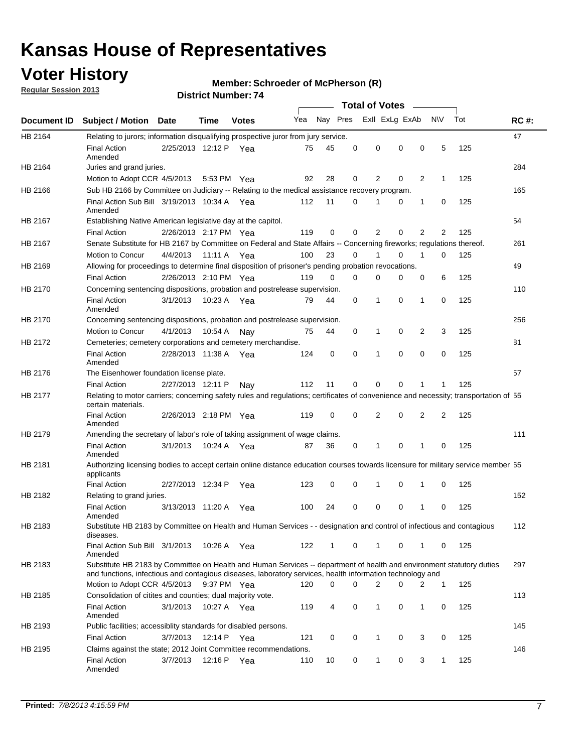## **Voter History**

**Member: Schroeder of McPherson (R)** 

**Regular Session 2013**

|                |                                                                                                                                                                                                                                    |                       |             |              |     |          |          | <b>Total of Votes</b> |   |              |              |     |             |
|----------------|------------------------------------------------------------------------------------------------------------------------------------------------------------------------------------------------------------------------------------|-----------------------|-------------|--------------|-----|----------|----------|-----------------------|---|--------------|--------------|-----|-------------|
| Document ID    | Subject / Motion Date                                                                                                                                                                                                              |                       | Time        | <b>Votes</b> | Yea | Nay Pres |          | Exll ExLg ExAb        |   |              | <b>NV</b>    | Tot | <b>RC#:</b> |
| HB 2164        | Relating to jurors; information disqualifying prospective juror from jury service.                                                                                                                                                 |                       |             |              |     |          |          |                       |   |              |              |     | 47          |
|                | <b>Final Action</b>                                                                                                                                                                                                                | 2/25/2013 12:12 P Yea |             |              | 75  | 45       | 0        | 0                     | 0 | 0            | 5            | 125 |             |
| HB 2164        | Amended<br>Juries and grand juries.                                                                                                                                                                                                |                       |             |              |     |          |          |                       |   |              |              |     | 284         |
|                | Motion to Adopt CCR 4/5/2013                                                                                                                                                                                                       |                       |             | 5:53 PM Yea  | 92  | 28       | 0        | 2                     | 0 | 2            | $\mathbf{1}$ | 125 |             |
| HB 2166        | Sub HB 2166 by Committee on Judiciary -- Relating to the medical assistance recovery program.                                                                                                                                      |                       |             |              |     |          |          |                       |   |              |              |     | 165         |
|                | Final Action Sub Bill 3/19/2013 10:34 A Yea                                                                                                                                                                                        |                       |             |              | 112 | 11       | 0        |                       | 0 | 1            | 0            | 125 |             |
|                | Amended                                                                                                                                                                                                                            |                       |             |              |     |          |          |                       |   |              |              |     |             |
| HB 2167        | Establishing Native American legislative day at the capitol.                                                                                                                                                                       |                       |             |              |     |          |          |                       |   |              |              |     | 54          |
|                | <b>Final Action</b>                                                                                                                                                                                                                | 2/26/2013 2:17 PM Yea |             |              | 119 | 0        | 0        | 2                     | 0 | 2            | 2            | 125 |             |
| HB 2167        | Senate Substitute for HB 2167 by Committee on Federal and State Affairs -- Concerning fireworks; regulations thereof.                                                                                                              |                       |             |              |     |          |          |                       |   |              |              |     | 261         |
|                | Motion to Concur                                                                                                                                                                                                                   | 4/4/2013 11:11 A Yea  |             |              | 100 | 23       | 0        |                       | 0 | 1            | $\Omega$     | 125 |             |
| HB 2169        | Allowing for proceedings to determine final disposition of prisoner's pending probation revocations.                                                                                                                               |                       |             |              |     |          |          |                       |   |              |              |     | 49          |
|                | <b>Final Action</b>                                                                                                                                                                                                                | 2/26/2013 2:10 PM Yea |             |              | 119 | $\Omega$ | $\Omega$ | 0                     | 0 | 0            | 6            | 125 |             |
| HB 2170        | Concerning sentencing dispositions, probation and postrelease supervision.                                                                                                                                                         |                       |             |              |     |          |          |                       |   |              |              |     | 110         |
|                | <b>Final Action</b><br>Amended                                                                                                                                                                                                     | 3/1/2013              |             | 10:23 A Yea  | 79  | 44       | 0        | 1                     | 0 | $\mathbf{1}$ | 0            | 125 |             |
| <b>HB 2170</b> | Concerning sentencing dispositions, probation and postrelease supervision.                                                                                                                                                         |                       |             |              |     |          |          |                       |   |              |              |     | 256         |
|                | Motion to Concur                                                                                                                                                                                                                   | 4/1/2013              | 10:54 A     | Nav          | 75  | 44       | 0        | 1                     | 0 | 2            | 3            | 125 |             |
| HB 2172        | Cemeteries; cemetery corporations and cemetery merchandise.                                                                                                                                                                        |                       |             |              |     |          |          |                       |   |              |              |     | 81          |
|                | <b>Final Action</b><br>Amended                                                                                                                                                                                                     | 2/28/2013 11:38 A     |             | Yea          | 124 | 0        | 0        | 1                     | 0 | 0            | 0            | 125 |             |
| HB 2176        | The Eisenhower foundation license plate.                                                                                                                                                                                           |                       |             |              |     |          |          |                       |   |              |              |     | 57          |
|                | <b>Final Action</b>                                                                                                                                                                                                                | 2/27/2013 12:11 P     |             | Nav          | 112 | 11       | 0        | 0                     | 0 |              |              | 125 |             |
| HB 2177        | Relating to motor carriers; concerning safety rules and regulations; certificates of convenience and necessity; transportation of 55<br>certain materials.                                                                         |                       |             |              |     |          |          |                       |   |              |              |     |             |
|                | <b>Final Action</b><br>Amended                                                                                                                                                                                                     | 2/26/2013 2:18 PM Yea |             |              | 119 | 0        | 0        | 2                     | 0 | 2            | 2            | 125 |             |
| HB 2179        | Amending the secretary of labor's role of taking assignment of wage claims.                                                                                                                                                        |                       |             |              |     |          |          |                       |   |              |              |     | 111         |
|                | <b>Final Action</b><br>Amended                                                                                                                                                                                                     | 3/1/2013              |             | 10:24 A Yea  | 87  | 36       | 0        | 1                     | 0 | 1            | 0            | 125 |             |
| HB 2181        | Authorizing licensing bodies to accept certain online distance education courses towards licensure for military service member 55<br>applicants                                                                                    |                       |             |              |     |          |          |                       |   |              |              |     |             |
|                | <b>Final Action</b>                                                                                                                                                                                                                | 2/27/2013 12:34 P     |             | Yea          | 123 | 0        | 0        | 1                     | 0 | 1            | 0            | 125 |             |
| HB 2182        | Relating to grand juries.                                                                                                                                                                                                          |                       |             |              |     |          |          |                       |   |              |              |     | 152         |
|                | <b>Final Action</b><br>Amended                                                                                                                                                                                                     | 3/13/2013 11:20 A     |             | Yea          | 100 | 24       | 0        | 0                     | 0 | 1            | 0            | 125 |             |
| HB 2183        | Substitute HB 2183 by Committee on Health and Human Services - - designation and control of infectious and contagious<br>diseases.                                                                                                 |                       |             |              |     |          |          |                       |   |              |              |     | 112         |
|                | Final Action Sub Bill 3/1/2013<br>Amended                                                                                                                                                                                          |                       |             | 10:26 A Yea  | 122 | 1        | 0        | $\mathbf{1}$          | 0 | 1            | 0            | 125 |             |
| HB 2183        | Substitute HB 2183 by Committee on Health and Human Services -- department of health and environment statutory duties<br>and functions, infectious and contagious diseases, laboratory services, health information technology and |                       |             |              |     |          |          |                       |   |              |              |     | 297         |
|                | Motion to Adopt CCR 4/5/2013                                                                                                                                                                                                       |                       |             | 9:37 PM Yea  | 120 | 0        | $\Omega$ | 2                     | 0 | 2            | $\mathbf{1}$ | 125 |             |
| HB 2185        | Consolidation of citites and counties; dual majority vote.                                                                                                                                                                         |                       |             |              |     |          |          |                       |   |              |              |     | 113         |
|                | <b>Final Action</b><br>Amended                                                                                                                                                                                                     | 3/1/2013              |             | 10:27 A Yea  | 119 | 4        | 0        | 1                     | 0 | 1            | 0            | 125 |             |
| HB 2193        | Public facilities; accessiblity standards for disabled persons.                                                                                                                                                                    |                       |             |              |     |          |          |                       |   |              |              |     | 145         |
|                | <b>Final Action</b>                                                                                                                                                                                                                | 3/7/2013              | 12:14 P Yea |              | 121 | 0        | 0        | 1                     | 0 | 3            | 0            | 125 |             |
| HB 2195        | Claims against the state; 2012 Joint Committee recommendations.                                                                                                                                                                    |                       |             |              |     |          |          |                       |   |              |              |     | 146         |
|                | <b>Final Action</b><br>Amended                                                                                                                                                                                                     | 3/7/2013              | 12:16 P Yea |              | 110 | 10       | 0        | $\mathbf{1}$          | 0 | 3            | $\mathbf{1}$ | 125 |             |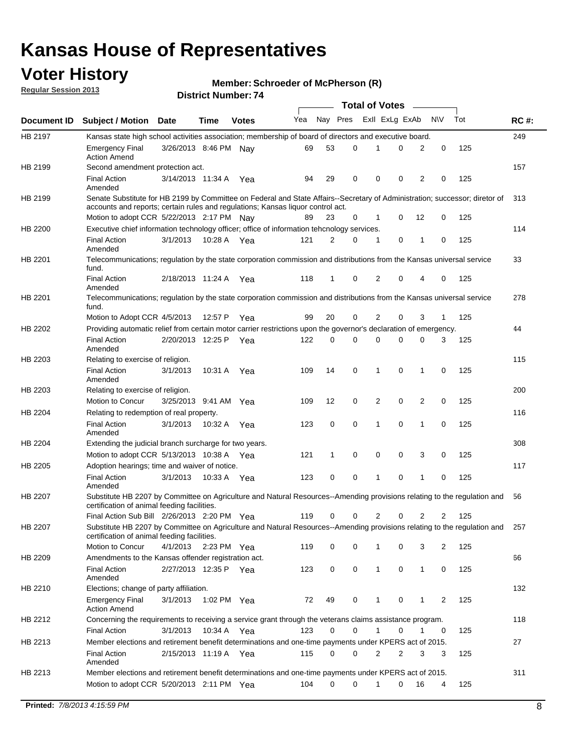## **Voter History**

**Member: Schroeder of McPherson (R)** 

**Regular Session 2013**

|                |                                                                                                                                                                         |                       |             |              |     |          |   | <b>Total of Votes</b> |   |                |                |     |             |
|----------------|-------------------------------------------------------------------------------------------------------------------------------------------------------------------------|-----------------------|-------------|--------------|-----|----------|---|-----------------------|---|----------------|----------------|-----|-------------|
| Document ID    | <b>Subject / Motion Date</b>                                                                                                                                            |                       | Time        | <b>Votes</b> | Yea | Nay Pres |   | Exll ExLg ExAb        |   |                | N\V            | Tot | <b>RC#:</b> |
| HB 2197        | Kansas state high school activities association; membership of board of directors and executive board.                                                                  |                       |             |              |     |          |   |                       |   |                |                |     | 249         |
|                | <b>Emergency Final</b><br><b>Action Amend</b>                                                                                                                           | 3/26/2013 8:46 PM Nav |             |              | 69  | 53       | 0 | 1                     | 0 | 2              | 0              | 125 |             |
| HB 2199        | Second amendment protection act.                                                                                                                                        |                       |             |              |     |          |   |                       |   |                |                |     | 157         |
|                | <b>Final Action</b><br>Amended                                                                                                                                          | 3/14/2013 11:34 A     |             | Yea          | 94  | 29       | 0 | 0                     | 0 | 2              | 0              | 125 |             |
| HB 2199        | Senate Substitute for HB 2199 by Committee on Federal and State Affairs--Secretary of Administration; successor; diretor of                                             |                       |             |              |     |          |   |                       |   |                |                |     | 313         |
|                | accounts and reports; certain rules and regulations; Kansas liquor control act.                                                                                         |                       |             |              |     |          |   |                       |   |                |                |     |             |
|                | Motion to adopt CCR 5/22/2013 2:17 PM Nav                                                                                                                               |                       |             |              | 89  | 23       | 0 | 1                     | 0 | 12             | 0              | 125 |             |
| HB 2200        | Executive chief information technology officer; office of information tehcnology services.                                                                              |                       |             |              |     |          |   |                       |   |                |                |     | 114         |
|                | <b>Final Action</b><br>Amended                                                                                                                                          | 3/1/2013              | 10:28 A Yea |              | 121 | 2        | 0 | 1                     | 0 | 1              | 0              | 125 |             |
| HB 2201        | Telecommunications; regulation by the state corporation commission and distributions from the Kansas universal service<br>fund.                                         |                       |             |              |     |          |   |                       |   |                |                |     | 33          |
|                | <b>Final Action</b><br>Amended                                                                                                                                          | 2/18/2013 11:24 A     |             | Yea          | 118 | 1        | 0 | 2                     | 0 | 4              | 0              | 125 |             |
| HB 2201        | Telecommunications; regulation by the state corporation commission and distributions from the Kansas universal service<br>fund.                                         |                       |             |              |     |          |   |                       |   |                |                |     | 278         |
|                | Motion to Adopt CCR 4/5/2013                                                                                                                                            |                       | 12:57 P     | Yea          | 99  | 20       | 0 | 2                     | 0 | 3              | $\mathbf{1}$   | 125 |             |
| HB 2202        | Providing automatic relief from certain motor carrier restrictions upon the governor's declaration of emergency.                                                        |                       |             |              |     |          |   |                       |   |                |                |     | 44          |
|                | <b>Final Action</b><br>Amended                                                                                                                                          | 2/20/2013 12:25 P     |             | Yea          | 122 | 0        | 0 | 0                     | 0 | 0              | 3              | 125 |             |
| HB 2203        | Relating to exercise of religion.                                                                                                                                       |                       |             |              |     |          |   |                       |   |                |                |     | 115         |
|                | <b>Final Action</b><br>Amended                                                                                                                                          | 3/1/2013              | 10:31 A     | Yea          | 109 | 14       | 0 | 1                     | 0 | 1              | 0              | 125 |             |
| HB 2203        | Relating to exercise of religion.                                                                                                                                       |                       |             |              |     |          |   |                       |   |                |                |     | 200         |
|                | Motion to Concur                                                                                                                                                        | 3/25/2013 9:41 AM Yea |             |              | 109 | 12       | 0 | 2                     | 0 | $\overline{2}$ | $\mathbf 0$    | 125 |             |
| HB 2204        | Relating to redemption of real property.                                                                                                                                |                       |             |              |     |          |   |                       |   |                |                |     | 116         |
|                | <b>Final Action</b><br>Amended                                                                                                                                          | 3/1/2013              | 10:32 A Yea |              | 123 | 0        | 0 | 1                     | 0 | 1              | $\mathbf 0$    | 125 |             |
| HB 2204        | Extending the judicial branch surcharge for two years.                                                                                                                  |                       |             |              |     |          |   |                       |   |                |                |     | 308         |
|                | Motion to adopt CCR 5/13/2013 10:38 A                                                                                                                                   |                       |             | Yea          | 121 | 1        | 0 | 0                     | 0 | 3              | 0              | 125 |             |
| HB 2205        | Adoption hearings; time and waiver of notice.                                                                                                                           |                       |             |              |     |          |   |                       |   |                |                |     | 117         |
|                | <b>Final Action</b><br>Amended                                                                                                                                          | 3/1/2013              | 10:33 A Yea |              | 123 | 0        | 0 | 1                     | 0 | 1              | 0              | 125 |             |
| HB 2207        | Substitute HB 2207 by Committee on Agriculture and Natural Resources--Amending provisions relating to the regulation and<br>certification of animal feeding facilities. |                       |             |              |     |          |   |                       |   |                |                |     | 56          |
|                | Final Action Sub Bill 2/26/2013 2:20 PM Yea                                                                                                                             |                       |             |              | 119 | 0        | 0 | 2                     | 0 | 2              | 2              | 125 |             |
| <b>HB 2207</b> | Substitute HB 2207 by Committee on Agriculture and Natural Resources--Amending provisions relating to the regulation and<br>certification of animal feeding facilities. |                       |             |              |     |          |   |                       |   |                |                |     | 257         |
|                | Motion to Concur                                                                                                                                                        | 4/1/2013              | 2:23 PM Yea |              | 119 | 0        | 0 | 1                     | 0 | 3              | 2              | 125 |             |
| HB 2209        | Amendments to the Kansas offender registration act.                                                                                                                     |                       |             |              |     |          |   |                       |   |                |                |     | 66          |
|                | <b>Final Action</b><br>Amended                                                                                                                                          | 2/27/2013 12:35 P Yea |             |              | 123 | 0        | 0 | $\mathbf{1}$          | 0 | $\mathbf{1}$   | 0              | 125 |             |
| HB 2210        | Elections; change of party affiliation.                                                                                                                                 |                       |             |              |     |          |   |                       |   |                |                |     | 132         |
|                | <b>Emergency Final</b><br><b>Action Amend</b>                                                                                                                           | 3/1/2013              | 1:02 PM Yea |              | 72  | 49       | 0 | 1                     | 0 | 1              | $\overline{2}$ | 125 |             |
| HB 2212        | Concerning the requirements to receiving a service grant through the veterans claims assistance program.                                                                |                       |             |              |     |          |   |                       |   |                |                |     | 118         |
|                | <b>Final Action</b>                                                                                                                                                     | 3/1/2013              | 10:34 A Yea |              | 123 | 0        | 0 | $\mathbf{1}$          | 0 | 1              | 0              | 125 |             |
| HB 2213        | Member elections and retirement benefit determinations and one-time payments under KPERS act of 2015.                                                                   |                       |             |              |     |          |   |                       |   |                |                |     | 27          |
|                | <b>Final Action</b><br>Amended                                                                                                                                          | 2/15/2013 11:19 A Yea |             |              | 115 | 0        | 0 | 2                     | 2 | 3              | 3              | 125 |             |
| HB 2213        | Member elections and retirement benefit determinations and one-time payments under KPERS act of 2015.                                                                   |                       |             |              |     |          |   |                       |   |                |                |     | 311         |
|                | Motion to adopt CCR 5/20/2013 2:11 PM Yea                                                                                                                               |                       |             |              | 104 | 0        | 0 | 1                     | 0 | 16             | 4              | 125 |             |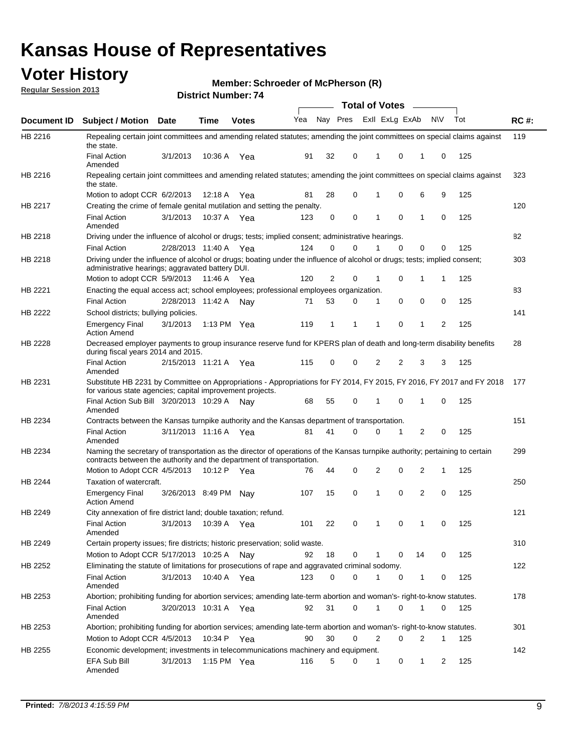## **Voter History**

**Member: Schroeder of McPherson (R)** 

**Regular Session 2013**

|                |                                                                                                                                                                                                       |                       | ו <sub>י י</sub> סעוווער ועוווגרש |               |                             |              |          | <b>Total of Votes</b> |   | $\sim$         |              |     |             |
|----------------|-------------------------------------------------------------------------------------------------------------------------------------------------------------------------------------------------------|-----------------------|-----------------------------------|---------------|-----------------------------|--------------|----------|-----------------------|---|----------------|--------------|-----|-------------|
| Document ID    | <b>Subject / Motion Date</b>                                                                                                                                                                          |                       | <b>Time</b>                       | <b>Votes</b>  | Yea Nay Pres ExII ExLg ExAb |              |          |                       |   |                | <b>NV</b>    | Tot | <b>RC#:</b> |
| HB 2216        | Repealing certain joint committees and amending related statutes; amending the joint committees on special claims against<br>the state.                                                               |                       |                                   |               |                             |              |          |                       |   |                |              |     | 119         |
|                | <b>Final Action</b><br>Amended                                                                                                                                                                        | 3/1/2013              | 10:36 A                           | Yea           | 91                          | 32           | 0        | 1                     | 0 | 1              | 0            | 125 |             |
| HB 2216        | Repealing certain joint committees and amending related statutes; amending the joint committees on special claims against<br>the state.                                                               |                       |                                   |               |                             |              |          |                       |   |                |              |     | 323         |
|                | Motion to adopt CCR 6/2/2013                                                                                                                                                                          |                       | 12:18 A                           | Yea           | 81                          | 28           | 0        | 1                     | 0 | 6              | 9            | 125 |             |
| HB 2217        | Creating the crime of female genital mutilation and setting the penalty.                                                                                                                              |                       |                                   |               |                             |              |          |                       |   |                |              |     | 120         |
|                | <b>Final Action</b><br>Amended                                                                                                                                                                        | 3/1/2013              | 10:37 A Yea                       |               | 123                         | 0            | 0        | 1                     | 0 | $\mathbf{1}$   | 0            | 125 |             |
| HB 2218        | Driving under the influence of alcohol or drugs; tests; implied consent; administrative hearings.                                                                                                     |                       |                                   |               |                             |              |          |                       |   |                |              |     | 82          |
|                | <b>Final Action</b>                                                                                                                                                                                   | 2/28/2013 11:40 A     |                                   | Yea           | 124                         | 0            | 0        | 1                     | 0 | 0              | 0            | 125 |             |
| HB 2218        | Driving under the influence of alcohol or drugs; boating under the influence of alcohol or drugs; tests; implied consent;<br>administrative hearings; aggravated battery DUI.                         |                       |                                   |               |                             |              |          |                       |   |                |              |     | 303         |
|                | Motion to adopt CCR 5/9/2013                                                                                                                                                                          |                       | 11:46 A                           | Yea           | 120                         | 2            | 0        | 1                     | 0 | 1              | 1            | 125 |             |
| HB 2221        | Enacting the equal access act; school employees; professional employees organization.                                                                                                                 |                       |                                   |               |                             |              |          |                       |   |                |              |     | 83          |
|                | <b>Final Action</b>                                                                                                                                                                                   | 2/28/2013 11:42 A     |                                   | Nav           | 71                          | 53           | 0        | 1                     | 0 | 0              | 0            | 125 |             |
| HB 2222        | School districts; bullying policies.<br><b>Emergency Final</b>                                                                                                                                        | 3/1/2013              |                                   | 1:13 PM $Yea$ | 119                         | $\mathbf{1}$ | 1        | 1                     | 0 | $\mathbf{1}$   | 2            | 125 | 141         |
|                | <b>Action Amend</b>                                                                                                                                                                                   |                       |                                   |               |                             |              |          |                       |   |                |              |     |             |
| HB 2228        | Decreased employer payments to group insurance reserve fund for KPERS plan of death and long-term disability benefits<br>during fiscal years 2014 and 2015.                                           |                       |                                   |               |                             |              |          |                       |   |                |              |     | 28          |
|                | <b>Final Action</b><br>Amended                                                                                                                                                                        | 2/15/2013 11:21 A Yea |                                   |               | 115                         | 0            | 0        | 2                     | 2 | 3              | 3            | 125 |             |
| HB 2231        | Substitute HB 2231 by Committee on Appropriations - Appropriations for FY 2014, FY 2015, FY 2016, FY 2017 and FY 2018<br>for various state agencies; capital improvement projects.                    |                       |                                   |               |                             |              |          |                       |   |                |              |     | 177         |
|                | Final Action Sub Bill 3/20/2013 10:29 A<br>Amended                                                                                                                                                    |                       |                                   | Nav           | 68                          | 55           | 0        |                       | 0 | 1              | 0            | 125 |             |
| HB 2234        | Contracts between the Kansas turnpike authority and the Kansas department of transportation.                                                                                                          |                       |                                   |               |                             |              |          |                       |   |                |              |     | 151         |
|                | <b>Final Action</b><br>Amended                                                                                                                                                                        | 3/11/2013 11:16 A Yea |                                   |               | 81                          | 41           | $\Omega$ | 0                     | 1 | $\overline{2}$ | 0            | 125 |             |
| HB 2234        | Naming the secretary of transportation as the director of operations of the Kansas turnpike authority; pertaining to certain<br>contracts between the authority and the department of transportation. |                       |                                   |               |                             |              |          |                       |   |                |              |     | 299         |
|                | Motion to Adopt CCR 4/5/2013                                                                                                                                                                          |                       | 10:12 P                           | Yea           | 76                          | 44           | 0        | 2                     | 0 | 2              | 1            | 125 |             |
| <b>HB 2244</b> | Taxation of watercraft.<br><b>Emergency Final</b>                                                                                                                                                     | 3/26/2013 8:49 PM     |                                   | Nay           | 107                         | 15           | 0        | 1                     | 0 | 2              | 0            | 125 | 250         |
|                | <b>Action Amend</b>                                                                                                                                                                                   |                       |                                   |               |                             |              |          |                       |   |                |              |     |             |
| HB 2249        | City annexation of fire district land; double taxation; refund.                                                                                                                                       |                       |                                   |               |                             |              |          |                       |   |                |              |     | 121         |
|                | Final Action 3/1/2013 10:39 A Yea<br>Amended                                                                                                                                                          |                       |                                   |               | 101                         | 22           | 0        | $\mathbf{1}$          | 0 | $\mathbf{1}$   | 0            | 125 |             |
| HB 2249        | Certain property issues; fire districts; historic preservation; solid waste.                                                                                                                          |                       |                                   |               |                             |              |          |                       |   |                |              |     | 310         |
|                | Motion to Adopt CCR 5/17/2013 10:25 A                                                                                                                                                                 |                       |                                   | Nav           | 92                          | 18           | 0        | 1                     | 0 | 14             | 0            | 125 |             |
| HB 2252        | Eliminating the statute of limitations for prosecutions of rape and aggravated criminal sodomy.                                                                                                       |                       |                                   |               |                             |              |          |                       |   |                |              |     | 122         |
|                | <b>Final Action</b><br>Amended                                                                                                                                                                        | 3/1/2013              |                                   | 10:40 A Yea   | 123                         | 0            | 0        |                       | 0 | $\mathbf{1}$   | 0            | 125 |             |
| HB 2253        | Abortion; prohibiting funding for abortion services; amending late-term abortion and woman's- right-to-know statutes.                                                                                 |                       |                                   |               |                             |              |          |                       |   |                |              |     | 178         |
|                | <b>Final Action</b><br>Amended                                                                                                                                                                        | 3/20/2013 10:31 A Yea |                                   |               | 92                          | 31           | 0        | 1                     | 0 | 1              | 0            | 125 |             |
| HB 2253        | Abortion; prohibiting funding for abortion services; amending late-term abortion and woman's- right-to-know statutes.                                                                                 |                       |                                   |               |                             |              |          |                       |   |                |              |     | 301         |
|                | Motion to Adopt CCR 4/5/2013                                                                                                                                                                          |                       |                                   | 10:34 P Yea   | 90                          | 30           | 0        | 2                     | 0 | 2              | $\mathbf{1}$ | 125 |             |
| HB 2255        | Economic development; investments in telecommunications machinery and equipment.                                                                                                                      |                       |                                   |               |                             |              |          |                       |   |                |              |     | 142         |
|                | EFA Sub Bill<br>Amended                                                                                                                                                                               | 3/1/2013              |                                   | 1:15 PM Yea   | 116                         | 5            | 0        | 1                     | 0 | 1              | 2            | 125 |             |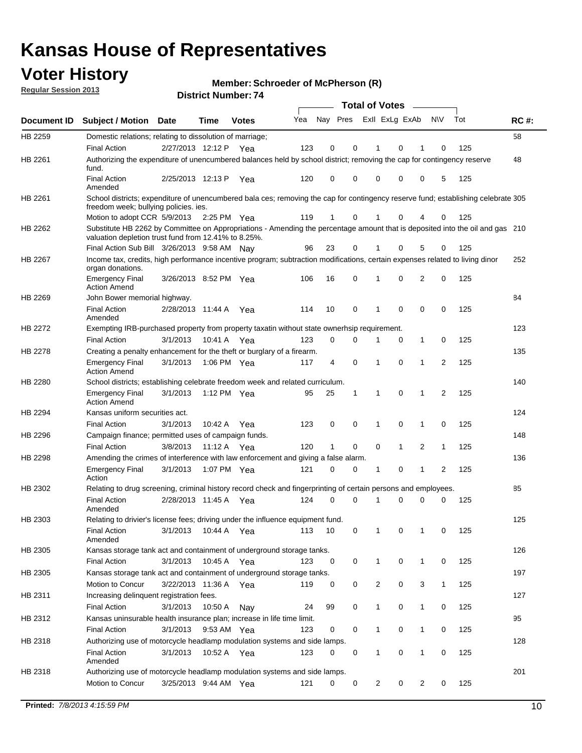## **Voter History**

**Member: Schroeder of McPherson (R)** 

**Regular Session 2013**

|             |                                                                                                                                                                                       |                       |             |              |     |                         |              | <b>Total of Votes</b> |              | $\sim$         |                |     |             |
|-------------|---------------------------------------------------------------------------------------------------------------------------------------------------------------------------------------|-----------------------|-------------|--------------|-----|-------------------------|--------------|-----------------------|--------------|----------------|----------------|-----|-------------|
| Document ID | <b>Subject / Motion</b>                                                                                                                                                               | Date                  | <b>Time</b> | <b>Votes</b> | Yea | Nay Pres ExII ExLg ExAb |              |                       |              |                | N\V            | Tot | <b>RC#:</b> |
| HB 2259     | Domestic relations; relating to dissolution of marriage;                                                                                                                              |                       |             |              |     |                         |              |                       |              |                |                |     | 58          |
|             | <b>Final Action</b>                                                                                                                                                                   | 2/27/2013 12:12 P Yea |             |              | 123 | $\mathbf 0$             | 0            | 1                     | $\Omega$     | 1              | 0              | 125 |             |
| HB 2261     | Authorizing the expenditure of unencumbered balances held by school district; removing the cap for contingency reserve<br>fund.                                                       |                       |             |              |     |                         |              |                       |              |                |                |     | 48          |
|             | <b>Final Action</b><br>Amended                                                                                                                                                        | 2/25/2013 12:13 P     |             | Yea          | 120 | 0                       | 0            | 0                     | 0            | 0              | 5              | 125 |             |
| HB 2261     | School districts; expenditure of unencumbered bala ces; removing the cap for contingency reserve fund; establishing celebrate 305<br>freedom week; bullying policies, ies.            |                       |             |              |     |                         |              |                       |              |                |                |     |             |
|             | Motion to adopt CCR 5/9/2013                                                                                                                                                          |                       | 2:25 PM Yea |              | 119 | $\mathbf{1}$            | 0            | 1                     | 0            | 4              | 0              | 125 |             |
| HB 2262     | Substitute HB 2262 by Committee on Appropriations - Amending the percentage amount that is deposited into the oil and gas 210<br>valuation depletion trust fund from 12.41% to 8.25%. |                       |             |              |     |                         |              |                       |              |                |                |     |             |
|             | Final Action Sub Bill 3/26/2013 9:58 AM Nay                                                                                                                                           |                       |             |              | 96  | 23                      | 0            |                       | 0            | 5              | 0              | 125 |             |
| HB 2267     | Income tax, credits, high performance incentive program; subtraction modifications, certain expenses related to living dinor<br>organ donations.                                      |                       |             |              |     |                         |              |                       |              |                |                |     | 252         |
|             | <b>Emergency Final</b><br><b>Action Amend</b>                                                                                                                                         | 3/26/2013 8:52 PM Yea |             |              | 106 | 16                      | 0            | 1                     | 0            | 2              | 0              | 125 |             |
| HB 2269     | John Bower memorial highway.                                                                                                                                                          |                       |             |              |     |                         |              |                       |              |                |                |     | 84          |
|             | <b>Final Action</b><br>Amended                                                                                                                                                        | 2/28/2013 11:44 A     |             | Yea          | 114 | 10                      | $\mathbf 0$  | $\mathbf 1$           | $\mathbf 0$  | 0              | $\mathbf 0$    | 125 |             |
| HB 2272     | Exempting IRB-purchased property from property taxatin without state ownerhsip requirement.                                                                                           |                       |             |              |     |                         |              |                       |              |                |                |     | 123         |
|             | <b>Final Action</b>                                                                                                                                                                   | 3/1/2013              | 10:41 A     | Yea          | 123 | 0                       | 0            | 1                     | 0            | 1              | 0              | 125 |             |
| HB 2278     | Creating a penalty enhancement for the theft or burglary of a firearm.                                                                                                                |                       |             |              |     |                         |              |                       |              |                |                |     | 135         |
|             | <b>Emergency Final</b><br><b>Action Amend</b>                                                                                                                                         | 3/1/2013              | 1:06 PM Yea |              | 117 | 4                       | 0            | 1                     | 0            | 1              | $\overline{2}$ | 125 |             |
| HB 2280     | School districts; establishing celebrate freedom week and related curriculum.                                                                                                         |                       |             |              |     |                         |              |                       |              |                |                |     | 140         |
|             | <b>Emergency Final</b><br><b>Action Amend</b>                                                                                                                                         | 3/1/2013              | 1:12 PM Yea |              | 95  | 25                      | $\mathbf{1}$ | $\mathbf{1}$          | 0            | 1              | 2              | 125 |             |
| HB 2294     | Kansas uniform securities act.                                                                                                                                                        |                       |             |              |     |                         |              |                       |              |                |                |     | 124         |
|             | <b>Final Action</b>                                                                                                                                                                   | 3/1/2013              | 10:42 A Yea |              | 123 | 0                       | 0            | 1                     | 0            | 1              | 0              | 125 |             |
| HB 2296     | Campaign finance; permitted uses of campaign funds.                                                                                                                                   |                       |             |              |     |                         |              |                       |              |                |                |     | 148         |
|             | <b>Final Action</b>                                                                                                                                                                   | 3/8/2013              | 11:12 A Yea |              | 120 | $\mathbf{1}$            | 0            | 0                     | $\mathbf{1}$ | $\overline{2}$ | $\mathbf{1}$   | 125 |             |
| HB 2298     | Amending the crimes of interference with law enforcement and giving a false alarm.                                                                                                    |                       |             |              |     |                         |              |                       |              |                |                |     | 136         |
|             | <b>Emergency Final</b><br>Action                                                                                                                                                      | 3/1/2013              | 1:07 PM Yea |              | 121 | 0                       | 0            | 1                     | 0            | $\mathbf 1$    | 2              | 125 |             |
| HB 2302     | Relating to drug screening, criminal history record check and fingerprinting of certain persons and employees.                                                                        |                       |             |              |     |                         |              |                       |              |                |                |     | 85          |
|             | <b>Final Action</b><br>Amended                                                                                                                                                        | 2/28/2013 11:45 A     |             | Yea          | 124 | 0                       | 0            | $\mathbf 1$           | 0            | 0              | 0              | 125 |             |
| HB 2303     | Relating to drivier's license fees; driving under the influence equipment fund.                                                                                                       |                       |             |              |     |                         |              |                       |              |                |                |     | 125         |
|             | <b>Final Action</b><br>Amended                                                                                                                                                        | 3/1/2013              | 10:44 A     | Yea          | 113 | 10                      | 0            | 1                     | 0            | 1              | 0              | 125 |             |
| HB 2305     | Kansas storage tank act and containment of underground storage tanks.                                                                                                                 |                       |             |              |     |                         |              |                       |              |                |                |     | 126         |
|             | <b>Final Action</b>                                                                                                                                                                   | 3/1/2013              | 10:45 A     | Yea          | 123 | 0                       | 0            | $\mathbf{1}$          | 0            | 1              | 0              | 125 |             |
| HB 2305     | Kansas storage tank act and containment of underground storage tanks.                                                                                                                 |                       |             |              |     |                         |              |                       |              |                |                |     | 197         |
|             | Motion to Concur                                                                                                                                                                      | 3/22/2013 11:36 A     |             | Yea          | 119 | 0                       | 0            | 2                     | 0            | 3              | $\mathbf{1}$   | 125 |             |
| HB 2311     | Increasing delinquent registration fees.<br><b>Final Action</b>                                                                                                                       | 3/1/2013              | 10:50 A     |              | 24  | 99                      | 0            | $\mathbf 1$           | 0            | 1              | 0              | 125 | 127         |
| HB 2312     | Kansas uninsurable health insurance plan; increase in life time limit.                                                                                                                |                       |             | Nay          |     |                         |              |                       |              |                |                |     | 95          |
|             | <b>Final Action</b>                                                                                                                                                                   | 3/1/2013              | 9:53 AM Yea |              |     | 0                       | 0            | $\mathbf 1$           | 0            | 1              | 0              | 125 |             |
| HB 2318     | Authorizing use of motorcycle headlamp modulation systems and side lamps.                                                                                                             |                       |             |              | 123 |                         |              |                       |              |                |                |     | 128         |
|             | <b>Final Action</b><br>Amended                                                                                                                                                        | 3/1/2013              | 10:52 A Yea |              | 123 | 0                       | 0            | 1                     | 0            | 1              | 0              | 125 |             |
| HB 2318     | Authorizing use of motorcycle headlamp modulation systems and side lamps.                                                                                                             |                       |             |              |     |                         |              |                       |              |                |                |     | 201         |
|             | Motion to Concur                                                                                                                                                                      | 3/25/2013 9:44 AM Yea |             |              | 121 | 0                       | 0            | $\overline{2}$        | 0            | $\overline{2}$ | 0              | 125 |             |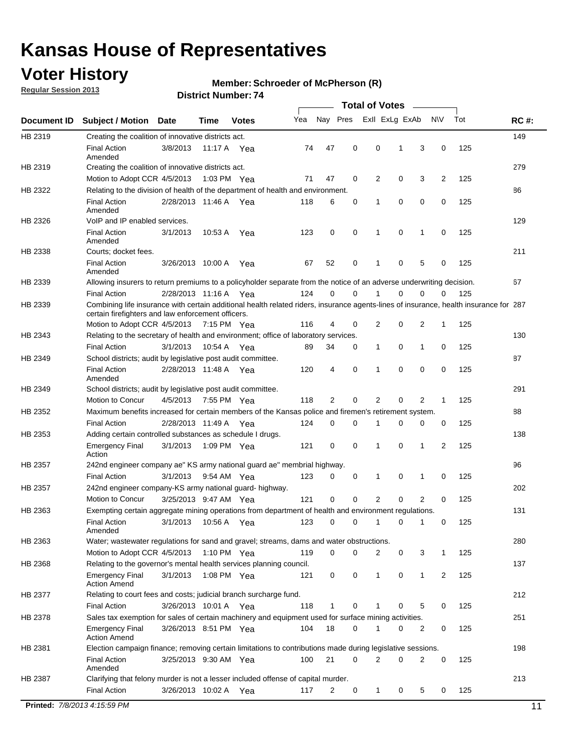## **Voter History**

**Regular Session 2013**

#### **Member: Schroeder of McPherson (R)**

| Nay Pres<br>Exll ExLg ExAb<br>Tot<br>Yea<br><b>NV</b><br><b>RC#:</b><br><b>Subject / Motion</b><br>Date<br>Time<br><b>Votes</b><br>149<br>Creating the coalition of innovative districts act.<br>47<br>0<br>0<br>125<br><b>Final Action</b><br>3/8/2013<br>3<br>0<br>11:17 A<br>74<br>1<br>Yea<br>Amended<br>279<br>Creating the coalition of innovative districts act.<br>47<br>0<br>2<br>0<br>3<br>2<br>125<br>Motion to Adopt CCR 4/5/2013<br>1:03 PM Yea<br>71<br>Relating to the division of health of the department of health and environment.<br>86<br>0<br>0<br>0<br>125<br><b>Final Action</b><br>2/28/2013 11:46 A Yea<br>118<br>6<br>0<br>1<br>Amended<br>VoIP and IP enabled services.<br>129<br>$\mathbf 0$<br>$\mathbf 0$<br><b>Final Action</b><br>3/1/2013<br>123<br>0<br>1<br>$\mathbf 0$<br>125<br>10:53 A<br>1<br>Yea<br>Amended<br>211<br>Courts; docket fees.<br><b>Final Action</b><br>0<br>125<br>3/26/2013 10:00 A<br>52<br>$\mathbf 1$<br>0<br>5<br>0<br>Yea<br>67<br>Amended<br>67<br>Allowing insurers to return premiums to a policyholder separate from the notice of an adverse underwriting decision.<br>0<br>2/28/2013 11:16 A Yea<br>124<br>0<br>1<br>0<br>0<br>125<br><b>Final Action</b><br>0<br>Combining life insurance with certain additional health related riders, insurance agents-lines of insurance, health insurance for 287<br>certain firefighters and law enforcement officers.<br>2<br>0<br>125<br>Motion to Adopt CCR 4/5/2013 7:15 PM Yea<br>116<br>4<br>0<br>2<br>1<br>Relating to the secretary of health and environment; office of laboratory services.<br>130<br><b>Final Action</b><br>0<br>125<br>3/1/2013<br>10:54 A Yea<br>89<br>34<br>0<br>$\mathbf{1}$<br>1<br>0<br>87<br>HB 2349<br>School districts; audit by legislative post audit committee.<br>$\Omega$<br>4<br>0<br>$\Omega$<br>0<br>125<br><b>Final Action</b><br>2/28/2013 11:48 A Yea<br>120<br>1<br>Amended<br>291<br>School districts; audit by legislative post audit committee.<br>Motion to Concur<br>4/5/2013<br>7:55 PM Yea<br>118<br>2<br>0<br>2<br>0<br>2<br>125<br>1<br>Maximum benefits increased for certain members of the Kansas police and firemen's retirement system.<br>88<br><b>Final Action</b><br>0<br>125<br>2/28/2013 11:49 A<br>124<br>0<br>1<br>0<br>0<br>0<br>Yea<br>138<br>Adding certain controlled substances as schedule I drugs.<br>$\mathbf 0$<br>0<br>0<br>2<br>125<br><b>Emergency Final</b><br>3/1/2013<br>1:09 PM Yea<br>121<br>1<br>1<br>Action<br>96<br>242nd engineer company ae" KS army national guard ae" membrial highway.<br>3/1/2013<br>0<br>125<br><b>Final Action</b><br>9:54 AM Yea<br>123<br>0<br>0<br>1<br>0<br>1<br>202<br>242nd engineer company-KS army national guard- highway.<br>$\mathbf 0$<br>$\mathbf 0$<br>$\overline{2}$<br>$\mathbf 0$<br>$\overline{2}$<br>3/25/2013 9:47 AM Yea<br>121<br>0<br>125<br>Motion to Concur<br>131<br>HB 2363<br>Exempting certain aggregate mining operations from department of health and environment regulations.<br>3/1/2013<br>10:56 A<br>123<br>0<br>125<br><b>Final Action</b><br>0<br>1<br>0<br>1<br>0<br>Yea<br>Amended<br>Water; wastewater regulations for sand and gravel; streams, dams and water obstructions.<br>280<br>Motion to Adopt CCR 4/5/2013<br>119<br>0<br>0<br>2<br>3<br>125<br>1:10 PM $Yea$<br>0<br>1<br>Relating to the governor's mental health services planning council.<br>137<br>0<br>0<br><b>Emergency Final</b><br>3/1/2013<br>1:08 PM Yea<br>121<br>0<br>$\mathbf{1}$<br>1<br>2<br>125<br><b>Action Amend</b><br>HB 2377<br>Relating to court fees and costs; judicial branch surcharge fund.<br>212<br>3/26/2013 10:01 A Yea<br>118<br>0<br>125<br><b>Final Action</b><br>1<br>0<br>5<br>0<br>Sales tax exemption for sales of certain machinery and equipment used for surface mining activities.<br>251<br>HB 2378<br>104<br>18<br>0<br>0<br>125<br><b>Emergency Final</b><br>3/26/2013 8:51 PM Yea<br>1<br>0<br>2<br><b>Action Amend</b><br>198<br>Election campaign finance; removing certain limitations to contributions made during legislative sessions.<br><b>Final Action</b><br>21<br>$\overline{2}$<br>0<br>2<br>0<br>3/25/2013 9:30 AM Yea<br>100<br>0<br>125<br>Amended<br>213<br>HB 2387<br>Clarifying that felony murder is not a lesser included offense of capital murder.<br><b>Final Action</b><br>125<br>3/26/2013 10:02 A<br>117<br>2<br>0<br>$\mathbf{1}$<br>0<br>5<br>0<br>Yea<br>Printed: 7/8/2013 4:15:59 PM<br>11 |             |  |  |  | <b>Total of Votes</b> |  |  |  |
|--------------------------------------------------------------------------------------------------------------------------------------------------------------------------------------------------------------------------------------------------------------------------------------------------------------------------------------------------------------------------------------------------------------------------------------------------------------------------------------------------------------------------------------------------------------------------------------------------------------------------------------------------------------------------------------------------------------------------------------------------------------------------------------------------------------------------------------------------------------------------------------------------------------------------------------------------------------------------------------------------------------------------------------------------------------------------------------------------------------------------------------------------------------------------------------------------------------------------------------------------------------------------------------------------------------------------------------------------------------------------------------------------------------------------------------------------------------------------------------------------------------------------------------------------------------------------------------------------------------------------------------------------------------------------------------------------------------------------------------------------------------------------------------------------------------------------------------------------------------------------------------------------------------------------------------------------------------------------------------------------------------------------------------------------------------------------------------------------------------------------------------------------------------------------------------------------------------------------------------------------------------------------------------------------------------------------------------------------------------------------------------------------------------------------------------------------------------------------------------------------------------------------------------------------------------------------------------------------------------------------------------------------------------------------------------------------------------------------------------------------------------------------------------------------------------------------------------------------------------------------------------------------------------------------------------------------------------------------------------------------------------------------------------------------------------------------------------------------------------------------------------------------------------------------------------------------------------------------------------------------------------------------------------------------------------------------------------------------------------------------------------------------------------------------------------------------------------------------------------------------------------------------------------------------------------------------------------------------------------------------------------------------------------------------------------------------------------------------------------------------------------------------------------------------------------------------------------------------------------------------------------------------------------------------------------------------------------------------------------------------------------------------------------------------------------------------------------------------------------------------------------------------------------------------------------------------------------------------------------------------------------------------------------------------------------------------------------------------------------------------------------------------------------------------------------------------------------------------------------------------------|-------------|--|--|--|-----------------------|--|--|--|
|                                                                                                                                                                                                                                                                                                                                                                                                                                                                                                                                                                                                                                                                                                                                                                                                                                                                                                                                                                                                                                                                                                                                                                                                                                                                                                                                                                                                                                                                                                                                                                                                                                                                                                                                                                                                                                                                                                                                                                                                                                                                                                                                                                                                                                                                                                                                                                                                                                                                                                                                                                                                                                                                                                                                                                                                                                                                                                                                                                                                                                                                                                                                                                                                                                                                                                                                                                                                                                                                                                                                                                                                                                                                                                                                                                                                                                                                                                                                                                                                                                                                                                                                                                                                                                                                                                                                                                                                                                                                                                        | Document ID |  |  |  |                       |  |  |  |
|                                                                                                                                                                                                                                                                                                                                                                                                                                                                                                                                                                                                                                                                                                                                                                                                                                                                                                                                                                                                                                                                                                                                                                                                                                                                                                                                                                                                                                                                                                                                                                                                                                                                                                                                                                                                                                                                                                                                                                                                                                                                                                                                                                                                                                                                                                                                                                                                                                                                                                                                                                                                                                                                                                                                                                                                                                                                                                                                                                                                                                                                                                                                                                                                                                                                                                                                                                                                                                                                                                                                                                                                                                                                                                                                                                                                                                                                                                                                                                                                                                                                                                                                                                                                                                                                                                                                                                                                                                                                                                        | HB 2319     |  |  |  |                       |  |  |  |
|                                                                                                                                                                                                                                                                                                                                                                                                                                                                                                                                                                                                                                                                                                                                                                                                                                                                                                                                                                                                                                                                                                                                                                                                                                                                                                                                                                                                                                                                                                                                                                                                                                                                                                                                                                                                                                                                                                                                                                                                                                                                                                                                                                                                                                                                                                                                                                                                                                                                                                                                                                                                                                                                                                                                                                                                                                                                                                                                                                                                                                                                                                                                                                                                                                                                                                                                                                                                                                                                                                                                                                                                                                                                                                                                                                                                                                                                                                                                                                                                                                                                                                                                                                                                                                                                                                                                                                                                                                                                                                        |             |  |  |  |                       |  |  |  |
|                                                                                                                                                                                                                                                                                                                                                                                                                                                                                                                                                                                                                                                                                                                                                                                                                                                                                                                                                                                                                                                                                                                                                                                                                                                                                                                                                                                                                                                                                                                                                                                                                                                                                                                                                                                                                                                                                                                                                                                                                                                                                                                                                                                                                                                                                                                                                                                                                                                                                                                                                                                                                                                                                                                                                                                                                                                                                                                                                                                                                                                                                                                                                                                                                                                                                                                                                                                                                                                                                                                                                                                                                                                                                                                                                                                                                                                                                                                                                                                                                                                                                                                                                                                                                                                                                                                                                                                                                                                                                                        | HB 2319     |  |  |  |                       |  |  |  |
|                                                                                                                                                                                                                                                                                                                                                                                                                                                                                                                                                                                                                                                                                                                                                                                                                                                                                                                                                                                                                                                                                                                                                                                                                                                                                                                                                                                                                                                                                                                                                                                                                                                                                                                                                                                                                                                                                                                                                                                                                                                                                                                                                                                                                                                                                                                                                                                                                                                                                                                                                                                                                                                                                                                                                                                                                                                                                                                                                                                                                                                                                                                                                                                                                                                                                                                                                                                                                                                                                                                                                                                                                                                                                                                                                                                                                                                                                                                                                                                                                                                                                                                                                                                                                                                                                                                                                                                                                                                                                                        | HB 2322     |  |  |  |                       |  |  |  |
|                                                                                                                                                                                                                                                                                                                                                                                                                                                                                                                                                                                                                                                                                                                                                                                                                                                                                                                                                                                                                                                                                                                                                                                                                                                                                                                                                                                                                                                                                                                                                                                                                                                                                                                                                                                                                                                                                                                                                                                                                                                                                                                                                                                                                                                                                                                                                                                                                                                                                                                                                                                                                                                                                                                                                                                                                                                                                                                                                                                                                                                                                                                                                                                                                                                                                                                                                                                                                                                                                                                                                                                                                                                                                                                                                                                                                                                                                                                                                                                                                                                                                                                                                                                                                                                                                                                                                                                                                                                                                                        |             |  |  |  |                       |  |  |  |
|                                                                                                                                                                                                                                                                                                                                                                                                                                                                                                                                                                                                                                                                                                                                                                                                                                                                                                                                                                                                                                                                                                                                                                                                                                                                                                                                                                                                                                                                                                                                                                                                                                                                                                                                                                                                                                                                                                                                                                                                                                                                                                                                                                                                                                                                                                                                                                                                                                                                                                                                                                                                                                                                                                                                                                                                                                                                                                                                                                                                                                                                                                                                                                                                                                                                                                                                                                                                                                                                                                                                                                                                                                                                                                                                                                                                                                                                                                                                                                                                                                                                                                                                                                                                                                                                                                                                                                                                                                                                                                        | HB 2326     |  |  |  |                       |  |  |  |
|                                                                                                                                                                                                                                                                                                                                                                                                                                                                                                                                                                                                                                                                                                                                                                                                                                                                                                                                                                                                                                                                                                                                                                                                                                                                                                                                                                                                                                                                                                                                                                                                                                                                                                                                                                                                                                                                                                                                                                                                                                                                                                                                                                                                                                                                                                                                                                                                                                                                                                                                                                                                                                                                                                                                                                                                                                                                                                                                                                                                                                                                                                                                                                                                                                                                                                                                                                                                                                                                                                                                                                                                                                                                                                                                                                                                                                                                                                                                                                                                                                                                                                                                                                                                                                                                                                                                                                                                                                                                                                        |             |  |  |  |                       |  |  |  |
|                                                                                                                                                                                                                                                                                                                                                                                                                                                                                                                                                                                                                                                                                                                                                                                                                                                                                                                                                                                                                                                                                                                                                                                                                                                                                                                                                                                                                                                                                                                                                                                                                                                                                                                                                                                                                                                                                                                                                                                                                                                                                                                                                                                                                                                                                                                                                                                                                                                                                                                                                                                                                                                                                                                                                                                                                                                                                                                                                                                                                                                                                                                                                                                                                                                                                                                                                                                                                                                                                                                                                                                                                                                                                                                                                                                                                                                                                                                                                                                                                                                                                                                                                                                                                                                                                                                                                                                                                                                                                                        | HB 2338     |  |  |  |                       |  |  |  |
|                                                                                                                                                                                                                                                                                                                                                                                                                                                                                                                                                                                                                                                                                                                                                                                                                                                                                                                                                                                                                                                                                                                                                                                                                                                                                                                                                                                                                                                                                                                                                                                                                                                                                                                                                                                                                                                                                                                                                                                                                                                                                                                                                                                                                                                                                                                                                                                                                                                                                                                                                                                                                                                                                                                                                                                                                                                                                                                                                                                                                                                                                                                                                                                                                                                                                                                                                                                                                                                                                                                                                                                                                                                                                                                                                                                                                                                                                                                                                                                                                                                                                                                                                                                                                                                                                                                                                                                                                                                                                                        |             |  |  |  |                       |  |  |  |
|                                                                                                                                                                                                                                                                                                                                                                                                                                                                                                                                                                                                                                                                                                                                                                                                                                                                                                                                                                                                                                                                                                                                                                                                                                                                                                                                                                                                                                                                                                                                                                                                                                                                                                                                                                                                                                                                                                                                                                                                                                                                                                                                                                                                                                                                                                                                                                                                                                                                                                                                                                                                                                                                                                                                                                                                                                                                                                                                                                                                                                                                                                                                                                                                                                                                                                                                                                                                                                                                                                                                                                                                                                                                                                                                                                                                                                                                                                                                                                                                                                                                                                                                                                                                                                                                                                                                                                                                                                                                                                        | HB 2339     |  |  |  |                       |  |  |  |
|                                                                                                                                                                                                                                                                                                                                                                                                                                                                                                                                                                                                                                                                                                                                                                                                                                                                                                                                                                                                                                                                                                                                                                                                                                                                                                                                                                                                                                                                                                                                                                                                                                                                                                                                                                                                                                                                                                                                                                                                                                                                                                                                                                                                                                                                                                                                                                                                                                                                                                                                                                                                                                                                                                                                                                                                                                                                                                                                                                                                                                                                                                                                                                                                                                                                                                                                                                                                                                                                                                                                                                                                                                                                                                                                                                                                                                                                                                                                                                                                                                                                                                                                                                                                                                                                                                                                                                                                                                                                                                        |             |  |  |  |                       |  |  |  |
|                                                                                                                                                                                                                                                                                                                                                                                                                                                                                                                                                                                                                                                                                                                                                                                                                                                                                                                                                                                                                                                                                                                                                                                                                                                                                                                                                                                                                                                                                                                                                                                                                                                                                                                                                                                                                                                                                                                                                                                                                                                                                                                                                                                                                                                                                                                                                                                                                                                                                                                                                                                                                                                                                                                                                                                                                                                                                                                                                                                                                                                                                                                                                                                                                                                                                                                                                                                                                                                                                                                                                                                                                                                                                                                                                                                                                                                                                                                                                                                                                                                                                                                                                                                                                                                                                                                                                                                                                                                                                                        | HB 2339     |  |  |  |                       |  |  |  |
|                                                                                                                                                                                                                                                                                                                                                                                                                                                                                                                                                                                                                                                                                                                                                                                                                                                                                                                                                                                                                                                                                                                                                                                                                                                                                                                                                                                                                                                                                                                                                                                                                                                                                                                                                                                                                                                                                                                                                                                                                                                                                                                                                                                                                                                                                                                                                                                                                                                                                                                                                                                                                                                                                                                                                                                                                                                                                                                                                                                                                                                                                                                                                                                                                                                                                                                                                                                                                                                                                                                                                                                                                                                                                                                                                                                                                                                                                                                                                                                                                                                                                                                                                                                                                                                                                                                                                                                                                                                                                                        |             |  |  |  |                       |  |  |  |
|                                                                                                                                                                                                                                                                                                                                                                                                                                                                                                                                                                                                                                                                                                                                                                                                                                                                                                                                                                                                                                                                                                                                                                                                                                                                                                                                                                                                                                                                                                                                                                                                                                                                                                                                                                                                                                                                                                                                                                                                                                                                                                                                                                                                                                                                                                                                                                                                                                                                                                                                                                                                                                                                                                                                                                                                                                                                                                                                                                                                                                                                                                                                                                                                                                                                                                                                                                                                                                                                                                                                                                                                                                                                                                                                                                                                                                                                                                                                                                                                                                                                                                                                                                                                                                                                                                                                                                                                                                                                                                        | HB 2343     |  |  |  |                       |  |  |  |
|                                                                                                                                                                                                                                                                                                                                                                                                                                                                                                                                                                                                                                                                                                                                                                                                                                                                                                                                                                                                                                                                                                                                                                                                                                                                                                                                                                                                                                                                                                                                                                                                                                                                                                                                                                                                                                                                                                                                                                                                                                                                                                                                                                                                                                                                                                                                                                                                                                                                                                                                                                                                                                                                                                                                                                                                                                                                                                                                                                                                                                                                                                                                                                                                                                                                                                                                                                                                                                                                                                                                                                                                                                                                                                                                                                                                                                                                                                                                                                                                                                                                                                                                                                                                                                                                                                                                                                                                                                                                                                        |             |  |  |  |                       |  |  |  |
|                                                                                                                                                                                                                                                                                                                                                                                                                                                                                                                                                                                                                                                                                                                                                                                                                                                                                                                                                                                                                                                                                                                                                                                                                                                                                                                                                                                                                                                                                                                                                                                                                                                                                                                                                                                                                                                                                                                                                                                                                                                                                                                                                                                                                                                                                                                                                                                                                                                                                                                                                                                                                                                                                                                                                                                                                                                                                                                                                                                                                                                                                                                                                                                                                                                                                                                                                                                                                                                                                                                                                                                                                                                                                                                                                                                                                                                                                                                                                                                                                                                                                                                                                                                                                                                                                                                                                                                                                                                                                                        |             |  |  |  |                       |  |  |  |
|                                                                                                                                                                                                                                                                                                                                                                                                                                                                                                                                                                                                                                                                                                                                                                                                                                                                                                                                                                                                                                                                                                                                                                                                                                                                                                                                                                                                                                                                                                                                                                                                                                                                                                                                                                                                                                                                                                                                                                                                                                                                                                                                                                                                                                                                                                                                                                                                                                                                                                                                                                                                                                                                                                                                                                                                                                                                                                                                                                                                                                                                                                                                                                                                                                                                                                                                                                                                                                                                                                                                                                                                                                                                                                                                                                                                                                                                                                                                                                                                                                                                                                                                                                                                                                                                                                                                                                                                                                                                                                        |             |  |  |  |                       |  |  |  |
|                                                                                                                                                                                                                                                                                                                                                                                                                                                                                                                                                                                                                                                                                                                                                                                                                                                                                                                                                                                                                                                                                                                                                                                                                                                                                                                                                                                                                                                                                                                                                                                                                                                                                                                                                                                                                                                                                                                                                                                                                                                                                                                                                                                                                                                                                                                                                                                                                                                                                                                                                                                                                                                                                                                                                                                                                                                                                                                                                                                                                                                                                                                                                                                                                                                                                                                                                                                                                                                                                                                                                                                                                                                                                                                                                                                                                                                                                                                                                                                                                                                                                                                                                                                                                                                                                                                                                                                                                                                                                                        | HB 2349     |  |  |  |                       |  |  |  |
|                                                                                                                                                                                                                                                                                                                                                                                                                                                                                                                                                                                                                                                                                                                                                                                                                                                                                                                                                                                                                                                                                                                                                                                                                                                                                                                                                                                                                                                                                                                                                                                                                                                                                                                                                                                                                                                                                                                                                                                                                                                                                                                                                                                                                                                                                                                                                                                                                                                                                                                                                                                                                                                                                                                                                                                                                                                                                                                                                                                                                                                                                                                                                                                                                                                                                                                                                                                                                                                                                                                                                                                                                                                                                                                                                                                                                                                                                                                                                                                                                                                                                                                                                                                                                                                                                                                                                                                                                                                                                                        |             |  |  |  |                       |  |  |  |
|                                                                                                                                                                                                                                                                                                                                                                                                                                                                                                                                                                                                                                                                                                                                                                                                                                                                                                                                                                                                                                                                                                                                                                                                                                                                                                                                                                                                                                                                                                                                                                                                                                                                                                                                                                                                                                                                                                                                                                                                                                                                                                                                                                                                                                                                                                                                                                                                                                                                                                                                                                                                                                                                                                                                                                                                                                                                                                                                                                                                                                                                                                                                                                                                                                                                                                                                                                                                                                                                                                                                                                                                                                                                                                                                                                                                                                                                                                                                                                                                                                                                                                                                                                                                                                                                                                                                                                                                                                                                                                        | HB 2352     |  |  |  |                       |  |  |  |
|                                                                                                                                                                                                                                                                                                                                                                                                                                                                                                                                                                                                                                                                                                                                                                                                                                                                                                                                                                                                                                                                                                                                                                                                                                                                                                                                                                                                                                                                                                                                                                                                                                                                                                                                                                                                                                                                                                                                                                                                                                                                                                                                                                                                                                                                                                                                                                                                                                                                                                                                                                                                                                                                                                                                                                                                                                                                                                                                                                                                                                                                                                                                                                                                                                                                                                                                                                                                                                                                                                                                                                                                                                                                                                                                                                                                                                                                                                                                                                                                                                                                                                                                                                                                                                                                                                                                                                                                                                                                                                        |             |  |  |  |                       |  |  |  |
|                                                                                                                                                                                                                                                                                                                                                                                                                                                                                                                                                                                                                                                                                                                                                                                                                                                                                                                                                                                                                                                                                                                                                                                                                                                                                                                                                                                                                                                                                                                                                                                                                                                                                                                                                                                                                                                                                                                                                                                                                                                                                                                                                                                                                                                                                                                                                                                                                                                                                                                                                                                                                                                                                                                                                                                                                                                                                                                                                                                                                                                                                                                                                                                                                                                                                                                                                                                                                                                                                                                                                                                                                                                                                                                                                                                                                                                                                                                                                                                                                                                                                                                                                                                                                                                                                                                                                                                                                                                                                                        | HB 2353     |  |  |  |                       |  |  |  |
|                                                                                                                                                                                                                                                                                                                                                                                                                                                                                                                                                                                                                                                                                                                                                                                                                                                                                                                                                                                                                                                                                                                                                                                                                                                                                                                                                                                                                                                                                                                                                                                                                                                                                                                                                                                                                                                                                                                                                                                                                                                                                                                                                                                                                                                                                                                                                                                                                                                                                                                                                                                                                                                                                                                                                                                                                                                                                                                                                                                                                                                                                                                                                                                                                                                                                                                                                                                                                                                                                                                                                                                                                                                                                                                                                                                                                                                                                                                                                                                                                                                                                                                                                                                                                                                                                                                                                                                                                                                                                                        |             |  |  |  |                       |  |  |  |
|                                                                                                                                                                                                                                                                                                                                                                                                                                                                                                                                                                                                                                                                                                                                                                                                                                                                                                                                                                                                                                                                                                                                                                                                                                                                                                                                                                                                                                                                                                                                                                                                                                                                                                                                                                                                                                                                                                                                                                                                                                                                                                                                                                                                                                                                                                                                                                                                                                                                                                                                                                                                                                                                                                                                                                                                                                                                                                                                                                                                                                                                                                                                                                                                                                                                                                                                                                                                                                                                                                                                                                                                                                                                                                                                                                                                                                                                                                                                                                                                                                                                                                                                                                                                                                                                                                                                                                                                                                                                                                        | HB 2357     |  |  |  |                       |  |  |  |
|                                                                                                                                                                                                                                                                                                                                                                                                                                                                                                                                                                                                                                                                                                                                                                                                                                                                                                                                                                                                                                                                                                                                                                                                                                                                                                                                                                                                                                                                                                                                                                                                                                                                                                                                                                                                                                                                                                                                                                                                                                                                                                                                                                                                                                                                                                                                                                                                                                                                                                                                                                                                                                                                                                                                                                                                                                                                                                                                                                                                                                                                                                                                                                                                                                                                                                                                                                                                                                                                                                                                                                                                                                                                                                                                                                                                                                                                                                                                                                                                                                                                                                                                                                                                                                                                                                                                                                                                                                                                                                        |             |  |  |  |                       |  |  |  |
|                                                                                                                                                                                                                                                                                                                                                                                                                                                                                                                                                                                                                                                                                                                                                                                                                                                                                                                                                                                                                                                                                                                                                                                                                                                                                                                                                                                                                                                                                                                                                                                                                                                                                                                                                                                                                                                                                                                                                                                                                                                                                                                                                                                                                                                                                                                                                                                                                                                                                                                                                                                                                                                                                                                                                                                                                                                                                                                                                                                                                                                                                                                                                                                                                                                                                                                                                                                                                                                                                                                                                                                                                                                                                                                                                                                                                                                                                                                                                                                                                                                                                                                                                                                                                                                                                                                                                                                                                                                                                                        | HB 2357     |  |  |  |                       |  |  |  |
|                                                                                                                                                                                                                                                                                                                                                                                                                                                                                                                                                                                                                                                                                                                                                                                                                                                                                                                                                                                                                                                                                                                                                                                                                                                                                                                                                                                                                                                                                                                                                                                                                                                                                                                                                                                                                                                                                                                                                                                                                                                                                                                                                                                                                                                                                                                                                                                                                                                                                                                                                                                                                                                                                                                                                                                                                                                                                                                                                                                                                                                                                                                                                                                                                                                                                                                                                                                                                                                                                                                                                                                                                                                                                                                                                                                                                                                                                                                                                                                                                                                                                                                                                                                                                                                                                                                                                                                                                                                                                                        |             |  |  |  |                       |  |  |  |
|                                                                                                                                                                                                                                                                                                                                                                                                                                                                                                                                                                                                                                                                                                                                                                                                                                                                                                                                                                                                                                                                                                                                                                                                                                                                                                                                                                                                                                                                                                                                                                                                                                                                                                                                                                                                                                                                                                                                                                                                                                                                                                                                                                                                                                                                                                                                                                                                                                                                                                                                                                                                                                                                                                                                                                                                                                                                                                                                                                                                                                                                                                                                                                                                                                                                                                                                                                                                                                                                                                                                                                                                                                                                                                                                                                                                                                                                                                                                                                                                                                                                                                                                                                                                                                                                                                                                                                                                                                                                                                        |             |  |  |  |                       |  |  |  |
|                                                                                                                                                                                                                                                                                                                                                                                                                                                                                                                                                                                                                                                                                                                                                                                                                                                                                                                                                                                                                                                                                                                                                                                                                                                                                                                                                                                                                                                                                                                                                                                                                                                                                                                                                                                                                                                                                                                                                                                                                                                                                                                                                                                                                                                                                                                                                                                                                                                                                                                                                                                                                                                                                                                                                                                                                                                                                                                                                                                                                                                                                                                                                                                                                                                                                                                                                                                                                                                                                                                                                                                                                                                                                                                                                                                                                                                                                                                                                                                                                                                                                                                                                                                                                                                                                                                                                                                                                                                                                                        |             |  |  |  |                       |  |  |  |
|                                                                                                                                                                                                                                                                                                                                                                                                                                                                                                                                                                                                                                                                                                                                                                                                                                                                                                                                                                                                                                                                                                                                                                                                                                                                                                                                                                                                                                                                                                                                                                                                                                                                                                                                                                                                                                                                                                                                                                                                                                                                                                                                                                                                                                                                                                                                                                                                                                                                                                                                                                                                                                                                                                                                                                                                                                                                                                                                                                                                                                                                                                                                                                                                                                                                                                                                                                                                                                                                                                                                                                                                                                                                                                                                                                                                                                                                                                                                                                                                                                                                                                                                                                                                                                                                                                                                                                                                                                                                                                        | HB 2363     |  |  |  |                       |  |  |  |
|                                                                                                                                                                                                                                                                                                                                                                                                                                                                                                                                                                                                                                                                                                                                                                                                                                                                                                                                                                                                                                                                                                                                                                                                                                                                                                                                                                                                                                                                                                                                                                                                                                                                                                                                                                                                                                                                                                                                                                                                                                                                                                                                                                                                                                                                                                                                                                                                                                                                                                                                                                                                                                                                                                                                                                                                                                                                                                                                                                                                                                                                                                                                                                                                                                                                                                                                                                                                                                                                                                                                                                                                                                                                                                                                                                                                                                                                                                                                                                                                                                                                                                                                                                                                                                                                                                                                                                                                                                                                                                        |             |  |  |  |                       |  |  |  |
|                                                                                                                                                                                                                                                                                                                                                                                                                                                                                                                                                                                                                                                                                                                                                                                                                                                                                                                                                                                                                                                                                                                                                                                                                                                                                                                                                                                                                                                                                                                                                                                                                                                                                                                                                                                                                                                                                                                                                                                                                                                                                                                                                                                                                                                                                                                                                                                                                                                                                                                                                                                                                                                                                                                                                                                                                                                                                                                                                                                                                                                                                                                                                                                                                                                                                                                                                                                                                                                                                                                                                                                                                                                                                                                                                                                                                                                                                                                                                                                                                                                                                                                                                                                                                                                                                                                                                                                                                                                                                                        | HB 2368     |  |  |  |                       |  |  |  |
|                                                                                                                                                                                                                                                                                                                                                                                                                                                                                                                                                                                                                                                                                                                                                                                                                                                                                                                                                                                                                                                                                                                                                                                                                                                                                                                                                                                                                                                                                                                                                                                                                                                                                                                                                                                                                                                                                                                                                                                                                                                                                                                                                                                                                                                                                                                                                                                                                                                                                                                                                                                                                                                                                                                                                                                                                                                                                                                                                                                                                                                                                                                                                                                                                                                                                                                                                                                                                                                                                                                                                                                                                                                                                                                                                                                                                                                                                                                                                                                                                                                                                                                                                                                                                                                                                                                                                                                                                                                                                                        |             |  |  |  |                       |  |  |  |
|                                                                                                                                                                                                                                                                                                                                                                                                                                                                                                                                                                                                                                                                                                                                                                                                                                                                                                                                                                                                                                                                                                                                                                                                                                                                                                                                                                                                                                                                                                                                                                                                                                                                                                                                                                                                                                                                                                                                                                                                                                                                                                                                                                                                                                                                                                                                                                                                                                                                                                                                                                                                                                                                                                                                                                                                                                                                                                                                                                                                                                                                                                                                                                                                                                                                                                                                                                                                                                                                                                                                                                                                                                                                                                                                                                                                                                                                                                                                                                                                                                                                                                                                                                                                                                                                                                                                                                                                                                                                                                        |             |  |  |  |                       |  |  |  |
|                                                                                                                                                                                                                                                                                                                                                                                                                                                                                                                                                                                                                                                                                                                                                                                                                                                                                                                                                                                                                                                                                                                                                                                                                                                                                                                                                                                                                                                                                                                                                                                                                                                                                                                                                                                                                                                                                                                                                                                                                                                                                                                                                                                                                                                                                                                                                                                                                                                                                                                                                                                                                                                                                                                                                                                                                                                                                                                                                                                                                                                                                                                                                                                                                                                                                                                                                                                                                                                                                                                                                                                                                                                                                                                                                                                                                                                                                                                                                                                                                                                                                                                                                                                                                                                                                                                                                                                                                                                                                                        |             |  |  |  |                       |  |  |  |
|                                                                                                                                                                                                                                                                                                                                                                                                                                                                                                                                                                                                                                                                                                                                                                                                                                                                                                                                                                                                                                                                                                                                                                                                                                                                                                                                                                                                                                                                                                                                                                                                                                                                                                                                                                                                                                                                                                                                                                                                                                                                                                                                                                                                                                                                                                                                                                                                                                                                                                                                                                                                                                                                                                                                                                                                                                                                                                                                                                                                                                                                                                                                                                                                                                                                                                                                                                                                                                                                                                                                                                                                                                                                                                                                                                                                                                                                                                                                                                                                                                                                                                                                                                                                                                                                                                                                                                                                                                                                                                        |             |  |  |  |                       |  |  |  |
|                                                                                                                                                                                                                                                                                                                                                                                                                                                                                                                                                                                                                                                                                                                                                                                                                                                                                                                                                                                                                                                                                                                                                                                                                                                                                                                                                                                                                                                                                                                                                                                                                                                                                                                                                                                                                                                                                                                                                                                                                                                                                                                                                                                                                                                                                                                                                                                                                                                                                                                                                                                                                                                                                                                                                                                                                                                                                                                                                                                                                                                                                                                                                                                                                                                                                                                                                                                                                                                                                                                                                                                                                                                                                                                                                                                                                                                                                                                                                                                                                                                                                                                                                                                                                                                                                                                                                                                                                                                                                                        |             |  |  |  |                       |  |  |  |
|                                                                                                                                                                                                                                                                                                                                                                                                                                                                                                                                                                                                                                                                                                                                                                                                                                                                                                                                                                                                                                                                                                                                                                                                                                                                                                                                                                                                                                                                                                                                                                                                                                                                                                                                                                                                                                                                                                                                                                                                                                                                                                                                                                                                                                                                                                                                                                                                                                                                                                                                                                                                                                                                                                                                                                                                                                                                                                                                                                                                                                                                                                                                                                                                                                                                                                                                                                                                                                                                                                                                                                                                                                                                                                                                                                                                                                                                                                                                                                                                                                                                                                                                                                                                                                                                                                                                                                                                                                                                                                        | HB 2381     |  |  |  |                       |  |  |  |
|                                                                                                                                                                                                                                                                                                                                                                                                                                                                                                                                                                                                                                                                                                                                                                                                                                                                                                                                                                                                                                                                                                                                                                                                                                                                                                                                                                                                                                                                                                                                                                                                                                                                                                                                                                                                                                                                                                                                                                                                                                                                                                                                                                                                                                                                                                                                                                                                                                                                                                                                                                                                                                                                                                                                                                                                                                                                                                                                                                                                                                                                                                                                                                                                                                                                                                                                                                                                                                                                                                                                                                                                                                                                                                                                                                                                                                                                                                                                                                                                                                                                                                                                                                                                                                                                                                                                                                                                                                                                                                        |             |  |  |  |                       |  |  |  |
|                                                                                                                                                                                                                                                                                                                                                                                                                                                                                                                                                                                                                                                                                                                                                                                                                                                                                                                                                                                                                                                                                                                                                                                                                                                                                                                                                                                                                                                                                                                                                                                                                                                                                                                                                                                                                                                                                                                                                                                                                                                                                                                                                                                                                                                                                                                                                                                                                                                                                                                                                                                                                                                                                                                                                                                                                                                                                                                                                                                                                                                                                                                                                                                                                                                                                                                                                                                                                                                                                                                                                                                                                                                                                                                                                                                                                                                                                                                                                                                                                                                                                                                                                                                                                                                                                                                                                                                                                                                                                                        |             |  |  |  |                       |  |  |  |
|                                                                                                                                                                                                                                                                                                                                                                                                                                                                                                                                                                                                                                                                                                                                                                                                                                                                                                                                                                                                                                                                                                                                                                                                                                                                                                                                                                                                                                                                                                                                                                                                                                                                                                                                                                                                                                                                                                                                                                                                                                                                                                                                                                                                                                                                                                                                                                                                                                                                                                                                                                                                                                                                                                                                                                                                                                                                                                                                                                                                                                                                                                                                                                                                                                                                                                                                                                                                                                                                                                                                                                                                                                                                                                                                                                                                                                                                                                                                                                                                                                                                                                                                                                                                                                                                                                                                                                                                                                                                                                        |             |  |  |  |                       |  |  |  |
|                                                                                                                                                                                                                                                                                                                                                                                                                                                                                                                                                                                                                                                                                                                                                                                                                                                                                                                                                                                                                                                                                                                                                                                                                                                                                                                                                                                                                                                                                                                                                                                                                                                                                                                                                                                                                                                                                                                                                                                                                                                                                                                                                                                                                                                                                                                                                                                                                                                                                                                                                                                                                                                                                                                                                                                                                                                                                                                                                                                                                                                                                                                                                                                                                                                                                                                                                                                                                                                                                                                                                                                                                                                                                                                                                                                                                                                                                                                                                                                                                                                                                                                                                                                                                                                                                                                                                                                                                                                                                                        |             |  |  |  |                       |  |  |  |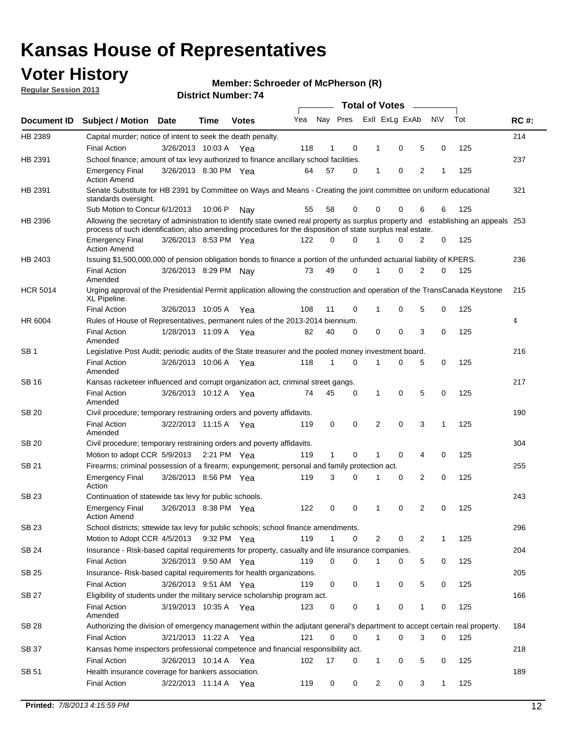## **Voter History**

**Member: Schroeder of McPherson (R)** 

**Regular Session 2013**

|                 |                                                                                                                                                                                                                                                  |                       |         |              |     |              |          | <b>Total of Votes</b> |   |   |              |     |             |
|-----------------|--------------------------------------------------------------------------------------------------------------------------------------------------------------------------------------------------------------------------------------------------|-----------------------|---------|--------------|-----|--------------|----------|-----------------------|---|---|--------------|-----|-------------|
| Document ID     | Subject / Motion Date                                                                                                                                                                                                                            |                       | Time    | <b>Votes</b> | Yea | Nay Pres     |          | Exll ExLg ExAb        |   |   | <b>NV</b>    | Tot | <b>RC#:</b> |
| HB 2389         | Capital murder; notice of intent to seek the death penalty.                                                                                                                                                                                      |                       |         |              |     |              |          |                       |   |   |              |     | 214         |
|                 | <b>Final Action</b>                                                                                                                                                                                                                              | 3/26/2013 10:03 A     |         | Yea          | 118 | 1            | 0        | 1                     | 0 | 5 | 0            | 125 |             |
| HB 2391         | School finance; amount of tax levy authorized to finance ancillary school facilities.                                                                                                                                                            |                       |         |              |     |              |          |                       |   |   |              |     | 237         |
|                 | <b>Emergency Final</b><br><b>Action Amend</b>                                                                                                                                                                                                    | 3/26/2013 8:30 PM Yea |         |              | 64  | 57           | 0        | 1                     | 0 | 2 | 1            | 125 |             |
| HB 2391         | Senate Substitute for HB 2391 by Committee on Ways and Means - Creating the joint committee on uniform educational<br>standards oversight.                                                                                                       |                       |         |              |     |              |          |                       |   |   |              |     | 321         |
|                 | Sub Motion to Concur 6/1/2013                                                                                                                                                                                                                    |                       | 10:06 P | Nav          | 55  | 58           | 0        | 0                     | 0 | 6 | 6            | 125 |             |
| HB 2396         | Allowing the secretary of administration to identify state owned real property as surplus property and establishing an appeals 253<br>process of such identification; also amending procedures for the disposition of state surplus real estate. |                       |         |              |     |              |          |                       |   |   |              |     |             |
|                 | <b>Emergency Final</b><br>Action Amend                                                                                                                                                                                                           | 3/26/2013 8:53 PM Yea |         |              | 122 | 0            | 0        |                       | 0 | 2 | 0            | 125 |             |
| HB 2403         | Issuing \$1,500,000,000 of pension obligation bonds to finance a portion of the unfunded actuarial liability of KPERS.                                                                                                                           |                       |         |              |     |              |          |                       |   |   |              |     | 236         |
|                 | <b>Final Action</b><br>Amended                                                                                                                                                                                                                   | 3/26/2013 8:29 PM Nay |         |              | 73  | 49           | 0        | 1                     | 0 | 2 | 0            | 125 |             |
| <b>HCR 5014</b> | Urging approval of the Presidential Permit application allowing the construction and operation of the TransCanada Keystone<br>XL Pipeline.                                                                                                       |                       |         |              |     |              |          |                       |   |   |              |     | 215         |
|                 | <b>Final Action</b>                                                                                                                                                                                                                              | 3/26/2013 10:05 A     |         | Yea          | 108 | 11           | 0        |                       | 0 | 5 | 0            | 125 |             |
| HR 6004         | Rules of House of Representatives, permanent rules of the 2013-2014 biennium.                                                                                                                                                                    |                       |         |              |     |              |          |                       |   |   |              |     | 4           |
|                 | <b>Final Action</b><br>Amended                                                                                                                                                                                                                   | 1/28/2013 11:09 A     |         | Yea          | 82  | 40           | 0        | 0                     | 0 | 3 | 0            | 125 |             |
| SB 1            | Legislative Post Audit; periodic audits of the State treasurer and the pooled money investment board.                                                                                                                                            |                       |         |              |     |              |          |                       |   |   |              |     | 216         |
|                 | <b>Final Action</b><br>Amended                                                                                                                                                                                                                   | 3/26/2013 10:06 A     |         | Yea          | 118 | 1            | 0        | 1                     | 0 | 5 | 0            | 125 |             |
| SB 16           | Kansas racketeer influenced and corrupt organization act, criminal street gangs.                                                                                                                                                                 |                       |         |              |     |              |          |                       |   |   |              |     | 217         |
|                 | <b>Final Action</b><br>Amended                                                                                                                                                                                                                   | 3/26/2013 10:12 A Yea |         |              | 74  | 45           | 0        | 1                     | 0 | 5 | 0            | 125 |             |
| SB 20           | Civil procedure; temporary restraining orders and poverty affidavits.                                                                                                                                                                            |                       |         |              |     |              |          |                       |   |   |              |     | 190         |
|                 | <b>Final Action</b><br>Amended                                                                                                                                                                                                                   | 3/22/2013 11:15 A     |         | Yea          | 119 | 0            | 0        | 2                     | 0 | 3 | 1            | 125 |             |
| SB 20           | Civil procedure; temporary restraining orders and poverty affidavits.                                                                                                                                                                            |                       |         |              |     |              |          |                       |   |   |              |     | 304         |
|                 | Motion to adopt CCR 5/9/2013                                                                                                                                                                                                                     |                       |         | 2:21 PM Yea  | 119 | $\mathbf{1}$ | 0        | 1                     | 0 | 4 | 0            | 125 |             |
| SB 21           | Firearms; criminal possession of a firearm; expungement; personal and family protection act.                                                                                                                                                     |                       |         |              |     |              |          |                       |   |   |              |     | 255         |
|                 | <b>Emergency Final</b><br>Action                                                                                                                                                                                                                 | 3/26/2013 8:56 PM Yea |         |              | 119 | 3            | 0        |                       | 0 | 2 | 0            | 125 |             |
| SB 23           | Continuation of statewide tax levy for public schools.                                                                                                                                                                                           |                       |         |              |     |              |          |                       |   |   |              |     | 243         |
|                 | <b>Emergency Final</b><br><b>Action Amend</b>                                                                                                                                                                                                    | 3/26/2013 8:38 PM Yea |         |              | 122 | 0            | 0        | 1                     | 0 | 2 | 0            | 125 |             |
| <b>SB 23</b>    | School districts; sttewide tax levy for public schools; school finance amendments.                                                                                                                                                               |                       |         |              |     |              |          |                       |   |   |              |     | 296         |
|                 | Motion to Adopt CCR 4/5/2013 9:32 PM Yea                                                                                                                                                                                                         |                       |         |              | 119 | 1            | 0        | 2                     | 0 | 2 | 1            | 125 |             |
| <b>SB 24</b>    | Insurance - Risk-based capital requirements for property, casualty and life insurance companies.                                                                                                                                                 |                       |         |              |     |              |          |                       |   |   |              |     | 204         |
|                 | <b>Final Action</b>                                                                                                                                                                                                                              | 3/26/2013 9:50 AM Yea |         |              | 119 | 0            | 0        |                       | 0 | 5 | 0            | 125 |             |
| SB 25           | Insurance-Risk-based capital requirements for health organizations.                                                                                                                                                                              |                       |         |              |     |              |          |                       |   |   |              |     | 205         |
|                 | <b>Final Action</b>                                                                                                                                                                                                                              | 3/26/2013 9:51 AM Yea |         |              | 119 | 0            | 0        | 1                     | 0 | 5 | 0            | 125 |             |
| SB 27           | Eligibility of students under the military service scholarship program act.                                                                                                                                                                      |                       |         |              |     |              |          |                       |   |   |              |     | 166         |
|                 | <b>Final Action</b><br>Amended                                                                                                                                                                                                                   | 3/19/2013 10:35 A Yea |         |              | 123 | 0            | 0        |                       | 0 | 1 | 0            | 125 |             |
| SB 28           | Authorizing the division of emergency management within the adjutant general's department to accept certain real property.                                                                                                                       |                       |         |              |     |              |          |                       |   |   |              |     | 184         |
|                 | <b>Final Action</b>                                                                                                                                                                                                                              | 3/21/2013 11:22 A Yea |         |              | 121 | 0            | $\Omega$ | 1                     | 0 | 3 | $\Omega$     | 125 |             |
| SB 37           | Kansas home inspectors professional competence and financial responsibility act.                                                                                                                                                                 |                       |         |              |     |              |          |                       |   |   |              |     | 218         |
|                 | <b>Final Action</b>                                                                                                                                                                                                                              | 3/26/2013 10:14 A Yea |         |              | 102 | 17           | 0        | 1                     | 0 | 5 | 0            | 125 |             |
| SB 51           | Health insurance coverage for bankers association.                                                                                                                                                                                               |                       |         |              |     |              |          |                       |   |   |              |     | 189         |
|                 | <b>Final Action</b>                                                                                                                                                                                                                              | 3/22/2013 11:14 A Yea |         |              | 119 | 0            | 0        | 2                     | 0 | 3 | $\mathbf{1}$ | 125 |             |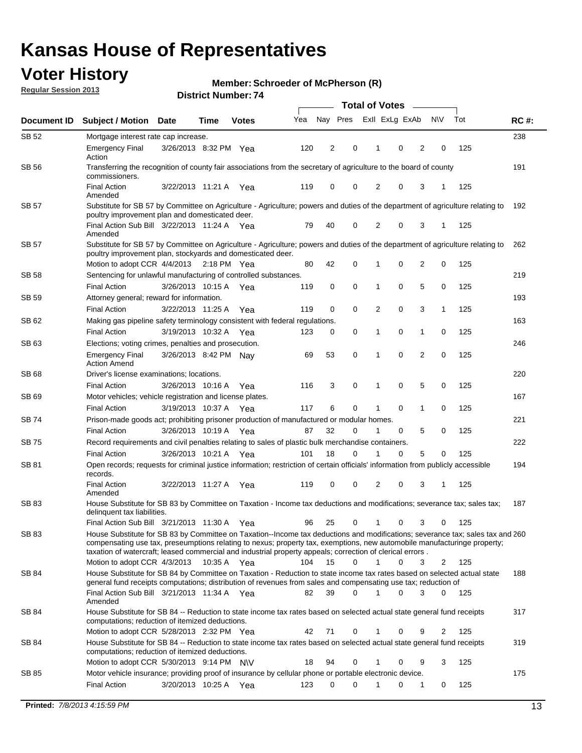## **Voter History**

**Member: Schroeder of McPherson (R)** 

**Regular Session 2013**

|              |                                                                                                                                                                                                                                                                                                                                                                         |                       |             |              |     | <b>Total of Votes</b> |             |                |   |                |             |     |             |  |
|--------------|-------------------------------------------------------------------------------------------------------------------------------------------------------------------------------------------------------------------------------------------------------------------------------------------------------------------------------------------------------------------------|-----------------------|-------------|--------------|-----|-----------------------|-------------|----------------|---|----------------|-------------|-----|-------------|--|
| Document ID  | <b>Subject / Motion Date</b>                                                                                                                                                                                                                                                                                                                                            |                       | Time        | <b>Votes</b> | Yea | Nay Pres              |             | Exll ExLg ExAb |   |                | <b>NV</b>   | Tot | <b>RC#:</b> |  |
| SB 52        | Mortgage interest rate cap increase.                                                                                                                                                                                                                                                                                                                                    |                       |             |              |     |                       |             |                |   |                |             |     | 238         |  |
|              | <b>Emergency Final</b><br>Action                                                                                                                                                                                                                                                                                                                                        | 3/26/2013 8:32 PM Yea |             |              | 120 | 2                     | 0           |                | 0 | 2              | 0           | 125 |             |  |
| SB 56        | Transferring the recognition of county fair associations from the secretary of agriculture to the board of county<br>commissioners.                                                                                                                                                                                                                                     |                       |             |              |     |                       |             |                |   |                |             |     | 191         |  |
|              | <b>Final Action</b><br>Amended                                                                                                                                                                                                                                                                                                                                          | 3/22/2013 11:21 A     |             | Yea          | 119 | 0                     | 0           | 2              | 0 | 3              | 1           | 125 |             |  |
| SB 57        | Substitute for SB 57 by Committee on Agriculture - Agriculture; powers and duties of the department of agriculture relating to<br>poultry improvement plan and domesticated deer.                                                                                                                                                                                       |                       |             |              |     |                       |             |                |   |                |             |     | 192         |  |
|              | Final Action Sub Bill 3/22/2013 11:24 A Yea<br>Amended                                                                                                                                                                                                                                                                                                                  |                       |             |              | 79  | 40                    | 0           | 2              | 0 | 3              | 1           | 125 |             |  |
| SB 57        | Substitute for SB 57 by Committee on Agriculture - Agriculture; powers and duties of the department of agriculture relating to<br>poultry improvement plan, stockyards and domesticated deer.                                                                                                                                                                           |                       |             |              |     |                       |             |                |   |                |             |     | 262         |  |
|              | Motion to adopt CCR 4/4/2013 2:18 PM Yea                                                                                                                                                                                                                                                                                                                                |                       |             |              | 80  | 42                    | 0           | 1              | 0 | 2              | 0           | 125 |             |  |
| SB 58        | Sentencing for unlawful manufacturing of controlled substances.                                                                                                                                                                                                                                                                                                         |                       |             |              |     |                       |             |                |   |                |             |     | 219         |  |
|              | <b>Final Action</b>                                                                                                                                                                                                                                                                                                                                                     | 3/26/2013 10:15 A     |             | Yea          | 119 | 0                     | 0           | 1              | 0 | 5              | 0           | 125 |             |  |
| <b>SB 59</b> | Attorney general; reward for information.                                                                                                                                                                                                                                                                                                                               |                       |             |              |     |                       |             |                |   |                |             |     | 193         |  |
|              | <b>Final Action</b>                                                                                                                                                                                                                                                                                                                                                     | 3/22/2013 11:25 A     |             | Yea          | 119 | 0                     | 0           | 2              | 0 | 3              | 1           | 125 |             |  |
| SB 62        | Making gas pipeline safety terminology consistent with federal regulations.                                                                                                                                                                                                                                                                                             |                       |             |              |     |                       |             |                |   |                |             |     | 163         |  |
|              | <b>Final Action</b>                                                                                                                                                                                                                                                                                                                                                     | 3/19/2013 10:32 A     |             | Yea          | 123 | 0                     | 0           | 1              | 0 | 1              | 0           | 125 |             |  |
| SB 63        | Elections; voting crimes, penalties and prosecution.                                                                                                                                                                                                                                                                                                                    |                       |             |              |     |                       |             |                |   |                |             |     | 246         |  |
|              | <b>Emergency Final</b><br><b>Action Amend</b>                                                                                                                                                                                                                                                                                                                           | 3/26/2013 8:42 PM Nay |             |              | 69  | 53                    | $\mathbf 0$ | 1              | 0 | $\overline{2}$ | $\mathbf 0$ | 125 |             |  |
| SB 68        | Driver's license examinations; locations.                                                                                                                                                                                                                                                                                                                               |                       |             |              |     |                       |             |                |   |                |             |     | 220         |  |
|              | <b>Final Action</b>                                                                                                                                                                                                                                                                                                                                                     | 3/26/2013 10:16 A     |             | Yea          | 116 | 3                     | 0           | 1              | 0 | 5              | 0           | 125 |             |  |
| SB 69        | Motor vehicles; vehicle registration and license plates.                                                                                                                                                                                                                                                                                                                |                       |             |              |     |                       | 0           |                |   |                |             |     | 167         |  |
|              | <b>Final Action</b>                                                                                                                                                                                                                                                                                                                                                     | 3/19/2013 10:37 A     |             | Yea          | 117 | 6                     |             | 1              | 0 | 1              | 0           | 125 |             |  |
| SB 74        | Prison-made goods act; prohibiting prisoner production of manufactured or modular homes.                                                                                                                                                                                                                                                                                |                       |             |              |     | 32                    |             | 1              |   |                |             | 125 | 221         |  |
|              | <b>Final Action</b>                                                                                                                                                                                                                                                                                                                                                     | 3/26/2013 10:19 A     |             | Yea          | 87  |                       | 0           |                | 0 | 5              | 0           |     |             |  |
| SB 75        | Record requirements and civil penalties relating to sales of plastic bulk merchandise containers.                                                                                                                                                                                                                                                                       | 3/26/2013 10:21 A     |             |              | 101 | 18                    | 0           | 1              | 0 | 5              | 0           | 125 | 222         |  |
| SB 81        | <b>Final Action</b><br>Open records; requests for criminal justice information; restriction of certain officials' information from publicly accessible                                                                                                                                                                                                                  |                       |             | Yea          |     |                       |             |                |   |                |             |     | 194         |  |
|              | records.<br><b>Final Action</b>                                                                                                                                                                                                                                                                                                                                         | 3/22/2013 11:27 A     |             | Yea          | 119 | 0                     | 0           | 2              | 0 | 3              |             | 125 |             |  |
|              | Amended                                                                                                                                                                                                                                                                                                                                                                 |                       |             |              |     |                       |             |                |   |                |             |     |             |  |
| <b>SB 83</b> | House Substitute for SB 83 by Committee on Taxation - Income tax deductions and modifications; severance tax; sales tax;<br>delinquent tax liabilities.                                                                                                                                                                                                                 |                       |             |              |     |                       |             |                |   |                |             |     | 187         |  |
|              | Final Action Sub Bill 3/21/2013 11:30 A Yea                                                                                                                                                                                                                                                                                                                             |                       |             |              | 96  | 25                    | 0           | 1              | 0 | 3              | 0           | 125 |             |  |
| SB 83        | House Substitute for SB 83 by Committee on Taxation--Income tax deductions and modifications; severance tax; sales tax and 260<br>compensating use tax, preseumptions relating to nexus; property tax, exemptions, new automobile manufacturinge property;<br>taxation of watercraft; leased commercial and industrial property appeals; correction of clerical errors. |                       |             |              |     |                       |             |                |   |                |             |     |             |  |
|              | Motion to adopt CCR 4/3/2013                                                                                                                                                                                                                                                                                                                                            |                       | 10:35 A Yea |              | 104 | 15                    | 0           | $\mathbf{1}$   | 0 | 3              | 2           | 125 |             |  |
| SB 84        | House Substitute for SB 84 by Committee on Taxation - Reduction to state income tax rates based on selected actual state<br>general fund receipts computations; distribution of revenues from sales and compensating use tax; reduction of<br>Final Action Sub Bill 3/21/2013 11:34 A Yea                                                                               |                       |             |              | 82  | 39                    | $\Omega$    |                | 0 | 3              | $\Omega$    | 125 | 188         |  |
|              | Amended                                                                                                                                                                                                                                                                                                                                                                 |                       |             |              |     |                       |             |                |   |                |             |     |             |  |
| SB 84        | House Substitute for SB 84 -- Reduction to state income tax rates based on selected actual state general fund receipts<br>computations; reduction of itemized deductions.<br>Motion to adopt CCR 5/28/2013 2:32 PM Yea                                                                                                                                                  |                       |             |              | 42  | 71                    | 0           |                | 0 | 9              | 2           | 125 | 317         |  |
|              |                                                                                                                                                                                                                                                                                                                                                                         |                       |             |              |     |                       |             |                |   |                |             |     |             |  |
| SB 84        | House Substitute for SB 84 -- Reduction to state income tax rates based on selected actual state general fund receipts<br>computations; reduction of itemized deductions.<br>Motion to adopt CCR 5/30/2013 9:14 PM N\V                                                                                                                                                  |                       |             |              | 18  | 94                    | 0           |                | 0 | 9              | 3           | 125 | 319         |  |
| SB 85        | Motor vehicle insurance; providing proof of insurance by cellular phone or portable electronic device.                                                                                                                                                                                                                                                                  |                       |             |              |     |                       |             |                |   |                |             |     | 175         |  |
|              | <b>Final Action</b>                                                                                                                                                                                                                                                                                                                                                     | 3/20/2013 10:25 A Yea |             |              | 123 | 0                     | $\Omega$    |                | 0 | 1              | 0           | 125 |             |  |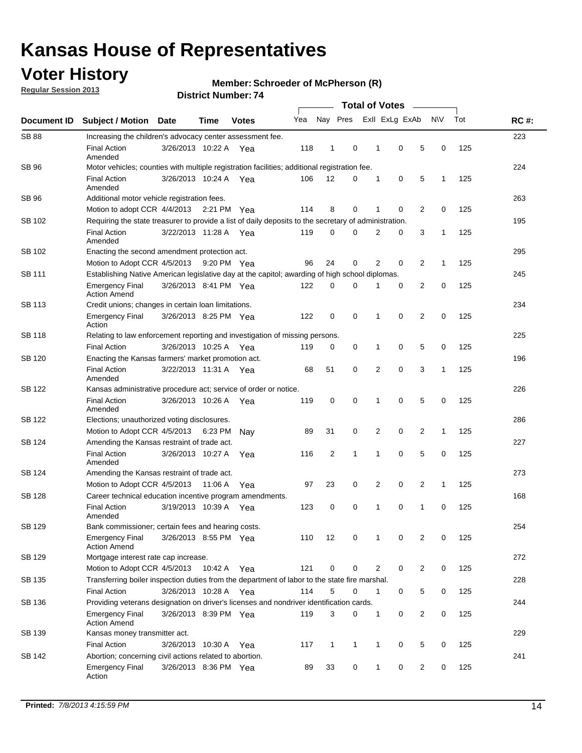## **Voter History**

**Regular Session 2013**

### **Member: Schroeder of McPherson (R)**

| Document ID   | <b>Subject / Motion Date</b>                                                                          |                                                    | Time    | <b>Votes</b> | Yea | Nay Pres       |              | Exll ExLg ExAb |             |                | N\V          | Tot | <b>RC#:</b> |
|---------------|-------------------------------------------------------------------------------------------------------|----------------------------------------------------|---------|--------------|-----|----------------|--------------|----------------|-------------|----------------|--------------|-----|-------------|
| <b>SB 88</b>  | Increasing the children's advocacy center assessment fee.                                             |                                                    |         |              |     |                |              |                |             |                |              |     | 223         |
|               | <b>Final Action</b><br>Amended                                                                        | 3/26/2013 10:22 A Yea                              |         |              | 118 | 1              | 0            | 1              | 0           | 5              | 0            | 125 |             |
| SB 96         | Motor vehicles; counties with multiple registration facilities; additional registration fee.          |                                                    |         |              |     |                |              |                |             |                |              |     | 224         |
|               | <b>Final Action</b><br>Amended                                                                        | 3/26/2013 10:24 A Yea                              |         |              | 106 | 12             | 0            | 1              | 0           | 5              | 1            | 125 |             |
| SB 96         | Additional motor vehicle registration fees.                                                           |                                                    |         |              |     |                |              |                |             |                |              |     | 263         |
|               | Motion to adopt CCR 4/4/2013 2:21 PM Yea                                                              |                                                    |         |              | 114 | 8              | 0            | 1              | 0           | 2              | 0            | 125 |             |
| SB 102        | Requiring the state treasurer to provide a list of daily deposits to the secretary of administration. |                                                    |         |              |     |                |              |                |             |                |              |     | 195         |
|               | <b>Final Action</b><br>Amended                                                                        | 3/22/2013 11:28 A Yea                              |         |              | 119 | 0              | 0            | 2              | 0           | 3              | 1            | 125 |             |
| SB 102        | Enacting the second amendment protection act.                                                         |                                                    |         |              |     |                |              |                |             |                |              |     |             |
|               | Motion to Adopt CCR 4/5/2013                                                                          |                                                    |         | 9:20 PM Yea  | 96  | 24             | 0            | 2              | 0           | $\overline{2}$ | 1            | 125 |             |
| SB 111        | Establishing Native American legislative day at the capitol; awarding of high school diplomas.        |                                                    |         |              |     |                |              |                |             |                |              |     |             |
|               | <b>Emergency Final</b><br><b>Action Amend</b>                                                         | 3/26/2013 8:41 PM Yea                              |         |              | 122 | 0              | 0            | 1              | 0           | 2              | 0            | 125 |             |
| SB 113        | Credit unions; changes in certain loan limitations.                                                   |                                                    |         |              |     |                |              |                |             |                |              |     | 234         |
|               | <b>Emergency Final</b><br>Action                                                                      | 3/26/2013 8:25 PM Yea                              |         |              | 122 | 0              | 0            | 1              | 0           | 2              | 0            | 125 |             |
| SB 118        | Relating to law enforcement reporting and investigation of missing persons.                           |                                                    |         |              |     |                |              |                |             |                |              |     | 225         |
|               | <b>Final Action</b>                                                                                   | 3/26/2013 10:25 A Yea                              |         |              | 119 | 0              | 0            | 1              | 0           | 5              | 0            | 125 |             |
| SB 120        | Enacting the Kansas farmers' market promotion act.                                                    |                                                    |         |              |     |                |              |                |             |                |              |     | 196         |
|               | <b>Final Action</b><br>Amended                                                                        | 3/22/2013 11:31 A Yea                              |         |              | 68  | 51             | 0            | 2              | $\mathbf 0$ | 3              | 1            | 125 |             |
| SB 122        | Kansas administrative procedure act; service of order or notice.                                      |                                                    |         |              |     |                |              |                |             |                |              |     | 226         |
|               | <b>Final Action</b><br>Amended                                                                        | 3/26/2013 10:26 A                                  |         | Yea          | 119 | 0              | 0            | 1              | $\mathbf 0$ | 5              | 0            | 125 |             |
| SB 122        | Elections; unauthorized voting disclosures.                                                           |                                                    |         |              |     |                |              |                |             |                |              |     |             |
|               | Motion to Adopt CCR 4/5/2013                                                                          |                                                    | 6:23 PM | Nav          | 89  | 31             | 0            | 2              | 0           | 2              | 1            | 125 |             |
| SB 124        | Amending the Kansas restraint of trade act.                                                           |                                                    |         |              |     |                |              |                |             |                |              |     | 227         |
|               | <b>Final Action</b><br>Amended                                                                        | 3/26/2013 10:27 A                                  |         | Yea          | 116 | $\overline{2}$ | 1            | 1              | 0           | 5              | 0            | 125 |             |
| SB 124        |                                                                                                       | 273<br>Amending the Kansas restraint of trade act. |         |              |     |                |              |                |             |                |              |     |             |
|               | Motion to Adopt CCR 4/5/2013                                                                          |                                                    | 11:06 A | Yea          | 97  | 23             | 0            | 2              | 0           | 2              | $\mathbf{1}$ | 125 |             |
| <b>SB 128</b> | Career technical education incentive program amendments.                                              |                                                    |         |              |     |                |              |                |             |                |              |     | 168         |
|               | <b>Final Action</b><br>Amended                                                                        | 3/19/2013 10:39 A                                  |         | Yea          | 123 | 0              | 0            | 1              | 0           | 1              | 0            | 125 |             |
| <b>SB 129</b> | Bank commissioner: certain fees and hearing costs.                                                    |                                                    |         |              |     |                |              |                |             |                |              |     | 254         |
|               | <b>Emergency Final</b><br><b>Action Amend</b>                                                         | 3/26/2013 8:55 PM Yea                              |         |              | 110 | 12             | 0            | 1              | 0           | 2              | 0            | 125 |             |
| SB 129        | Mortgage interest rate cap increase.                                                                  |                                                    |         |              |     |                |              |                |             |                |              |     | 272         |
|               | Motion to Adopt CCR 4/5/2013                                                                          |                                                    | 10:42 A | Yea          | 121 | 0              | 0            | 2              | 0           | $\overline{c}$ | 0            | 125 |             |
| SB 135        | Transferring boiler inspection duties from the department of labor to the state fire marshal.         |                                                    |         |              |     |                |              |                |             |                |              |     | 228         |
|               | <b>Final Action</b>                                                                                   | 3/26/2013 10:28 A Yea                              |         |              | 114 | 5              | 0            | 1              | 0           | 5              | 0            | 125 |             |
| SB 136        | Providing veterans designation on driver's licenses and nondriver identification cards.               |                                                    |         |              |     |                |              |                |             |                |              |     | 244         |
|               | <b>Emergency Final</b><br><b>Action Amend</b>                                                         | 3/26/2013 8:39 PM Yea                              |         |              | 119 | 3              | 0            | 1              | 0           | $\overline{c}$ | 0            | 125 |             |
| SB 139        | Kansas money transmitter act.                                                                         |                                                    |         |              |     |                |              |                |             |                |              |     | 229         |
|               | <b>Final Action</b>                                                                                   | 3/26/2013 10:30 A                                  |         | Yea          | 117 | $\mathbf{1}$   | $\mathbf{1}$ | 1              | 0           | 5              | 0            | 125 |             |
| SB 142        | Abortion; concerning civil actions related to abortion.                                               |                                                    |         |              |     |                |              |                |             |                |              |     | 241         |
|               | <b>Emergency Final</b><br>Action                                                                      | 3/26/2013 8:36 PM Yea                              |         |              | 89  | 33             | 0            | 1              | 0           | 2              | 0            | 125 |             |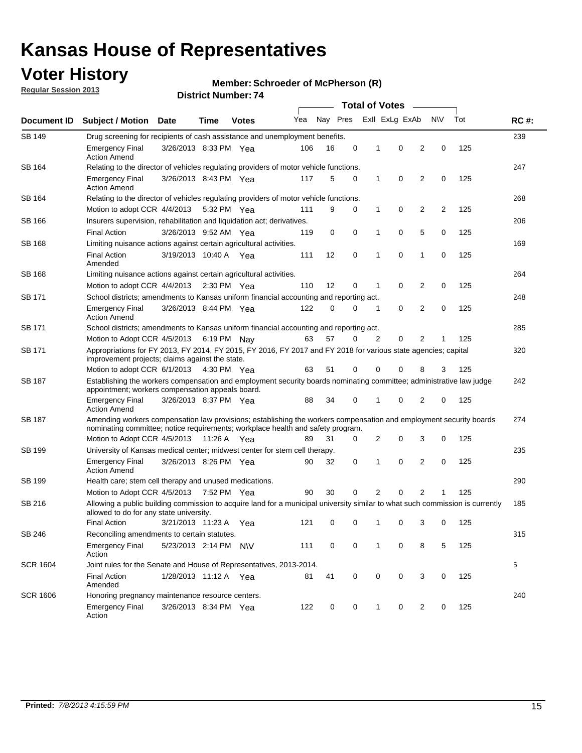## **Voter History**

**Member: Schroeder of McPherson (R)** 

**Regular Session 2013**

|                 |                                                                                                                                                                                                       |                                                                                    |               |              | <b>Total of Votes</b><br>$\sim$ |          |   |   |                |                |     |     |             |  |
|-----------------|-------------------------------------------------------------------------------------------------------------------------------------------------------------------------------------------------------|------------------------------------------------------------------------------------|---------------|--------------|---------------------------------|----------|---|---|----------------|----------------|-----|-----|-------------|--|
| Document ID     | <b>Subject / Motion</b>                                                                                                                                                                               | <b>Date</b>                                                                        | Time          | <b>Votes</b> | Yea                             | Nay Pres |   |   | Exll ExLg ExAb |                | N\V | Tot | <b>RC#:</b> |  |
| SB 149          |                                                                                                                                                                                                       | 239<br>Drug screening for recipients of cash assistance and unemployment benefits. |               |              |                                 |          |   |   |                |                |     |     |             |  |
|                 | <b>Emergency Final</b><br><b>Action Amend</b>                                                                                                                                                         | 3/26/2013 8:33 PM Yea                                                              |               |              | 106                             | 16       | 0 | 1 | 0              | 2              | 0   | 125 |             |  |
| SB 164          | Relating to the director of vehicles regulating providers of motor vehicle functions.                                                                                                                 |                                                                                    |               |              |                                 |          |   |   |                |                |     |     | 247         |  |
|                 | <b>Emergency Final</b><br><b>Action Amend</b>                                                                                                                                                         | 3/26/2013 8:43 PM Yea                                                              |               |              | 117                             | 5        | 0 | 1 | 0              | $\overline{2}$ | 0   | 125 |             |  |
| SB 164          | Relating to the director of vehicles regulating providers of motor vehicle functions.                                                                                                                 |                                                                                    |               |              |                                 |          |   |   |                |                |     |     | 268         |  |
|                 | Motion to adopt CCR 4/4/2013 5:32 PM Yea                                                                                                                                                              |                                                                                    |               |              | 111                             | 9        | 0 | 1 | 0              | 2              | 2   | 125 |             |  |
| SB 166          | Insurers supervision, rehabilitation and liquidation act; derivatives.                                                                                                                                |                                                                                    |               |              |                                 |          |   |   |                |                |     |     | 206         |  |
|                 | <b>Final Action</b>                                                                                                                                                                                   | 3/26/2013 9:52 AM Yea                                                              |               |              | 119                             | 0        | 0 | 1 | 0              | 5              | 0   | 125 |             |  |
| SB 168          | Limiting nuisance actions against certain agricultural activities.                                                                                                                                    |                                                                                    |               |              |                                 |          |   |   |                |                |     |     | 169         |  |
|                 | <b>Final Action</b><br>Amended                                                                                                                                                                        | 3/19/2013 10:40 A Yea                                                              |               |              | 111                             | 12       | 0 | 1 | 0              | 1              | 0   | 125 |             |  |
| SB 168          | Limiting nuisance actions against certain agricultural activities.                                                                                                                                    |                                                                                    |               |              |                                 |          |   |   |                |                |     |     | 264         |  |
|                 | Motion to adopt CCR 4/4/2013                                                                                                                                                                          |                                                                                    | $2:30$ PM Yea |              | 110                             | 12       | 0 | 1 | 0              | 2              | 0   | 125 |             |  |
| SB 171          | School districts; amendments to Kansas uniform financial accounting and reporting act.                                                                                                                |                                                                                    |               |              |                                 |          |   |   |                |                |     |     | 248         |  |
|                 | <b>Emergency Final</b><br><b>Action Amend</b>                                                                                                                                                         | 3/26/2013 8:44 PM Yea                                                              |               |              | 122                             | 0        | 0 | 1 | 0              | $\overline{2}$ | 0   | 125 |             |  |
| SB 171          | School districts; amendments to Kansas uniform financial accounting and reporting act.                                                                                                                |                                                                                    |               |              |                                 |          |   |   |                |                |     |     | 285         |  |
|                 | Motion to Adopt CCR 4/5/2013 6:19 PM Nay                                                                                                                                                              |                                                                                    |               |              | 63                              | 57       | 0 | 2 | 0              | 2              | 1   | 125 |             |  |
| SB 171          | Appropriations for FY 2013, FY 2014, FY 2015, FY 2016, FY 2017 and FY 2018 for various state agencies; capital<br>improvement projects; claims against the state.                                     |                                                                                    |               |              |                                 |          |   |   |                |                |     |     | 320         |  |
|                 | Motion to adopt CCR 6/1/2013 4:30 PM Yea                                                                                                                                                              |                                                                                    |               |              | 63                              | 51       | 0 | 0 | 0              | 8              | 3   | 125 |             |  |
| SB 187          | Establishing the workers compensation and employment security boards nominating committee; administrative law judge<br>appointment; workers compensation appeals board.                               |                                                                                    |               |              |                                 |          |   |   |                |                |     | 242 |             |  |
|                 | <b>Emergency Final</b><br><b>Action Amend</b>                                                                                                                                                         | 3/26/2013 8:37 PM Yea                                                              |               |              | 88                              | 34       | 0 | 1 | 0              | 2              | 0   | 125 |             |  |
| SB 187          | Amending workers compensation law provisions; establishing the workers compensation and employment security boards<br>nominating committee; notice requirements; workplace health and safety program. |                                                                                    |               |              |                                 |          |   |   |                |                |     |     | 274         |  |
|                 | Motion to Adopt CCR 4/5/2013                                                                                                                                                                          |                                                                                    | 11:26 A Yea   |              | 89                              | 31       | 0 | 2 | 0              | 3              | 0   | 125 |             |  |
| SB 199          | University of Kansas medical center; midwest center for stem cell therapy.                                                                                                                            |                                                                                    |               |              |                                 |          |   |   |                |                |     |     | 235         |  |
|                 | <b>Emergency Final</b><br><b>Action Amend</b>                                                                                                                                                         | 3/26/2013 8:26 PM Yea                                                              |               |              | 90                              | 32       | 0 | 1 | 0              | $\overline{2}$ | 0   | 125 |             |  |
| SB 199          | Health care; stem cell therapy and unused medications.                                                                                                                                                |                                                                                    |               |              |                                 |          |   |   |                |                |     |     | 290         |  |
|                 | Motion to Adopt CCR 4/5/2013                                                                                                                                                                          |                                                                                    | 7:52 PM Yea   |              | 90                              | 30       | 0 | 2 | 0              | 2              | 1   | 125 |             |  |
| SB 216          | Allowing a public building commission to acquire land for a municipal university similar to what such commission is currently<br>allowed to do for any state university.                              |                                                                                    |               |              |                                 |          |   |   |                |                |     |     | 185         |  |
|                 | <b>Final Action</b>                                                                                                                                                                                   | 3/21/2013 11:23 A                                                                  |               | Yea          | 121                             | 0        | 0 | 1 | 0              | 3              | 0   | 125 |             |  |
| SB 246          | Reconciling amendments to certain statutes.                                                                                                                                                           |                                                                                    |               |              |                                 |          |   |   |                |                |     |     | 315         |  |
|                 | <b>Emergency Final</b><br>Action                                                                                                                                                                      | 5/23/2013 2:14 PM N\V                                                              |               |              | 111                             | 0        | 0 | 1 | 0              | 8              | 5   | 125 |             |  |
| <b>SCR 1604</b> | Joint rules for the Senate and House of Representatives, 2013-2014.                                                                                                                                   |                                                                                    |               |              |                                 |          |   |   |                |                |     |     | 5           |  |
|                 | <b>Final Action</b><br>Amended                                                                                                                                                                        | 1/28/2013 11:12 A Yea                                                              |               |              | 81                              | 41       | 0 | 0 | 0              | 3              | 0   | 125 |             |  |
| <b>SCR 1606</b> | Honoring pregnancy maintenance resource centers.                                                                                                                                                      |                                                                                    |               |              |                                 |          |   |   |                |                |     |     | 240         |  |
|                 | <b>Emergency Final</b><br>Action                                                                                                                                                                      | 3/26/2013 8:34 PM Yea                                                              |               |              | 122                             | 0        | 0 | 1 | 0              | 2              | 0   | 125 |             |  |